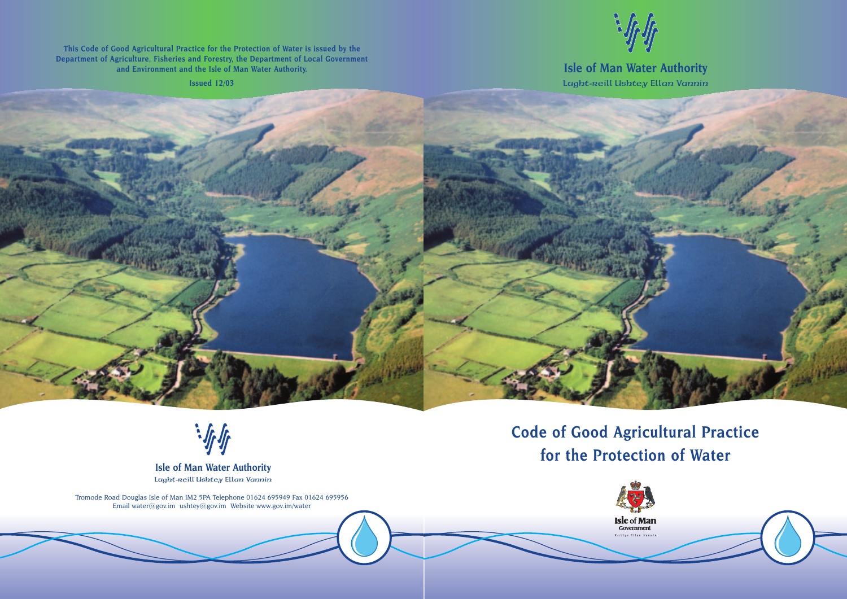## **Code of Good Agricultural Practice for the Protection of Water**







## **Lught-reill Ushtey Ellan Vannin Isle of Man Water Authority**

**This Code of Good Agricultural Practice for the Protection of Water is issued by the Department of Agriculture, Fisheries and Forestry, the Department of Local Government and Environment and the Isle of Man Water Authority.**

**Issued 12/03**





Tromode Road Douglas Isle of Man IM2 5PA Telephone 01624 695949 Fax 01624 695956 Email water@gov.im ushtey@gov.im Website www.gov.im/water

**Lught-reill Ushtey Ellan Vannin Isle of Man Water Authority**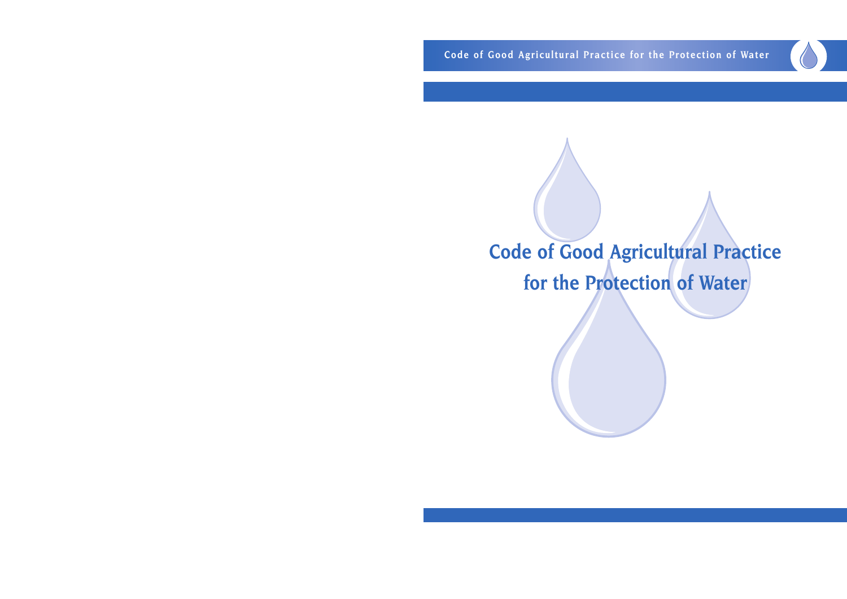**Code of Good Agricultural Practice for the Protection of Water**

# **Code of Good Agricultural Practice for the Protection of Water**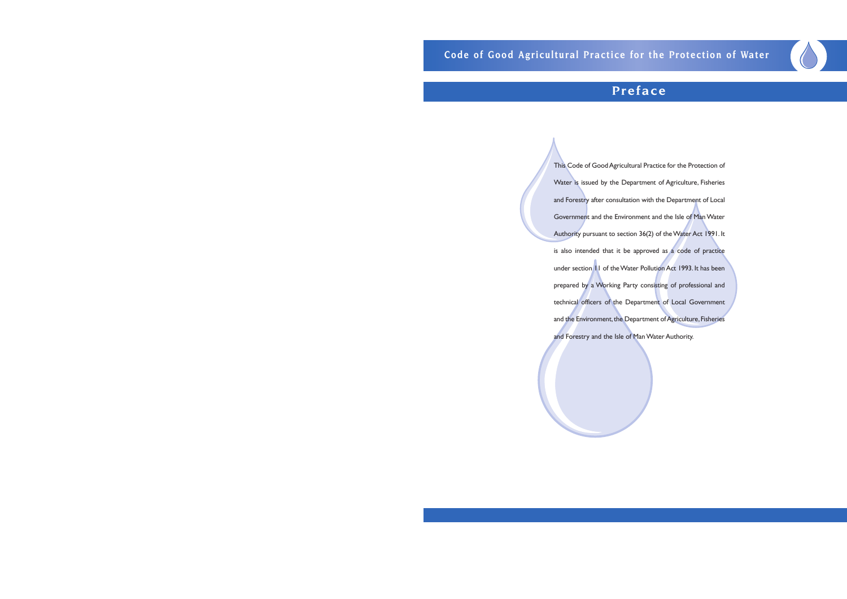## **Preface**

This Code of Good Agricultural Practice for the Protection of Water is issued by the Department of Agriculture, Fisheries and Forestry after consultation with the Department of Local Government and the Environment and the Isle of Man Water Authority pursuant to section 36(2) of the Water Act 1991. It is also intended that it be approved as a code of practice under section 11 of the Water Pollution Act 1993. It has been prepared by a Working Party consisting of professional and technical officers of the Department of Local Government and the Environment, the Department of Agriculture, Fisheries and Forestry and the Isle of Man Water Authority.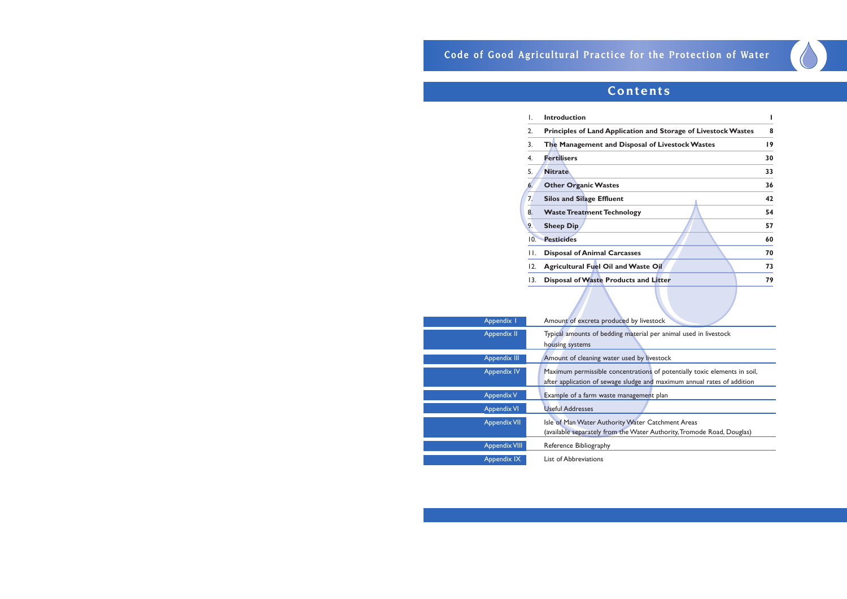## **Code of Good Agricultural Practice for the Protection of Water**

| L.  | <b>Introduction</b>                                            |                 |
|-----|----------------------------------------------------------------|-----------------|
| 2.  | Principles of Land Application and Storage of Livestock Wastes | 8               |
| 3.  | The Management and Disposal of Livestock Wastes                | $\overline{19}$ |
| 4.  | <b>Fertilisers</b>                                             | 30              |
| 5.  | <b>Nitrate</b>                                                 | 33              |
| 6.  | <b>Other Organic Wastes</b>                                    | 36              |
| 7.  | <b>Silos and Silage Effluent</b>                               | 42              |
| 8.  | <b>Waste Treatment Technology</b>                              | 54              |
| 9.  | <b>Sheep Dip</b>                                               | 57              |
| 10. | <b>Pesticides</b>                                              | 60              |
| П.  | <b>Disposal of Animal Carcasses</b>                            | 70              |
| 12. | <b>Agricultural Fuel Oil and Waste Oil</b>                     | 73              |
| 13. | Disposal of Waste Products and Litter                          | 79              |
|     |                                                                |                 |

## **Contents**

| Appendix I           | Amount of excreta produced by I    |
|----------------------|------------------------------------|
| Appendix II          | Typical amounts of bedding mater   |
|                      | housing systems                    |
| <b>Appendix III</b>  | Amount of cleaning water used b    |
| <b>Appendix IV</b>   | Maximum permissible concentrati    |
|                      | after application of sewage sludge |
| <b>Appendix V</b>    | Example of a farm waste manager    |
| <b>Appendix VI</b>   | <b>Useful Addresses</b>            |
| <b>Appendix VII</b>  | Isle of Man Water Authority Wate   |
|                      | (available separately from the Wat |
| <b>Appendix VIII</b> | Reference Bibliography             |
| Appendix IX          | List of Abbreviations              |
|                      |                                    |

livestock

rial per animal used in livestock

y livestock

tions of potentially toxic elements in soil, e an<mark>d maximum annual rates of addition</mark>

ment plan

er Catchment Areas

ter Authority, Tromode Road, Douglas)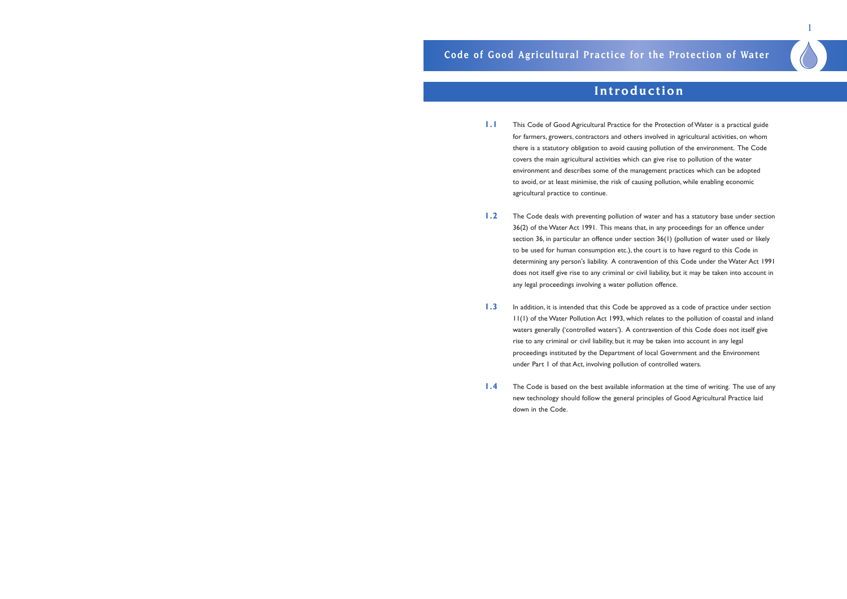for farmers, growers, contractors and others involved in agricultural activities, on whom there is a statutory obligation to avoid causing pollution of the environment. The Code

section 36, in particular an offence under section 36(1) (pollution of water used or likely determining any person's liability. A contravention of this Code under the Water Act 1991 does not itself give rise to any criminal or civil liability, but it may be taken into account in

- **1.1** This Code of Good Agricultural Practice for the Protection of Water is a practical guide covers the main agricultural activities which can give rise to pollution of the water environment and describes some of the management practices which can be adopted to avoid, or at least minimise, the risk of causing pollution, while enabling economic agricultural practice to continue.
- 1.2 The Code deals with preventing pollution of water and has a statutory base under section 36(2) of the Water Act 1991. This means that, in any proceedings for an offence under to be used for human consumption etc.), the court is to have regard to this Code in any legal proceedings involving a water pollution offence.
- **1.3** In addition, it is intended that this Code be approved as a code of practice under section rise to any criminal or civil liability, but it may be taken into account in any legal proceedings instituted by the Department of local Government and the Environment under Part 1 of that Act, involving pollution of controlled waters.
- **1.4** The Code is based on the best available information at the time of writing. The use of any new technology should follow the general principles of Good Agricultural Practice laid down in the Code.

11(1) of the Water Pollution Act 1993, which relates to the pollution of coastal and inland waters generally ('controlled waters'). A contravention of this Code does not itself give

1

## **Introduction**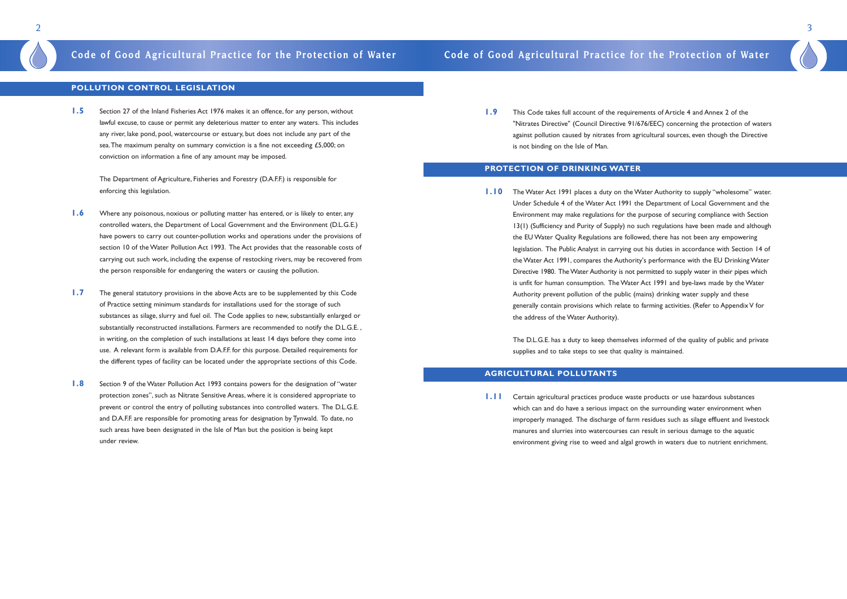### **POLLUTION CONTROL LEGISLATION**

**1.5** Section 27 of the Inland Fisheries Act 1976 makes it an offence, for any person, without lawful excuse, to cause or permit any deleterious matter to enter any waters. This includes any river, lake pond, pool, watercourse or estuary, but does not include any part of the sea. The maximum penalty on summary conviction is a fine not exceeding £5,000; on conviction on information a fine of any amount may be imposed.

The Department of Agriculture, Fisheries and Forestry (D.A.F.F.) is responsible for enforcing this legislation.

- **1.6** Where any poisonous, noxious or polluting matter has entered, or is likely to enter, any controlled waters, the Department of Local Government and the Environment (D.L.G.E.) have powers to carry out counter-pollution works and operations under the provisions of section 10 of the Water Pollution Act 1993. The Act provides that the reasonable costs of carrying out such work, including the expense of restocking rivers, may be recovered from the person responsible for endangering the waters or causing the pollution.
- **1.7** The general statutory provisions in the above Acts are to be supplemented by this Code of Practice setting minimum standards for installations used for the storage of such substances as silage, slurry and fuel oil. The Code applies to new, substantially enlarged or substantially reconstructed installations. Farmers are recommended to notify the D.L.G.E. , in writing, on the completion of such installations at least 14 days before they come into use. A relevant form is available from D.A.F.F. for this purpose. Detailed requirements for the different types of facility can be located under the appropriate sections of this Code.
- **1.8** Section 9 of the Water Pollution Act 1993 contains powers for the designation of "water" protection zones", such as Nitrate Sensitive Areas, where it is considered appropriate to prevent or control the entry of polluting substances into controlled waters. The D.L.G.E. and D.A.F.F. are responsible for promoting areas for designation by Tynwald. To date, no such areas have been designated in the Isle of Man but the position is being kept under review.

**1.9** This Code takes full account of the requirements of Article 4 and Annex 2 of the against pollution caused by nitrates from agricultural sources, even though the Directive is not binding on the Isle of Man.

**1.11** Certain agricultural practices produce waste products or use hazardous substances which can and do have a serious impact on the surrounding water environment when manures and slurries into watercourses can result in serious damage to the aquatic

## **Code of Good Agricultural Practice for the Protection of Water Code of Good Agricultural Practice for the Protection of Water**

"Nitrates Directive" (Council Directive 91/676/EEC) concerning the protection of waters

### **PROTECTION OF DRINKING WATER**

## **1.10** The Water Act 1991 places a duty on the Water Authority to supply "wholesome" water. Under Schedule 4 of the Water Act 1991 the Department of Local Government and the Environment may make regulations for the purpose of securing compliance with Section 13(1) (Sufficiency and Purity of Supply) no such regulations have been made and although legislation. The Public Analyst in carrying out his duties in accordance with Section 14 of the Water Act 1991, compares the Authority's performance with the EU Drinking Water Directive 1980. The Water Authority is not permitted to supply water in their pipes which

the EU Water Quality Regulations are followed, there has not been any empowering is unfit for human consumption. The Water Act 1991 and bye-laws made by the Water Authority prevent pollution of the public (mains) drinking water supply and these generally contain provisions which relate to farming activities. (Refer to Appendix V for the address of the Water Authority).

The D.L.G.E. has a duty to keep themselves informed of the quality of public and private supplies and to take steps to see that quality is maintained.

### **AGRICULTURAL POLLUTANTS**

improperly managed. The discharge of farm residues such as silage effluent and livestock environment giving rise to weed and algal growth in waters due to nutrient enrichment.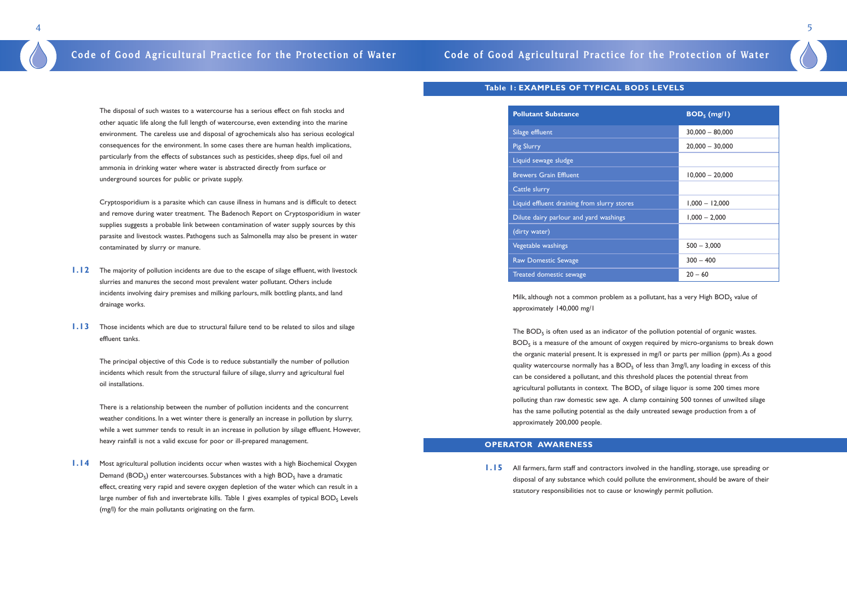The disposal of such wastes to a watercourse has a serious effect on fish stocks and other aquatic life along the full length of watercourse, even extending into the marine environment. The careless use and disposal of agrochemicals also has serious ecological consequences for the environment. In some cases there are human health implications, particularly from the effects of substances such as pesticides, sheep dips, fuel oil and ammonia in drinking water where water is abstracted directly from surface or underground sources for public or private supply.

Cryptosporidium is a parasite which can cause illness in humans and is difficult to detect and remove during water treatment. The Badenoch Report on Cryptosporidium in water supplies suggests a probable link between contamination of water supply sources by this parasite and livestock wastes. Pathogens such as Salmonella may also be present in water contaminated by slurry or manure.

- **1.12** The majority of pollution incidents are due to the escape of silage effluent, with livestock slurries and manures the second most prevalent water pollutant. Others include incidents involving dairy premises and milking parlours, milk bottling plants, and land drainage works.
- **1.13** Those incidents which are due to structural failure tend to be related to silos and silage effluent tanks.

The principal objective of this Code is to reduce substantially the number of pollution incidents which result from the structural failure of silage, slurry and agricultural fuel oil installations.

Milk, although not a common problem as a pollutant, has a very High  $BOD<sub>5</sub>$  value of approximately 140,000 mg/1

There is a relationship between the number of pollution incidents and the concurrent weather conditions. In a wet winter there is generally an increase in pollution by slurry, while a wet summer tends to result in an increase in pollution by silage effluent. However, heavy rainfall is not a valid excuse for poor or ill-prepared management.

The  $BOD<sub>5</sub>$  is often used as an indicator of the pollution potential of organic wastes.  $BOD<sub>5</sub>$  is a measure of the amount of oxygen required by micro-organisms to break down the organic material present. It is expressed in mg/I or parts per million (ppm).As a good quality watercourse normally has a  $BOD<sub>5</sub>$  of less than 3mg/l, any loading in excess of this can be considered a pollutant, and this threshold places the potential threat from agricultural pollutants in context. The  $BOD<sub>5</sub>$  of silage liquor is some 200 times more polluting than raw domestic sew age. A clamp containing 500 tonnes of unwilted silage has the same polluting potential as the daily untreated sewage production from a of approximately 200,000 people.

**1.14** Most agricultural pollution incidents occur when wastes with a high Biochemical Oxygen Demand ( $BOD<sub>5</sub>$ ) enter watercourses. Substances with a high  $BOD<sub>5</sub>$  have a dramatic effect, creating very rapid and severe oxygen depletion of the water which can result in a large number of fish and invertebrate kills. Table 1 gives examples of typical BOD<sub>5</sub> Levels (mg/l) for the main pollutants originating on the farm.

### **Table 1: EXAMPLES OF TYPICAL BOD5 LEVELS**

| <b>Pollutant Substance</b>                  | BOD <sub>5</sub> (mg/I) |
|---------------------------------------------|-------------------------|
| Silage effluent                             | $30,000 - 80,000$       |
| Pig Slurry                                  | $20,000 - 30,000$       |
| Liquid sewage sludge                        |                         |
| <b>Brewers Grain Effluent</b>               | $10,000 - 20,000$       |
| Cattle slurry                               |                         |
| Liquid effluent draining from slurry stores | $1,000 - 12,000$        |
| Dilute dairy parlour and yard washings      | $1,000 - 2,000$         |
| (dirty water)                               |                         |
| Vegetable washings                          | $500 - 3,000$           |
| Raw Domestic Sewage                         | $300 - 400$             |
| Treated domestic sewage                     | $20 - 60$               |

### **OPERATOR AWARENESS**

**1.15** All farmers, farm staff and contractors involved in the handling, storage, use spreading or statutory responsibilities not to cause or knowingly permit pollution.

disposal of any substance which could pollute the environment, should be aware of their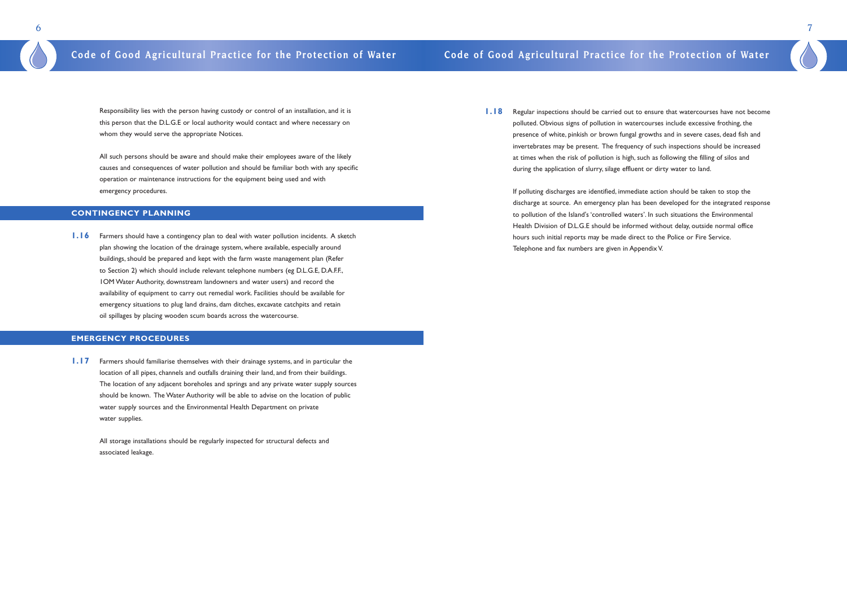**1.18** Regular inspections should be carried out to ensure that watercourses have not become polluted. Obvious signs of pollution in watercourses include excessive frothing, the presence of white, pinkish or brown fungal growths and in severe cases, dead fish and invertebrates may be present. The frequency of such inspections should be increased at times when the risk of pollution is high, such as following the filling of silos and during the application of slurry, silage effluent or dirty water to land.

If polluting discharges are identified, immediate action should be taken to stop the discharge at source. An emergency plan has been developed for the integrated response to pollution of the Island's 'controlled waters'. In such situations the Environmental Health Division of D.L.G.E should be informed without delay, outside normal office hours such initial reports may be made direct to the Police or Fire Service. Telephone and fax numbers are given in Appendix V.

7

Responsibility lies with the person having custody or control of an installation, and it is this person that the D.L.G.E or local authority would contact and where necessary on whom they would serve the appropriate Notices.

All such persons should be aware and should make their employees aware of the likely causes and consequences of water pollution and should be familiar both with any specific operation or maintenance instructions for the equipment being used and with emergency procedures.

### **CONTINGENCY PLANNING**

**1.16** Farmers should have a contingency plan to deal with water pollution incidents. A sketch plan showing the location of the drainage system, where available, especially around buildings, should be prepared and kept with the farm waste management plan (Refer to Section 2) which should include relevant telephone numbers (eg D.L.G.E, D.A.F.F., 1OM Water Authority, downstream landowners and water users) and record the availability of equipment to carry out remedial work. Facilities should be available for emergency situations to plug land drains, dam ditches, excavate catchpits and retain oil spillages by placing wooden scum boards across the watercourse.

### **EMERGENCY PROCEDURES**

**1.17** Farmers should familiarise themselves with their drainage systems, and in particular the location of all pipes, channels and outfalls draining their land, and from their buildings. The location of any adjacent boreholes and springs and any private water supply sources should be known. The Water Authority will be able to advise on the location of public water supply sources and the Environmental Health Department on private water supplies.

All storage installations should be regularly inspected for structural defects and associated leakage.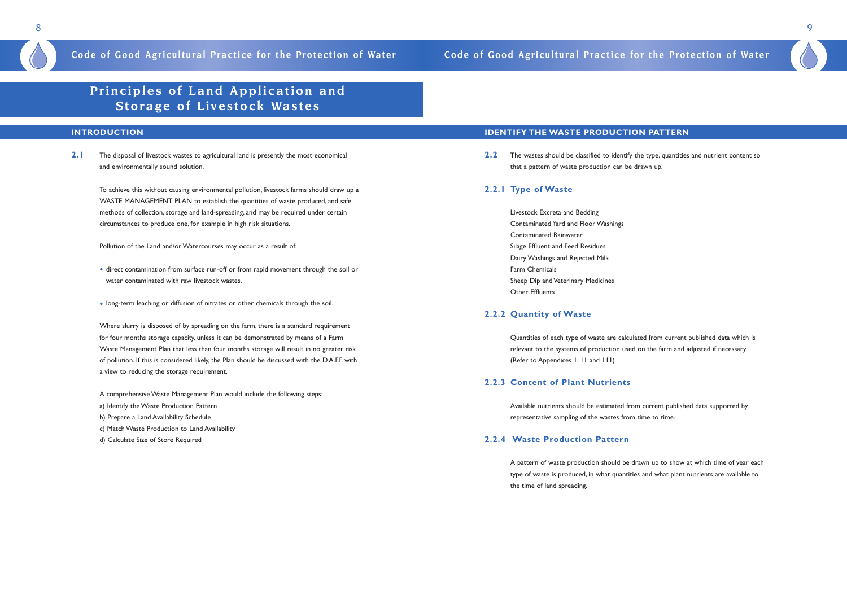## **Principles of Land Application and Storage of Livestock Wastes**

2.1 The disposal of livestock wastes to agricultural land is presently the most economical and environmentally sound solution.

### **INTRODUCTION**

To achieve this without causing environmental pollution, livestock farms should draw up a WASTE MANAGEMENT PLAN to establish the quantities of waste produced, and safe methods of collection, storage and land-spreading, and may be required under certain circumstances to produce one, for example in high risk situations.

Pollution of the Land and/or Watercourses may occur as a result of:

- direct contamination from surface run-off or from rapid movement through the soil or water contaminated with raw livestock wastes.
- long-term leaching or diffusion of nitrates or other chemicals through the soil.

**2.2** The wastes should be classified to identify the type, quantities and nutrient content so that a pattern of waste production can be drawn up.

Where slurry is disposed of by spreading on the farm, there is a standard requirement for four months storage capacity, unless it can be demonstrated by means of a Farm Waste Management Plan that less than four months storage will result in no greater risk of pollution. If this is considered likely, the Plan should be discussed with the D.A.F.F. with a view to reducing the storage requirement.

- A comprehensive Waste Management Plan would include the following steps:
- a) Identify the Waste Production Pattern
- b) Prepare a Land Availability Schedule
- c) Match Waste Production to Land Availability
- d) Calculate Size of Store Required

### **IDENTIFY THE WASTE PRODUCTION PATTERN**

### **2.2.1 Type of Waste**

Livestock Excreta and Bedding Contaminated Yard and Floor Washings Contaminated Rainwater Silage Effluent and Feed Residues Dairy Washings and Rejected Milk Farm Chemicals Sheep Dip and Veterinary Medicines Other Effluents

### **2.2.2 Quantity of Waste**

Quantities of each type of waste are calculated from current published data which is relevant to the systems of production used on the farm and adjusted if necessary. (Refer to Appendices 1, 11 and 111)

### **2.2.3 Content of Plant Nutrients**

Available nutrients should be estimated from current published data supported by representative sampling of the wastes from time to time.

### **2.2.4 Waste Production Pattern**

A pattern of waste production should be drawn up to show at which time of year each type of waste is produced, in what quantities and what plant nutrients are available to the time of land spreading.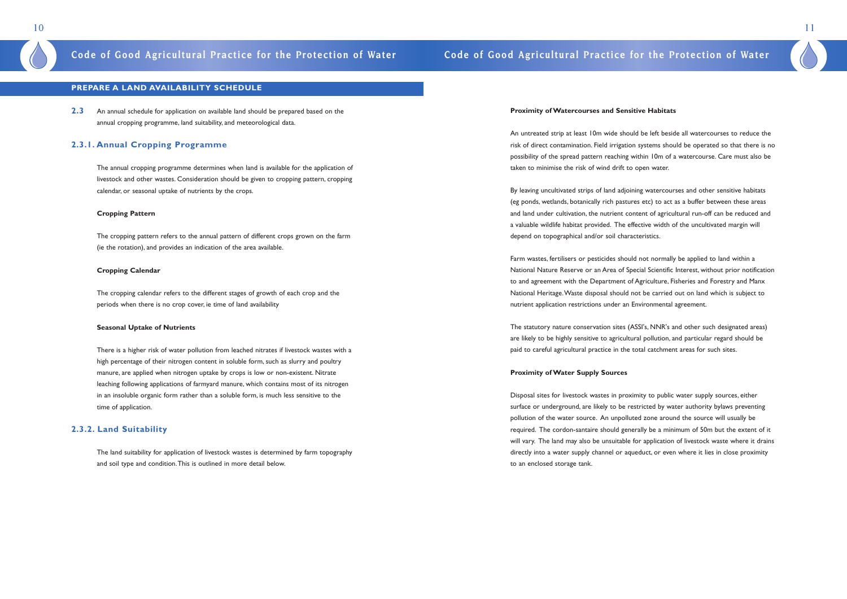### **Proximity of Watercourses and Sensitive Habitats**

An untreated strip at least 10m wide should be left beside all watercourses to reduce the risk of direct contamination. Field irrigation systems should be operated so that there is no possibility of the spread pattern reaching within 10m of a watercourse. Care must also be taken to minimise the risk of wind drift to open water.

By leaving uncultivated strips of land adjoining watercourses and other sensitive habitats (eg ponds, wetlands, botanically rich pastures etc) to act as a buffer between these areas and land under cultivation, the nutrient content of agricultural run-off can be reduced and a valuable wildlife habitat provided. The effective width of the uncultivated margin will depend on topographical and/or soil characteristics.

Farm wastes, fertilisers or pesticides should not normally be applied to land within a National Nature Reserve or an Area of Special Scientific Interest, without prior notification to and agreement with the Department of Agriculture, Fisheries and Forestry and Manx National Heritage.Waste disposal should not be carried out on land which is subject to nutrient application restrictions under an Environmental agreement.

The statutory nature conservation sites (ASSI's, NNR's and other such designated areas) are likely to be highly sensitive to agricultural pollution, and particular regard should be paid to careful agricultural practice in the total catchment areas for such sites.

### **Proximity of Water Supply Sources**

Disposal sites for livestock wastes in proximity to public water supply sources, either surface or underground, are likely to be restricted by water authority bylaws preventing pollution of the water source. An unpolluted zone around the source will usually be required. The cordon-santaire should generally be a minimum of 50m but the extent of it will vary. The land may also be unsuitable for application of livestock waste where it drains directly into a water supply channel or aqueduct, or even where it lies in close proximity to an enclosed storage tank.

11

### **PREPARE A LAND AVAILABILITY SCHEDULE**

**2.3** An annual schedule for application on available land should be prepared based on the annual cropping programme, land suitability, and meteorological data.

### **2.3.1. Annual Cropping Programme**

The annual cropping programme determines when land is available for the application of livestock and other wastes. Consideration should be given to cropping pattern, cropping calendar, or seasonal uptake of nutrients by the crops.

### **Cropping Pattern**

The cropping pattern refers to the annual pattern of different crops grown on the farm (ie the rotation), and provides an indication of the area available.

### **Cropping Calendar**

The cropping calendar refers to the different stages of growth of each crop and the periods when there is no crop cover, ie time of land availability

### **Seasonal Uptake of Nutrients**

There is a higher risk of water pollution from leached nitrates if livestock wastes with a high percentage of their nitrogen content in soluble form, such as slurry and poultry manure, are applied when nitrogen uptake by crops is low or non-existent. Nitrate leaching following applications of farmyard manure, which contains most of its nitrogen in an insoluble organic form rather than a soluble form, is much less sensitive to the time of application.

### **2.3.2. Land Suitability**

The land suitability for application of livestock wastes is determined by farm topography and soil type and condition.This is outlined in more detail below.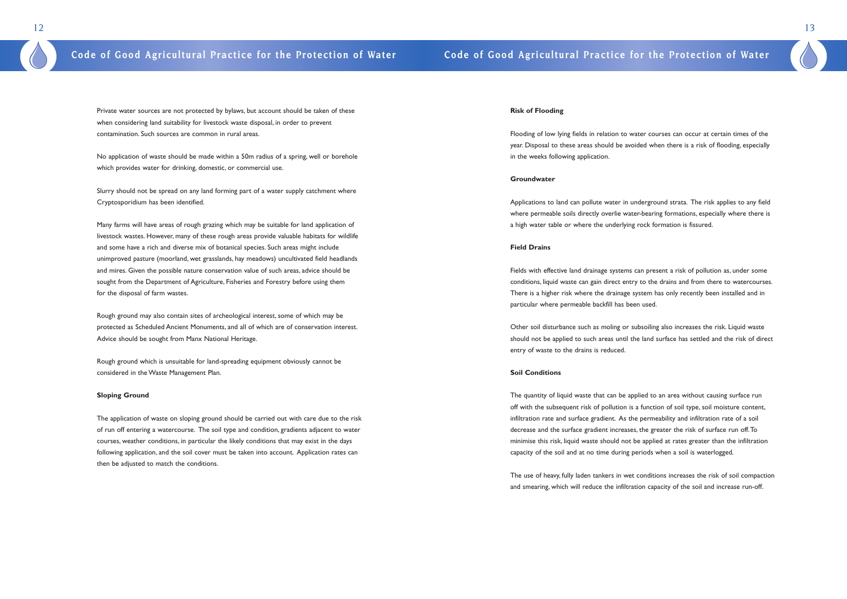### **Risk of Flooding**

Flooding of low lying fields in relation to water courses can occur at certain times of the year. Disposal to these areas should be avoided when there is a risk of flooding, especially in the weeks following application.

### **Groundwater**

Applications to land can pollute water in underground strata. The risk applies to any field where permeable soils directly overlie water-bearing formations, especially where there is a high water table or where the underlying rock formation is fissured.

### **Field Drains**

Fields with effective land drainage systems can present a risk of pollution as, under some conditions, liquid waste can gain direct entry to the drains and from there to watercourses. There is a higher risk where the drainage system has only recently been installed and in particular where permeable backfill has been used.

Other soil disturbance such as moling or subsoiling also increases the risk. Liquid waste should not be applied to such areas until the land surface has settled and the risk of direct entry of waste to the drains is reduced.

### **Soil Conditions**

The quantity of liquid waste that can be applied to an area without causing surface run off with the subsequent risk of pollution is a function of soil type, soil moisture content, infiltration rate and surface gradient. As the permeability and infiltration rate of a soil decrease and the surface gradient increases, the greater the risk of surface run off.To minimise this risk, liquid waste should not be applied at rates greater than the infiltration capacity of the soil and at no time during periods when a soil is waterlogged.

The use of heavy, fully laden tankers in wet conditions increases the risk of soil compaction and smearing, which will reduce the infiltration capacity of the soil and increase run-off.

13

Private water sources are not protected by bylaws, but account should be taken of these when considering land suitability for livestock waste disposal, in order to prevent contamination. Such sources are common in rural areas.

No application of waste should be made within a 50m radius of a spring, well or borehole which provides water for drinking, domestic, or commercial use.

Slurry should not be spread on any land forming part of a water supply catchment where Cryptosporidium has been identified.

Many farms will have areas of rough grazing which may be suitable for land application of livestock wastes. However, many of these rough areas provide valuable habitats for wildlife and some have a rich and diverse mix of botanical species. Such areas might include unimproved pasture (moorland, wet grasslands, hay meadows) uncultivated field headlands and mires. Given the possible nature conservation value of such areas, advice should be sought from the Department of Agriculture, Fisheries and Forestry before using them for the disposal of farm wastes.

Rough ground may also contain sites of archeological interest, some of which may be protected as Scheduled Ancient Monuments, and all of which are of conservation interest. Advice should be sought from Manx National Heritage.

Rough ground which is unsuitable for land-spreading equipment obviously cannot be considered in the Waste Management Plan.

### **Sloping Ground**

The application of waste on sloping ground should be carried out with care due to the risk of run off entering a watercourse. The soil type and condition, gradients adjacent to water courses, weather conditions, in particular the likely conditions that may exist in the days following application, and the soil cover must be taken into account. Application rates can then be adjusted to match the conditions.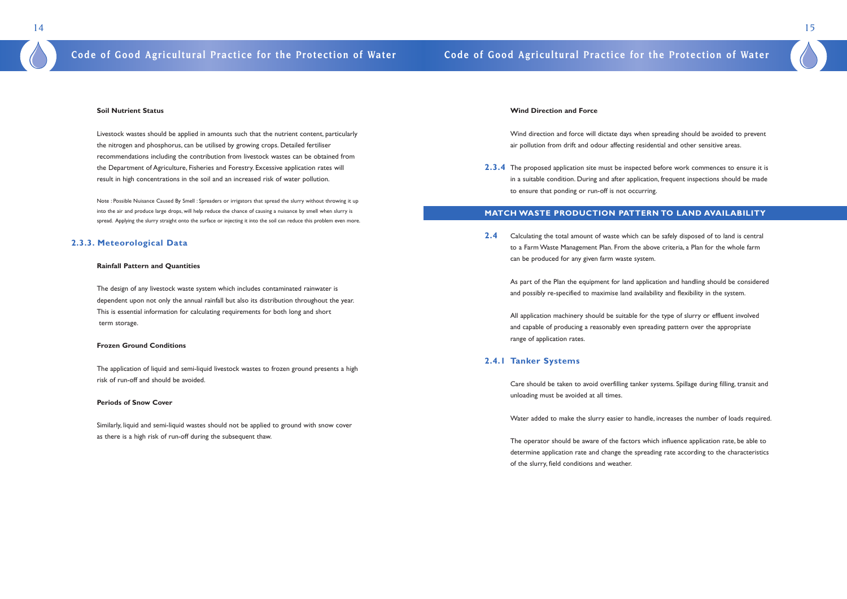### **Wind Direction and Force**

Wind direction and force will dictate days when spreading should be avoided to prevent air pollution from drift and odour affecting residential and other sensitive areas.

**2.3.4** The proposed application site must be inspected before work commences to ensure it is in a suitable condition. During and after application, frequent inspections should be made to ensure that ponding or run-off is not occurring.

### **MATCH WASTE PRODUCTION PATTERN TO LAND AVAILABILITY**

**2.4** Calculating the total amount of waste which can be safely disposed of to land is central to a Farm Waste Management Plan. From the above criteria, a Plan for the whole farm can be produced for any given farm waste system.

As part of the Plan the equipment for land application and handling should be considered and possibly re-specified to maximise land availability and flexibility in the system.

All application machinery should be suitable for the type of slurry or effluent involved and capable of producing a reasonably even spreading pattern over the appropriate range of application rates.

### **2.4.1 Tanker Systems**

Care should be taken to avoid overfilling tanker systems. Spillage during filling, transit and unloading must be avoided at all times.

Water added to make the slurry easier to handle, increases the number of loads required.

The operator should be aware of the factors which influence application rate, be able to determine application rate and change the spreading rate according to the characteristics of the slurry, field conditions and weather.

15

### **Soil Nutrient Status**

Livestock wastes should be applied in amounts such that the nutrient content, particularly the nitrogen and phosphorus, can be utilised by growing crops. Detailed fertiliser recommendations including the contribution from livestock wastes can be obtained from the Department of Agriculture, Fisheries and Forestry. Excessive application rates will result in high concentrations in the soil and an increased risk of water pollution.

Note : Possible Nuisance Caused By Smell : Spreaders or irrigators that spread the slurry without throwing it up into the air and produce large drops, will help reduce the chance of causing a nuisance by smell when slurry is spread. Applying the slurry straight onto the surface or injecting it into the soil can reduce this problem even more.

### **2.3.3. Meteorological Data**

### **Rainfall Pattern and Quantities**

The design of any livestock waste system which includes contaminated rainwater is dependent upon not only the annual rainfall but also its distribution throughout the year. This is essential information for calculating requirements for both long and short term storage.

### **Frozen Ground Conditions**

The application of liquid and semi-liquid livestock wastes to frozen ground presents a high risk of run-off and should be avoided.

### **Periods of Snow Cover**

Similarly, liquid and semi-liquid wastes should not be applied to ground with snow cover as there is a high risk of run-off during the subsequent thaw.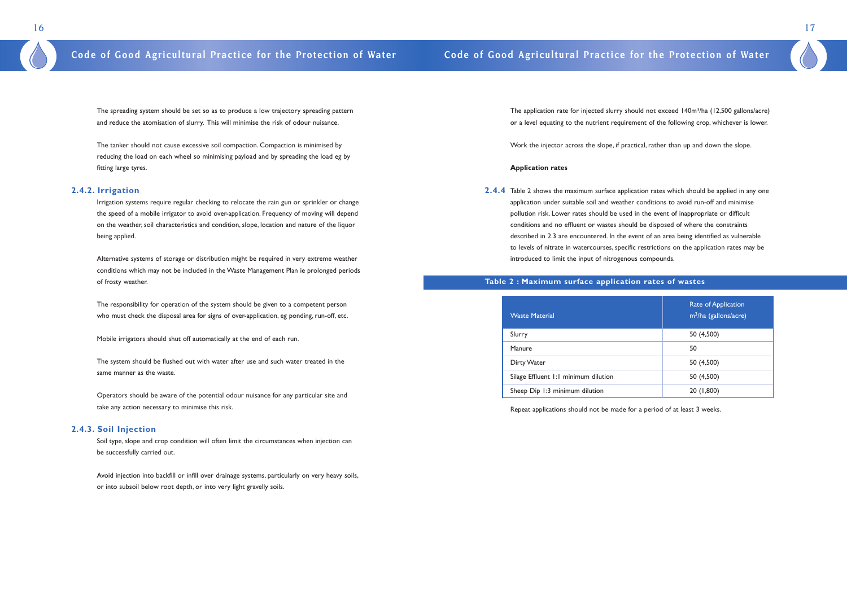The application rate for injected slurry should not exceed 140m<sup>3</sup>/ha (12,500 gallons/acre) or a level equating to the nutrient requirement of the following crop, whichever is lower.

Work the injector across the slope, if practical, rather than up and down the slope.

### **Application rates**

**2.4.4** Table 2 shows the maximum surface application rates which should be applied in any one application under suitable soil and weather conditions to avoid run-off and minimise pollution risk. Lower rates should be used in the event of inappropriate or difficult conditions and no effluent or wastes should be disposed of where the constraints described in 2.3 are encountered. In the event of an area being identified as vulnerable to levels of nitrate in watercourses, specific restrictions on the application rates may be introduced to limit the input of nitrogenous compounds.

| <b>Waste Material</b>                | Rate of Application<br>m <sup>3</sup> /ha (gallons/acre) |
|--------------------------------------|----------------------------------------------------------|
| Slurry                               | 50 (4,500)                                               |
| Manure                               | 50                                                       |
| Dirty Water                          | 50 (4,500)                                               |
| Silage Effluent 1:1 minimum dilution | 50 (4,500)                                               |
| Sheep Dip 1:3 minimum dilution       | 20 (1,800)                                               |

Repeat applications should not be made for a period of at least 3 weeks.

17

The spreading system should be set so as to produce a low trajectory spreading pattern and reduce the atomisation of slurry. This will minimise the risk of odour nuisance.

The tanker should not cause excessive soil compaction. Compaction is minimised by reducing the load on each wheel so minimising payload and by spreading the load eg by fitting large tyres.

### **2.4.2. Irrigation**

Irrigation systems require regular checking to relocate the rain gun or sprinkler or change the speed of a mobile irrigator to avoid over-application. Frequency of moving will depend on the weather, soil characteristics and condition, slope, location and nature of the liquor being applied.

Alternative systems of storage or distribution might be required in very extreme weather conditions which may not be included in the Waste Management Plan ie prolonged periods of frosty weather.

The responsibility for operation of the system should be given to a competent person who must check the disposal area for signs of over-application, eg ponding, run-off, etc.

Mobile irrigators should shut off automatically at the end of each run.

The system should be flushed out with water after use and such water treated in the same manner as the waste.

Operators should be aware of the potential odour nuisance for any particular site and take any action necessary to minimise this risk.

### **2.4.3. Soil Injection**

Soil type, slope and crop condition will often limit the circumstances when injection can be successfully carried out.

Avoid injection into backfill or infill over drainage systems, particularly on very heavy soils, or into subsoil below root depth, or into very light gravelly soils.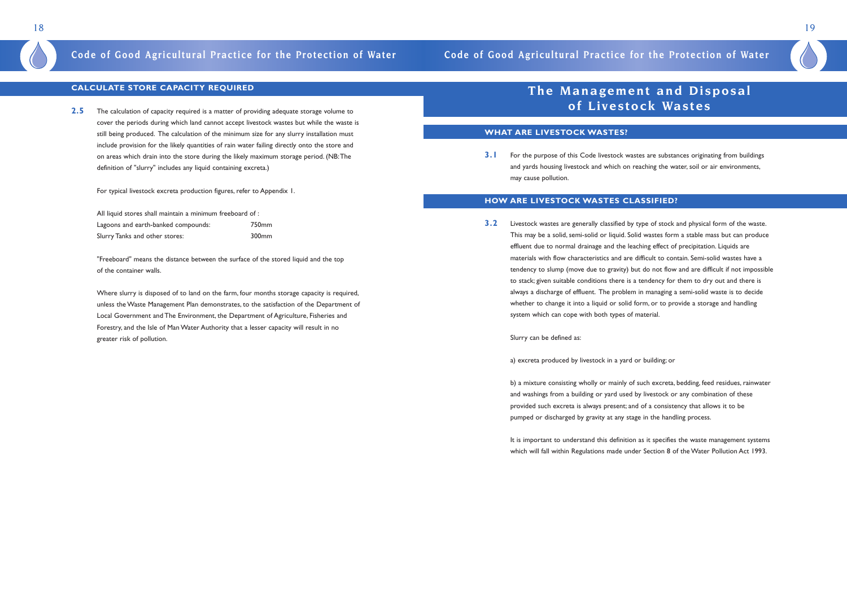### **CALCULATE STORE CAPACITY REQUIRED**

**2.5** The calculation of capacity required is a matter of providing adequate storage volume to cover the periods during which land cannot accept livestock wastes but while the waste is still being produced. The calculation of the minimum size for any slurry installation must include provision for the likely quantities of rain water failing directly onto the store and on areas which drain into the store during the likely maximum storage period. (NB:The definition of "slurry" includes any liquid containing excreta.)

For typical livestock excreta production figures, refer to Appendix 1.

All liquid stores shall maintain a minimum freeboard of : Lagoons and earth-banked compounds: 750mm Slurry Tanks and other stores: 300mm

"Freeboard" means the distance between the surface of the stored liquid and the top of the container walls.

**3.1** For the purpose of this Code livestock wastes are substances originating from buildings and yards housing livestock and which on reaching the water, soil or air environments, may cause pollution.

Where slurry is disposed of to land on the farm, four months storage capacity is required, unless the Waste Management Plan demonstrates, to the satisfaction of the Department of Local Government and The Environment, the Department of Agriculture, Fisheries and Forestry, and the Isle of Man Water Authority that a lesser capacity will result in no greater risk of pollution.

## **The Management and Disposal of Livestock Wastes**

### **WHAT ARE LIVESTOCK WASTES?**

It is important to understand this definition as it specifies the waste management systems which will fall within Regulations made under Section 8 of the Water Pollution Act 1993.

### **HOW ARE LIVESTOCK WASTES CLASSIFIED?**

**3.2** Livestock wastes are generally classified by type of stock and physical form of the waste. This may be a solid, semi-solid or liquid. Solid wastes form a stable mass but can produce effluent due to normal drainage and the leaching effect of precipitation. Liquids are materials with flow characteristics and are difficult to contain. Semi-solid wastes have a tendency to slump (move due to gravity) but do not flow and are difficult if not impossible to stack; given suitable conditions there is a tendency for them to dry out and there is always a discharge of effluent. The problem in managing a semi-solid waste is to decide whether to change it into a liquid or solid form, or to provide a storage and handling system which can cope with both types of material.

Slurry can be defined as:

a) excreta produced by livestock in a yard or building; or

b) a mixture consisting wholly or mainly of such excreta, bedding, feed residues, rainwater and washings from a building or yard used by livestock or any combination of these provided such excreta is always present; and of a consistency that allows it to be pumped or discharged by gravity at any stage in the handling process.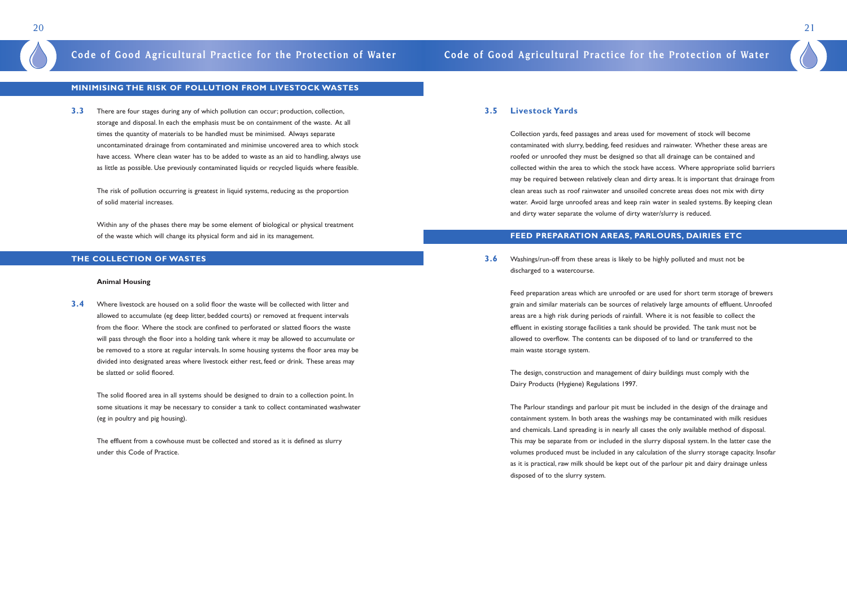### **3.5 Livestock Yards**

Collection yards, feed passages and areas used for movement of stock will become contaminated with slurry, bedding, feed residues and rainwater. Whether these areas are roofed or unroofed they must be designed so that all drainage can be contained and collected within the area to which the stock have access. Where appropriate solid barriers may be required between relatively clean and dirty areas. It is important that drainage from clean areas such as roof rainwater and unsoiled concrete areas does not mix with dirty water. Avoid large unroofed areas and keep rain water in sealed systems. By keeping clean and dirty water separate the volume of dirty water/slurry is reduced.

### **FEED PREPARATION AREAS, PARLOURS, DAIRIES ETC**

**3.6** Washings/run-off from these areas is likely to be highly polluted and must not be discharged to a watercourse.

> Feed preparation areas which are unroofed or are used for short term storage of brewers grain and similar materials can be sources of relatively large amounts of effluent. Unroofed areas are a high risk during periods of rainfall. Where it is not feasible to collect the effluent in existing storage facilities a tank should be provided. The tank must not be allowed to overflow. The contents can be disposed of to land or transferred to the main waste storage system.

The design, construction and management of dairy buildings must comply with the Dairy Products (Hygiene) Regulations 1997.

The Parlour standings and parlour pit must be included in the design of the drainage and containment system. In both areas the washings may be contaminated with milk residues and chemicals. Land spreading is in nearly all cases the only available method of disposal. This may be separate from or included in the slurry disposal system. In the latter case the volumes produced must be included in any calculation of the slurry storage capacity. Insofar as it is practical, raw milk should be kept out of the parlour pit and dairy drainage unless disposed of to the slurry system.

21

### **MINIMISING THE RISK OF POLLUTION FROM LIVESTOCK WASTES**

**3.3** There are four stages during any of which pollution can occur; production, collection, storage and disposal. In each the emphasis must be on containment of the waste. At all times the quantity of materials to be handled must be minimised. Always separate uncontaminated drainage from contaminated and minimise uncovered area to which stock have access. Where clean water has to be added to waste as an aid to handling, always use as little as possible. Use previously contaminated liquids or recycled liquids where feasible.

The risk of pollution occurring is greatest in liquid systems, reducing as the proportion of solid material increases.

Within any of the phases there may be some element of biological or physical treatment of the waste which will change its physical form and aid in its management.

### **THE COLLECTION OF WASTES**

### **Animal Housing**

**3.4** Where livestock are housed on a solid floor the waste will be collected with litter and allowed to accumulate (eg deep litter, bedded courts) or removed at frequent intervals from the floor. Where the stock are confined to perforated or slatted floors the waste will pass through the floor into a holding tank where it may be allowed to accumulate or be removed to a store at regular intervals. In some housing systems the floor area may be divided into designated areas where livestock either rest, feed or drink. These areas may be slatted or solid floored.

The solid floored area in all systems should be designed to drain to a collection point. In some situations it may be necessary to consider a tank to collect contaminated washwater (eg in poultry and pig housing).

The effluent from a cowhouse must be collected and stored as it is defined as slurry under this Code of Practice.

## **Code of Good Agricultural Practice for the Protection of Water Code of Good Agricultural Practice for the Protection of Water**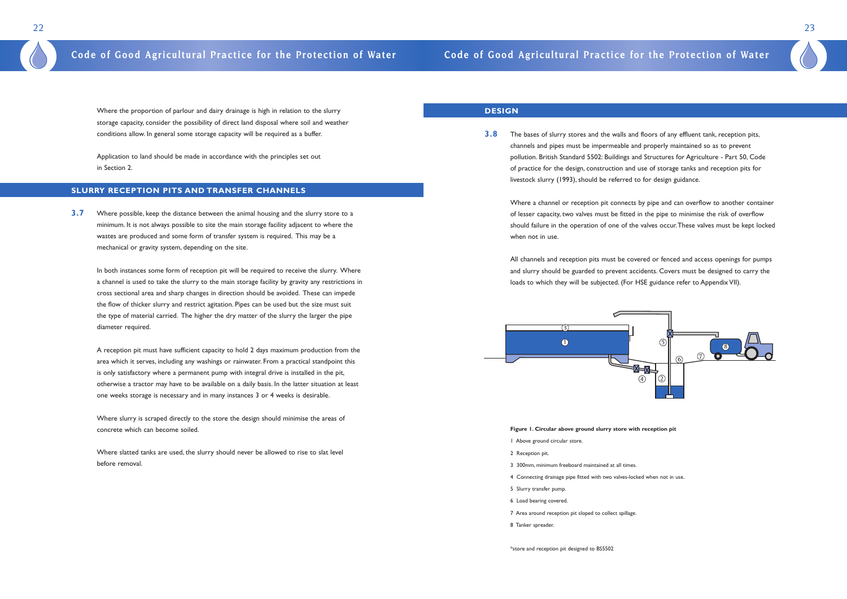### **DESIGN**

**3.8** The bases of slurry stores and the walls and floors of any effluent tank, reception pits, channels and pipes must be impermeable and properly maintained so as to prevent pollution. British Standard 5502: Buildings and Structures for Agriculture - Part 50, Code of practice for the design, construction and use of storage tanks and reception pits for livestock slurry (1993), should be referred to for design guidance.

Where a channel or reception pit connects by pipe and can overflow to another container of lesser capacity, two valves must be fitted in the pipe to minimise the risk of overflow should failure in the operation of one of the valves occur.These valves must be kept locked when not in use.

All channels and reception pits must be covered or fenced and access openings for pumps and slurry should be guarded to prevent accidents. Covers must be designed to carry the loads to which they will be subjected. (For HSE guidance refer to Appendix VII).

### **Figure 1. Circular above ground slurry store with reception pit**

- 1 Above ground circular store.
- 2 Reception pit.
- 3 300mm, minimum freeboard maintained at all times.
- 4 Connecting drainage pipe fitted with two valves-locked when not in use.
- 5 Slurry transfer pump.
- 6 Load bearing covered.
- 7 Area around reception pit sloped to collect spillage.
- 8 Tanker spreader.

In both instances some form of reception pit will be required to receive the slurry. Where a channel is used to take the slurry to the main storage facility by gravity any restrictions in cross sectional area and sharp changes in direction should be avoided. These can impede the flow of thicker slurry and restrict agitation. Pipes can be used but the size must suit the type of material carried. The higher the dry matter of the slurry the larger the pipe diameter required.

\*store and reception pit designed to BS5502

23

Where the proportion of parlour and dairy drainage is high in relation to the slurry storage capacity, consider the possibility of direct land disposal where soil and weather conditions allow. In general some storage capacity will be required as a buffer.

Application to land should be made in accordance with the principles set out in Section 2.

### **SLURRY RECEPTION PITS AND TRANSFER CHANNELS**

**3.7** Where possible, keep the distance between the animal housing and the slurry store to a minimum. It is not always possible to site the main storage facility adjacent to where the wastes are produced and some form of transfer system is required. This may be a mechanical or gravity system, depending on the site.

A reception pit must have sufficient capacity to hold 2 days maximum production from the area which it serves, including any washings or rainwater. From a practical standpoint this is only satisfactory where a permanent pump with integral drive is installed in the pit, otherwise a tractor may have to be available on a daily basis. In the latter situation at least one weeks storage is necessary and in many instances 3 or 4 weeks is desirable.

Where slurry is scraped directly to the store the design should minimise the areas of concrete which can become soiled.

Where slatted tanks are used, the slurry should never be allowed to rise to slat level before removal.

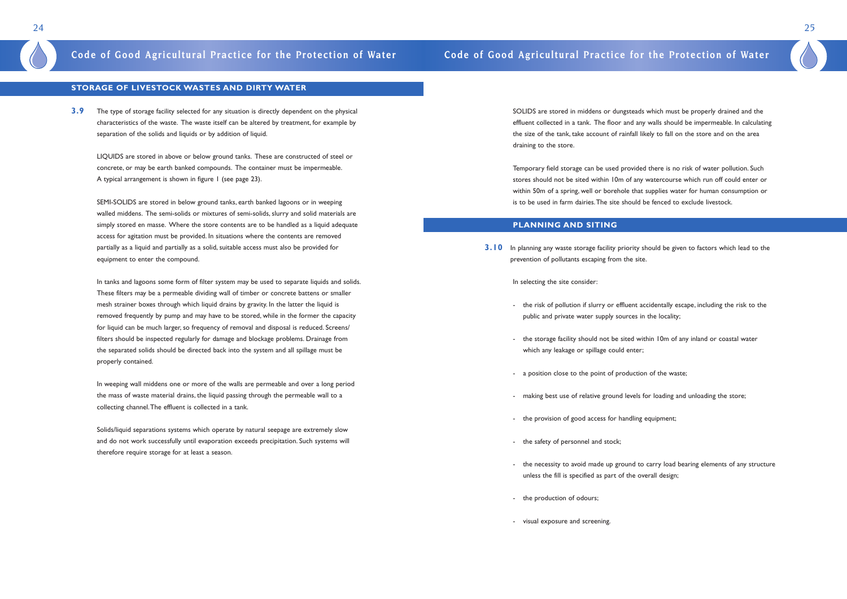SOLIDS are stored in middens or dungsteads which must be properly drained and the effluent collected in a tank. The floor and any walls should be impermeable. In calculating the size of the tank, take account of rainfall likely to fall on the store and on the area draining to the store.

Temporary field storage can be used provided there is no risk of water pollution. Such stores should not be sited within 10m of any watercourse which run off could enter or within 50m of a spring, well or borehole that supplies water for human consumption or is to be used in farm dairies.The site should be fenced to exclude livestock.

### **PLANNING AND SITING**

**3.10** In planning any waste storage facility priority should be given to factors which lead to the prevention of pollutants escaping from the site.

In selecting the site consider:

- the risk of pollution if slurry or effluent accidentally escape, including the risk to the

- the storage facility should not be sited within 10m of any inland or coastal water

- public and private water supply sources in the locality;
- which any leakage or spillage could enter;
- a position close to the point of production of the waste;
- making best use of relative ground levels for loading and unloading the store;
- the provision of good access for handling equipment;
- the safety of personnel and stock;
- unless the fill is specified as part of the overall design;
- the production of odours;
- visual exposure and screening.

- the necessity to avoid made up ground to carry load bearing elements of any structure

25

### **STORAGE OF LIVESTOCK WASTES AND DIRTY WATER**

**3.9** The type of storage facility selected for any situation is directly dependent on the physical characteristics of the waste. The waste itself can be altered by treatment, for example by separation of the solids and liquids or by addition of liquid.

LIQUIDS are stored in above or below ground tanks. These are constructed of steel or concrete, or may be earth banked compounds. The container must be impermeable. A typical arrangement is shown in figure 1 (see page 23).

SEMI-SOLIDS are stored in below ground tanks, earth banked lagoons or in weeping walled middens. The semi-solids or mixtures of semi-solids, slurry and solid materials are simply stored en masse. Where the store contents are to be handled as a liquid adequate access for agitation must be provided. In situations where the contents are removed partially as a liquid and partially as a solid, suitable access must also be provided for equipment to enter the compound.

In tanks and lagoons some form of filter system may be used to separate liquids and solids. These filters may be a permeable dividing wall of timber or concrete battens or smaller mesh strainer boxes through which liquid drains by gravity. In the latter the liquid is removed frequently by pump and may have to be stored, while in the former the capacity for liquid can be much larger, so frequency of removal and disposal is reduced. Screens/ filters should be inspected regularly for damage and blockage problems. Drainage from the separated solids should be directed back into the system and all spillage must be properly contained.

In weeping wall middens one or more of the walls are permeable and over a long period the mass of waste material drains, the liquid passing through the permeable wall to a collecting channel.The effluent is collected in a tank.

Solids/liquid separations systems which operate by natural seepage are extremely slow and do not work successfully until evaporation exceeds precipitation. Such systems will therefore require storage for at least a season.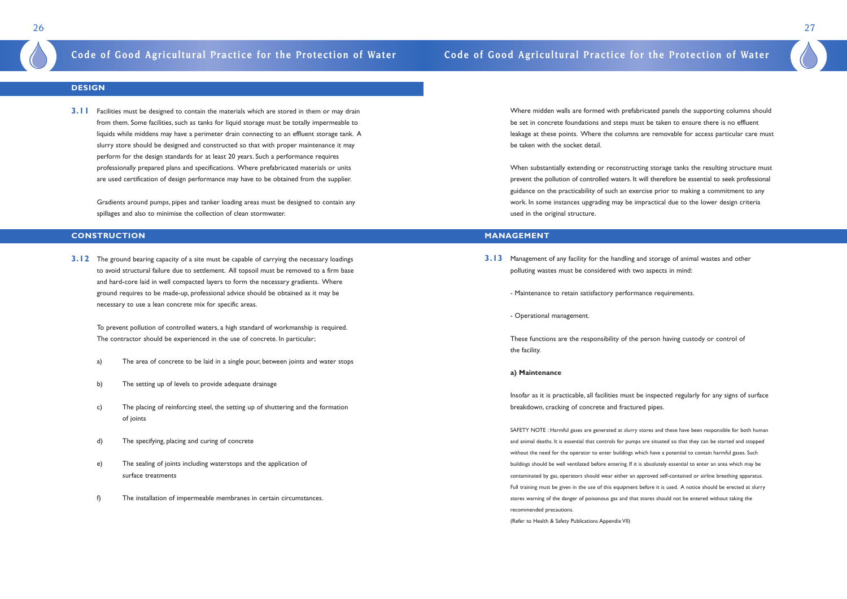Where midden walls are formed with prefabricated panels the supporting columns should be set in concrete foundations and steps must be taken to ensure there is no effluent leakage at these points. Where the columns are removable for access particular care must be taken with the socket detail.

When substantially extending or reconstructing storage tanks the resulting structure must prevent the pollution of controlled waters. It will therefore be essential to seek professional guidance on the practicability of such an exercise prior to making a commitment to any work. In some instances upgrading may be impractical due to the lower design criteria used in the original structure.

### **MANAGEMENT**

- **3.13** Management of any facility for the handling and storage of animal wastes and other polluting wastes must be considered with two aspects in mind:
	- Maintenance to retain satisfactory performance requirements.
	- Operational management.

These functions are the responsibility of the person having custody or control of the facility.

### **a) Maintenance**

Insofar as it is practicable, all facilities must be inspected regularly for any signs of surface breakdown, cracking of concrete and fractured pipes.

SAFETY NOTE : Harmful gases are generated at slurry stores and these have been responsible for both human and animal deaths. It is essential that controls for pumps are situated so that they can be started and stopped without the need for the operator to enter buildings which have a potential to contain harmful gases. Such buildings should be well ventilated before entering. If it is absolutely essential to enter an area which may be contaminated by gas, operators should wear either an approved self-contained or airline breathing apparatus. Full training must be given in the use of this equipment before it is used. A notice should be erected at slurry stores warning of the danger of poisonous gas and that stores should not be entered without taking the recommended precautions.

**3.12** The ground bearing capacity of a site must be capable of carrying the necessary loadings to avoid structural failure due to settlement. All topsoil must be removed to a firm base and hard-core laid in well compacted layers to form the necessary gradients. Where ground requires to be made-up, professional advice should be obtained as it may be necessary to use a lean concrete mix for specific areas.

(Refer to Health & Safety Publications Appendix VII)

27

### **DESIGN**

**3.11** Facilities must be designed to contain the materials which are stored in them or may drain from them. Some facilities, such as tanks for liquid storage must be totally impermeable to liquids while middens may have a perimeter drain connecting to an effluent storage tank. A slurry store should be designed and constructed so that with proper maintenance it may perform for the design standards for at least 20 years. Such a performance requires professionally prepared plans and specifications. Where prefabricated materials or units are used certification of design performance may have to be obtained from the supplier.

Gradients around pumps, pipes and tanker loading areas must be designed to contain any spillages and also to minimise the collection of clean stormwater.

### **CONSTRUCTION**

To prevent pollution of controlled waters, a high standard of workmanship is required. The contractor should be experienced in the use of concrete. In particular;

- a) The area of concrete to be laid in a single pour, between joints and water stops
- b) The setting up of levels to provide adequate drainage
- c) The placing of reinforcing steel, the setting up of shuttering and the formation of joints
- d) The specifying, placing and curing of concrete
- e) The sealing of joints including waterstops and the application of surface treatments
- f) The installation of impermeable membranes in certain circumstances.

## **Code of Good Agricultural Practice for the Protection of Water Code of Good Agricultural Practice for the Protection of Water**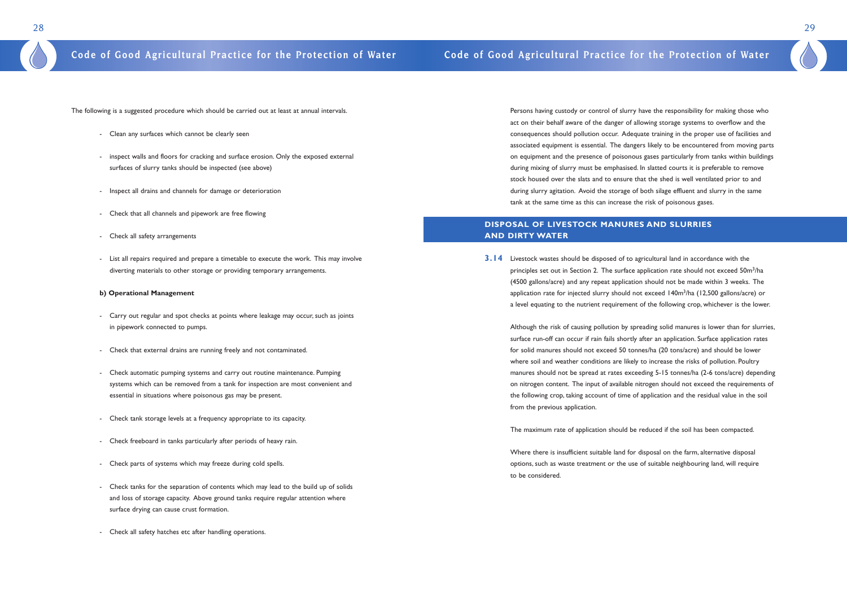Persons having custody or control of slurry have the responsibility for making those who act on their behalf aware of the danger of allowing storage systems to overflow and the consequences should pollution occur. Adequate training in the proper use of facilities and associated equipment is essential. The dangers likely to be encountered from moving parts on equipment and the presence of poisonous gases particularly from tanks within buildings during mixing of slurry must be emphasised. In slatted courts it is preferable to remove stock housed over the slats and to ensure that the shed is well ventilated prior to and during slurry agitation. Avoid the storage of both silage effluent and slurry in the same tank at the same time as this can increase the risk of poisonous gases.

### **DISPOSAL OF LIVESTOCK MANURES AND SLURRIES AND DIRTY WATER**

**3.14** Livestock wastes should be disposed of to agricultural land in accordance with the principles set out in Section 2. The surface application rate should not exceed 50m<sup>3</sup>/ha (4500 gallons/acre) and any repeat application should not be made within 3 weeks. The application rate for injected slurry should not exceed 140m3/ha (12,500 gallons/acre) or

a level equating to the nutrient requirement of the following crop, whichever is the lower.

Although the risk of causing pollution by spreading solid manures is lower than for slurries, surface run-off can occur if rain fails shortly after an application. Surface application rates for solid manures should not exceed 50 tonnes/ha (20 tons/acre) and should be lower where soil and weather conditions are likely to increase the risks of pollution. Poultry manures should not be spread at rates exceeding 5-15 tonnes/ha (2-6 tons/acre) depending on nitrogen content. The input of available nitrogen should not exceed the requirements of the following crop, taking account of time of application and the residual value in the soil from the previous application.

The maximum rate of application should be reduced if the soil has been compacted.

Where there is insufficient suitable land for disposal on the farm, alternative disposal options, such as waste treatment or the use of suitable neighbouring land, will require to be considered.

29

The following is a suggested procedure which should be carried out at least at annual intervals.

- Clean any surfaces which cannot be clearly seen
- inspect walls and floors for cracking and surface erosion. Only the exposed external surfaces of slurry tanks should be inspected (see above)
- Inspect all drains and channels for damage or deterioration
- Check that all channels and pipework are free flowing
- Check all safety arrangements
- List all repairs required and prepare a timetable to execute the work. This may involve diverting materials to other storage or providing temporary arrangements.

### **b) Operational Management**

- Carry out regular and spot checks at points where leakage may occur, such as joints in pipework connected to pumps.
- Check that external drains are running freely and not contaminated.
- Check automatic pumping systems and carry out routine maintenance. Pumping systems which can be removed from a tank for inspection are most convenient and essential in situations where poisonous gas may be present.
- Check tank storage levels at a frequency appropriate to its capacity.
- Check freeboard in tanks particularly after periods of heavy rain.
- Check parts of systems which may freeze during cold spells.
- Check tanks for the separation of contents which may lead to the build up of solids and loss of storage capacity. Above ground tanks require regular attention where surface drying can cause crust formation.
- Check all safety hatches etc after handling operations.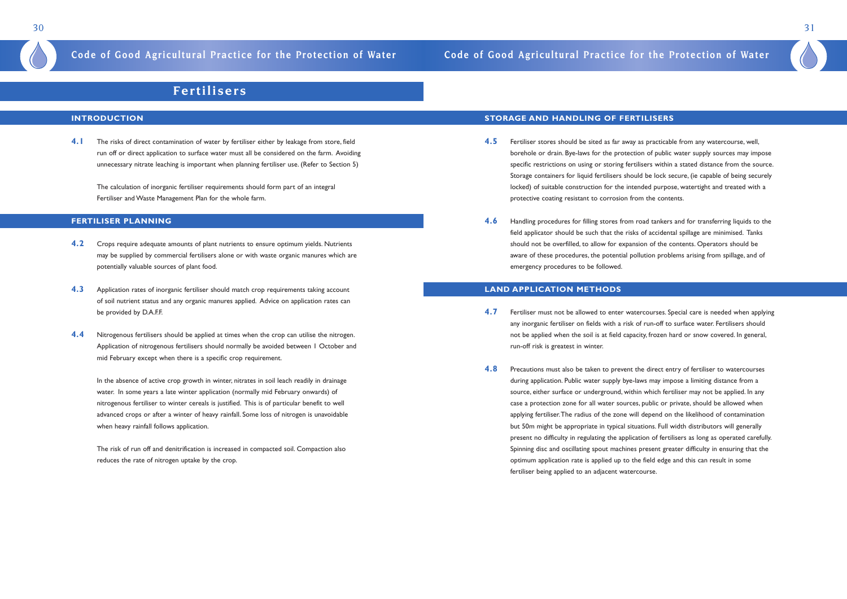## **Fertilisers**

### **INTRODUCTION**

**4.1** The risks of direct contamination of water by fertiliser either by leakage from store, field run off or direct application to surface water must all be considered on the farm. Avoiding unnecessary nitrate leaching is important when planning fertiliser use. (Refer to Section 5)

The calculation of inorganic fertiliser requirements should form part of an integral Fertiliser and Waste Management Plan for the whole farm.

### **FERTILISER PLANNING**

- **4.2** Crops require adequate amounts of plant nutrients to ensure optimum yields. Nutrients may be supplied by commercial fertilisers alone or with waste organic manures which are potentially valuable sources of plant food.
- **4.3** Application rates of inorganic fertiliser should match crop requirements taking account of soil nutrient status and any organic manures applied. Advice on application rates can be provided by D.A.F.F.
- **4.4** Nitrogenous fertilisers should be applied at times when the crop can utilise the nitrogen. Application of nitrogenous fertilisers should normally be avoided between 1 October and mid February except when there is a specific crop requirement.
- **4.5** Fertiliser stores should be sited as far away as practicable from any watercourse, well, locked) of suitable construction for the intended purpose, watertight and treated with a protective coating resistant to corrosion from the contents.
- **4.6** Handling procedures for filling stores from road tankers and for transferring liquids to the field applicator should be such that the risks of accidental spillage are minimised. Tanks should not be overfilled, to allow for expansion of the contents. Operators should be aware of these procedures, the potential pollution problems arising from spillage, and of emergency procedures to be followed.

In the absence of active crop growth in winter, nitrates in soil leach readily in drainage water. In some years a late winter application (normally mid February onwards) of nitrogenous fertiliser to winter cereals is justified. This is of particular benefit to well advanced crops or after a winter of heavy rainfall. Some loss of nitrogen is unavoidable when heavy rainfall follows application.

The risk of run off and denitrification is increased in compacted soil. Compaction also reduces the rate of nitrogen uptake by the crop.

### **STORAGE AND HANDLING OF FERTILISERS**

borehole or drain. Bye-laws for the protection of public water supply sources may impose specific restrictions on using or storing fertilisers within a stated distance from the source. Storage containers for liquid fertilisers should be lock secure, (ie capable of being securely

### **LAND APPLICATION METHODS**

- **4.7** Fertiliser must not be allowed to enter watercourses. Special care is needed when applying any inorganic fertiliser on fields with a risk of run-off to surface water. Fertilisers should not be applied when the soil is at field capacity, frozen hard or snow covered. In general, run-off risk is greatest in winter.
- **4.8** Precautions must also be taken to prevent the direct entry of fertiliser to watercourses during application. Public water supply bye-laws may impose a limiting distance from a source, either surface or underground, within which fertiliser may not be applied. In any case a protection zone for all water sources, public or private, should be allowed when applying fertiliser.The radius of the zone will depend on the likelihood of contamination but 50m might be appropriate in typical situations. Full width distributors will generally present no difficulty in regulating the application of fertilisers as long as operated carefully. Spinning disc and oscillating spout machines present greater difficulty in ensuring that the optimum application rate is applied up to the field edge and this can result in some fertiliser being applied to an adjacent watercourse.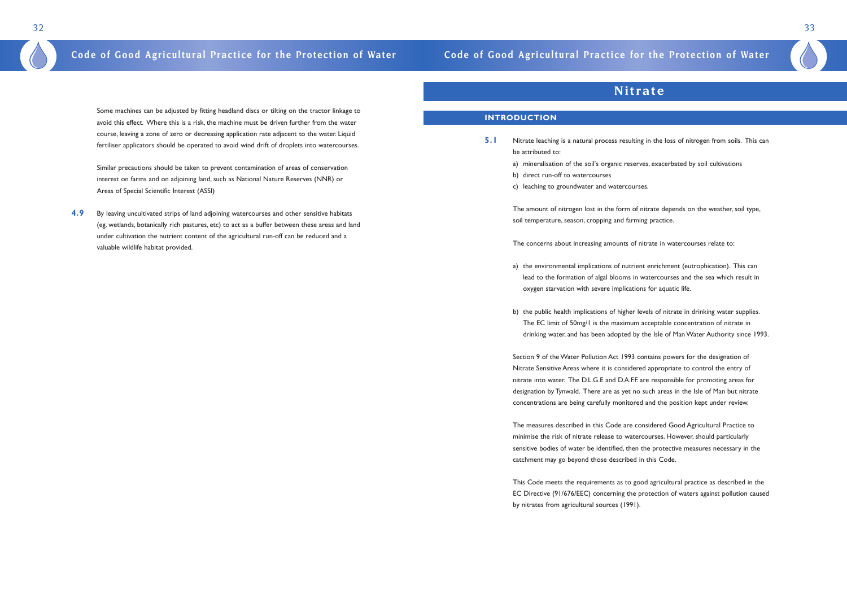Some machines can be adjusted by fitting headland discs or tilting on the tractor linkage to avoid this effect. Where this is a risk, the machine must be driven further from the water course, leaving a zone of zero or decreasing application rate adjacent to the water. Liquid fertiliser applicators should be operated to avoid wind drift of droplets into watercourses.

Similar precautions should be taken to prevent contamination of areas of conservation interest on farms and on adjoining land, such as National Nature Reserves (NNR) or Areas of Special Scientific Interest (ASSI)

**4.9** By leaving uncultivated strips of land adjoining watercourses and other sensitive habitats (eg. wetlands, botanically rich pastures, etc) to act as a buffer between these areas and land under cultivation the nutrient content of the agricultural run-off can be reduced and a valuable wildlife habitat provided.

## **Nitrate**

### **INTRODUCTION**

- **5.1** Nitrate leaching is a natural process resulting in the loss of nitrogen from soils. This can be attributed to:
	- a) mineralisation of the soil's organic reserves, exacerbated by soil cultivations
	- b) direct run-off to watercourses
	- c) leaching to groundwater and watercourses.

The amount of nitrogen lost in the form of nitrate depends on the weather, soil type, soil temperature, season, cropping and farming practice.

The concerns about increasing amounts of nitrate in watercourses relate to:

lead to the formation of algal blooms in watercourses and the sea which result in

- a) the environmental implications of nutrient enrichment (eutrophication). This can oxygen starvation with severe implications for aquatic life.
- b) the public health implications of higher levels of nitrate in drinking water supplies. The EC limit of 50mg/1 is the maximum acceptable concentration of nitrate in

drinking water, and has been adopted by the Isle of Man Water Authority since 1993.

Section 9 of the Water Pollution Act 1993 contains powers for the designation of Nitrate Sensitive Areas where it is considered appropriate to control the entry of nitrate into water. The D.L.G.E and D.A.F.F. are responsible for promoting areas for designation by Tynwald. There are as yet no such areas in the Isle of Man but nitrate concentrations are being carefully monitored and the position kept under review.

The measures described in this Code are considered Good Agricultural Practice to minimise the risk of nitrate release to watercourses. However, should particularly sensitive bodies of water be identified, then the protective measures necessary in the catchment may go beyond those described in this Code.

This Code meets the requirements as to good agricultural practice as described in the EC Directive (91/676/EEC) concerning the protection of waters against pollution caused by nitrates from agricultural sources (1991).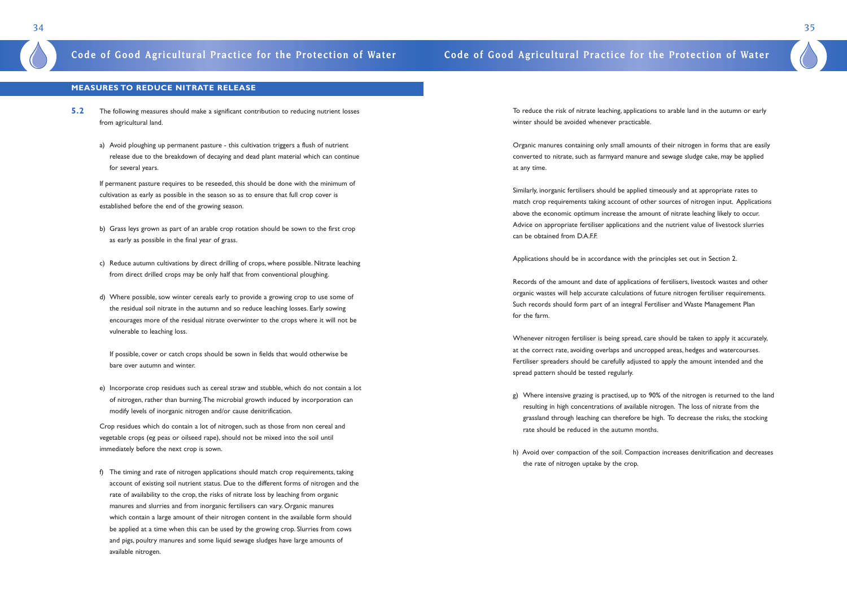To reduce the risk of nitrate leaching, applications to arable land in the autumn or early winter should be avoided whenever practicable.

Similarly, inorganic fertilisers should be applied timeously and at appropriate rates to match crop requirements taking account of other sources of nitrogen input. Applications above the economic optimum increase the amount of nitrate leaching likely to occur. Advice on appropriate fertiliser applications and the nutrient value of livestock slurries can be obtained from D.A.F.F.

Organic manures containing only small amounts of their nitrogen in forms that are easily converted to nitrate, such as farmyard manure and sewage sludge cake, may be applied at any time.

Applications should be in accordance with the principles set out in Section 2.

Records of the amount and date of applications of fertilisers, livestock wastes and other organic wastes will help accurate calculations of future nitrogen fertiliser requirements. Such records should form part of an integral Fertiliser and Waste Management Plan for the farm.

Whenever nitrogen fertiliser is being spread, care should be taken to apply it accurately, at the correct rate, avoiding overlaps and uncropped areas, hedges and watercourses. Fertiliser spreaders should be carefully adjusted to apply the amount intended and the spread pattern should be tested regularly.

g) Where intensive grazing is practised, up to 90% of the nitrogen is returned to the land resulting in high concentrations of available nitrogen. The loss of nitrate from the grassland through leaching can therefore be high. To decrease the risks, the stocking

- rate should be reduced in the autumn months.
- the rate of nitrogen uptake by the crop.

h) Avoid over compaction of the soil. Compaction increases denitrification and decreases

35

### **MEASURES TO REDUCE NITRATE RELEASE**

- **5.2** The following measures should make a significant contribution to reducing nutrient losses from agricultural land.
	- a) Avoid ploughing up permanent pasture this cultivation triggers a flush of nutrient release due to the breakdown of decaying and dead plant material which can continue for several years.

If permanent pasture requires to be reseeded, this should be done with the minimum of cultivation as early as possible in the season so as to ensure that full crop cover is established before the end of the growing season.

- b) Grass leys grown as part of an arable crop rotation should be sown to the first crop as early as possible in the final year of grass.
- c) Reduce autumn cultivations by direct drilling of crops, where possible. Nitrate leaching from direct drilled crops may be only half that from conventional ploughing.
- d) Where possible, sow winter cereals early to provide a growing crop to use some of the residual soil nitrate in the autumn and so reduce leaching losses. Early sowing encourages more of the residual nitrate overwinter to the crops where it will not be vulnerable to leaching loss.

If possible, cover or catch crops should be sown in fields that would otherwise be bare over autumn and winter.

e) Incorporate crop residues such as cereal straw and stubble, which do not contain a lot of nitrogen, rather than burning.The microbial growth induced by incorporation can modify levels of inorganic nitrogen and/or cause denitrification.

Crop residues which do contain a lot of nitrogen, such as those from non cereal and vegetable crops (eg peas or oilseed rape), should not be mixed into the soil until immediately before the next crop is sown.

f) The timing and rate of nitrogen applications should match crop requirements, taking account of existing soil nutrient status. Due to the different forms of nitrogen and the rate of availability to the crop, the risks of nitrate loss by leaching from organic manures and slurries and from inorganic fertilisers can vary. Organic manures which contain a large amount of their nitrogen content in the available form should be applied at a time when this can be used by the growing crop. Slurries from cows and pigs, poultry manures and some liquid sewage sludges have large amounts of available nitrogen.

## **Code of Good Agricultural Practice for the Protection of Water Code of Good Agricultural Practice for the Protection of Water**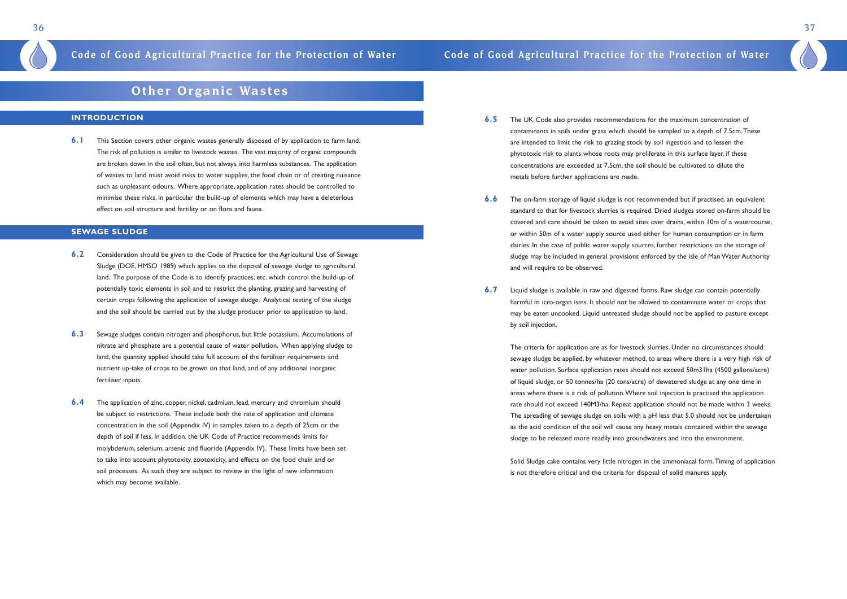- **6.5** The UK Code also provides recommendations for the maximum concentration of contaminants in soils under grass which should be sampled to a depth of 7.5cm.These are intended to limit the risk to grazing stock by soil ingestion and to lessen the phytotoxic risk to plants whose roots may proliferate in this surface layer. if these concentrations are exceeded at 7.5cm, the soil should be cultivated to dilute the metals before further applications are made.
- **6.6** The on-farm storage of liquid sludge is not recommended but if practised, an equivalent or within 50m of a water supply source used either for human consumption or in farm dairies. In the case of public water supply sources, further restrictions on the storage of and will require to be observed.
- **6.7** Liquid sludge is available in raw and digested forms. Raw sludge can contain potentially harmful m icro-organ isms. It should not be allowed to contaminate water or crops that may be eaten uncooked. Liquid untreated sludge should not be applied to pasture except by soil injection.

standard to that for livestock slurries is required. Dried sludges stored on-farm should be covered and care should be taken to avoid sites over drains, within 10m of a watercourse, sludge may be included in general provisions enforced by the isle of Man Water Authority

The criteria for application are as for livestock slurries. Under no circumstances should sewage sludge be applied, by whatever method, to areas where there is a very high risk of water pollution. Surface application rates should not exceed 50m31ha (4500 gallons/acre) of liquid sludge, or 50 tonnes/ha (20 tons/acre) of dewatered sludge at any one time in areas where there is a risk of pollution.Where soil injection is practised the application rate should not exceed 140M3/ha. Repeat application should not be made within 3 weeks. The spreading of sewage sludge on soils with a pH less that 5.0 should not be undertaken as the acid condition of the soil will cause any heavy metals contained within the sewage sludge to be released more readily into groundwaters and into the environment.

Solid Sludge cake contains very little nitrogen in the ammoniacal form.Timing of application is not therefore critical and the criteria for disposal of solid manures apply.

37

## **Other Organic Wastes**

### **INTRODUCTION**

**6.1** This Section covers other organic wastes generally disposed of by application to farm land. The risk of pollution is similar to livestock wastes. The vast majority of organic compounds are broken down in the soil often, but not always, into harmless substances. The application of wastes to land must avoid risks to water supplies, the food chain or of creating nuisance such as unpleasant odours. Where appropriate, application rates should be controlled to minimise these risks, in particular the build-up of elements which may have a deleterious effect on soil structure and fertility or on flora and fauna.

### **SEWAGE SLUDGE**

- **6.2** Consideration should be given to the Code of Practice for the Agricultural Use of Sewage Sludge (DOE, HMSO 1989) which applies to the disposal of sewage sludge to agricultural land. The purpose of the Code is to identify practices, etc. which control the build-up of potentially toxic elements in soil and to restrict the planting, grazing and harvesting of certain crops following the application of sewage sludge. Analytical testing of the sludge and the soil should be carried out by the sludge producer prior to application to land.
- **6.3** Sewage sludges contain nitrogen and phosphorus, but little potassium. Accumulations of nitrate and phosphate are a potential cause of water pollution. When applying sludge to land, the quantity applied should take full account of the fertiliser requirements and nutrient up-take of crops to be grown on that land, and of any additional inorganic fertiliser inputs.
- **6.4** The application of zinc, copper, nickel, cadmium, lead, mercury and chromium should be subject to restrictions. These include both the rate of application and ultimate concentration in the soil (Appendix IV) in samples taken to a depth of 25cm or the depth of soil if less. In addition, the UK Code of Practice recommends limits for molybdenum, selenium, arsenic and fluoride (Appendix IV). These limits have been set to take into account phytotoxity, zootoxicity, and effects on the food chain and on soil processes. As such they are subject to review in the light of new information which may become available.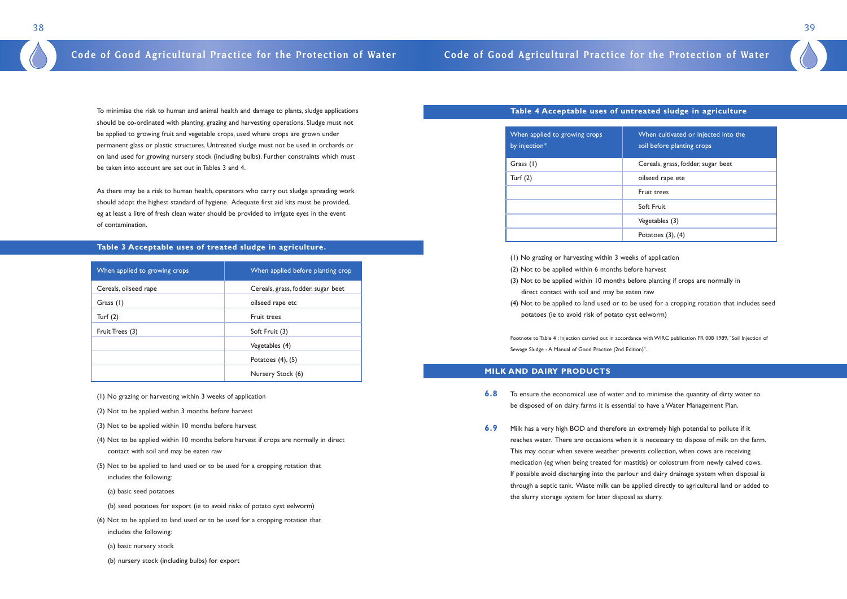### **Table 4 Acceptable uses of untreated sludge in agriculture**

| When applied to growing crops<br>by injection* | S) |
|------------------------------------------------|----|
| Grass (1)                                      | C  |
| Turf $(2)$                                     | O  |
|                                                | F  |
|                                                | S  |
|                                                |    |
|                                                | P  |

Fruit trees

Soft Fruit

Vegetables (3)

Potatoes  $(3)$ ,  $(4)$ 

- (1) No grazing or harvesting within 3 weeks of application
- (2) Not to be applied within 6 months before harvest
- (3) Not to be applied within 10 months before planting if crops are normally in direct contact with soil and may be eaten raw
- potatoes (ie to avoid risk of potato cyst eelworm)

(4) Not to be applied to land used or to be used for a cropping rotation that includes seed

Footnote to Table 4 : Injection carried out in accordance with WIRC publication FR 008 1989, "Soil Injection of Sewage Sludge - A Manual of Good Practice (2nd Edition)".

### **MILK AND DAIRY PRODUCTS**

- **6.8** To ensure the economical use of water and to minimise the quantity of dirty water to be disposed of on dairy farms it is essential to have a Water Management Plan.
- **6.9** Milk has a very high BOD and therefore an extremely high potential to pollute if it reaches water. There are occasions when it is necessary to dispose of milk on the farm. This may occur when severe weather prevents collection, when cows are receiving medication (eg when being treated for mastitis) or colostrum from newly calved cows. If possible avoid discharging into the parlour and dairy drainage system when disposal is through a septic tank. Waste milk can be applied directly to agricultural land or added to the slurry storage system for later disposal as slurry.



Vhen cultivated or injected into the

bil before planting crops

Cereals, grass, fodder, sugar beet

bilseed rape ete

To minimise the risk to human and animal health and damage to plants, sludge applications should be co-ordinated with planting, grazing and harvesting operations. Sludge must not be applied to growing fruit and vegetable crops, used where crops are grown under permanent glass or plastic structures. Untreated sludge must not be used in orchards or on land used for growing nursery stock (including bulbs). Further constraints which must be taken into account are set out in Tables 3 and 4.

As there may be a risk to human health, operators who carry out sludge spreading work should adopt the highest standard of hygiene. Adequate first aid kits must be provided, eg at least a litre of fresh clean water should be provided to irrigate eyes in the event of contamination.

### **Table 3 Acceptable uses of treated sludge in agriculture.**

| When applied to growing crops | When applied before planting crop  |
|-------------------------------|------------------------------------|
| Cereals, oilseed rape         | Cereals, grass, fodder, sugar beet |
| Grass (1)                     | oilseed rape etc                   |
| Turf $(2)$                    | Fruit trees                        |
| Fruit Trees (3)               | Soft Fruit (3)                     |
|                               | Vegetables (4)                     |
|                               | Potatoes $(4)$ , $(5)$             |
|                               | Nursery Stock (6)                  |

- (1) No grazing or harvesting within 3 weeks of application
- (2) Not to be applied within 3 months before harvest
- (3) Not to be applied within 10 months before harvest
- (4) Not to be applied within 10 months before harvest if crops are normally in direct contact with soil and may be eaten raw
- (5) Not to be applied to land used or to be used for a cropping rotation that includes the following:
	- (a) basic seed potatoes
	- (b) seed potatoes for export (ie to avoid risks of potato cyst eelworm)
- (6) Not to be applied to land used or to be used for a cropping rotation that includes the following:
	- (a) basic nursery stock
	- (b) nursery stock (including bulbs) for export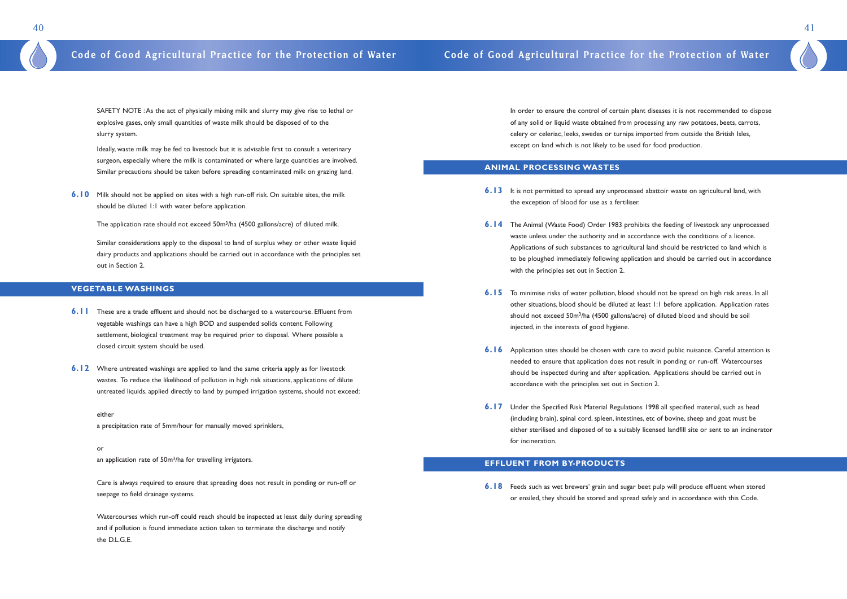In order to ensure the control of certain plant diseases it is not recommended to dispose of any solid or liquid waste obtained from processing any raw potatoes, beets, carrots, celery or celeriac, leeks, swedes or turnips imported from outside the British Isles, except on land which is not likely to be used for food production.

### **ANIMAL PROCESSING WASTES**

to be ploughed immediately following application and should be carried out in accordance

- **6.13** It is not permitted to spread any unprocessed abattoir waste on agricultural land, with the exception of blood for use as a fertiliser.
- **6.14** The Animal (Waste Food) Order 1983 prohibits the feeding of livestock any unprocessed waste unless under the authority and in accordance with the conditions of a licence. Applications of such substances to agricultural land should be restricted to land which is with the principles set out in Section 2.
- **6.15** To minimise risks of water pollution, blood should not be spread on high risk areas. In all other situations, blood should be diluted at least 1:1 before application. Application rates should not exceed 50m<sup>3</sup>/ha (4500 gallons/acre) of diluted blood and should be soil injected, in the interests of good hygiene.
- **6.16** Application sites should be chosen with care to avoid public nuisance. Careful attention is needed to ensure that application does not result in ponding or run-off. Watercourses should be inspected during and after application. Applications should be carried out in accordance with the principles set out in Section 2.
- **6.17** Under the Specified Risk Material Regulations 1998 all specified material, such as head (including brain), spinal cord, spleen, intestines, etc of bovine, sheep and goat must be for incineration.

**6.10** Milk should not be applied on sites with a high run-off risk. On suitable sites, the milk should be diluted 1:1 with water before application.

The application rate should not exceed 50m<sup>3</sup>/ha (4500 gallons/acre) of diluted milk.

either sterilised and disposed of to a suitably licensed landfill site or sent to an incinerator

### **EFFLUENT FROM BY-PRODUCTS**

**6.18** Feeds such as wet brewers' grain and sugar beet pulp will produce effluent when stored or ensiled, they should be stored and spread safely and in accordance with this Code.

41

SAFETY NOTE :As the act of physically mixing milk and slurry may give rise to lethal or explosive gases, only small quantities of waste milk should be disposed of to the slurry system.

Ideally, waste milk may be fed to livestock but it is advisable first to consult a veterinary surgeon, especially where the milk is contaminated or where large quantities are involved. Similar precautions should be taken before spreading contaminated milk on grazing land.

Similar considerations apply to the disposal to land of surplus whey or other waste liquid dairy products and applications should be carried out in accordance with the principles set out in Section 2.

### **VEGETABLE WASHINGS**

- **6.11** These are a trade effluent and should not be discharged to a watercourse. Effluent from vegetable washings can have a high BOD and suspended solids content. Following settlement, biological treatment may be required prior to disposal. Where possible a closed circuit system should be used.
- **6.12** Where untreated washings are applied to land the same criteria apply as for livestock wastes. To reduce the likelihood of pollution in high risk situations, applications of dilute untreated liquids, applied directly to land by pumped irrigation systems, should not exceed:

either a precipitation rate of 5mm/hour for manually moved sprinklers,

an application rate of 50m<sup>3</sup>/ha for travelling irrigators.

or

Care is always required to ensure that spreading does not result in ponding or run-off or seepage to field drainage systems.

Watercourses which run-off could reach should be inspected at least daily during spreading and if pollution is found immediate action taken to terminate the discharge and notify the D.L.G.E.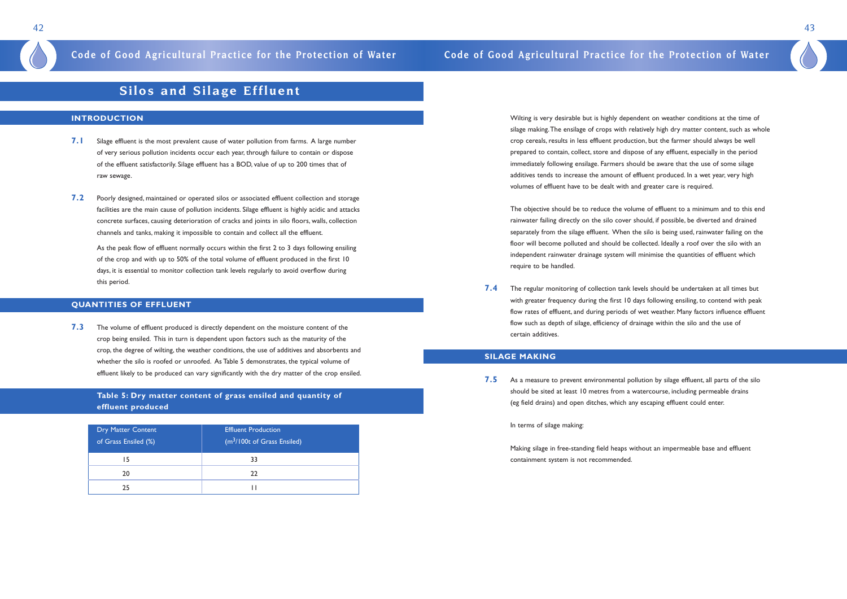Wilting is very desirable but is highly dependent on weather conditions at the time of silage making.The ensilage of crops with relatively high dry matter content, such as whole crop cereals, results in less effluent production, but the farmer should always be well prepared to contain, collect, store and dispose of any effluent, especially in the period immediately following ensilage. Farmers should be aware that the use of some silage additives tends to increase the amount of effluent produced. In a wet year, very high volumes of effluent have to be dealt with and greater care is required.

The objective should be to reduce the volume of effluent to a minimum and to this end rainwater failing directly on the silo cover should, if possible, be diverted and drained separately from the silage effluent. When the silo is being used, rainwater failing on the floor will become polluted and should be collected. Ideally a roof over the silo with an independent rainwater drainage system will minimise the quantities of effluent which require to be handled.

**7.5** As a measure to prevent environmental pollution by silage effluent, all parts of the silo should be sited at least 10 metres from a watercourse, including permeable drains (eg field drains) and open ditches, which any escaping effluent could enter.

**7.4** The regular monitoring of collection tank levels should be undertaken at all times but with greater frequency during the first 10 days following ensiling, to contend with peak flow rates of effluent, and during periods of wet weather. Many factors influence effluent flow such as depth of silage, efficiency of drainage within the silo and the use of certain additives.

### **SILAGE MAKING**

In terms of silage making:

Making silage in free-standing field heaps without an impermeable base and effluent containment system is not recommended.

43

## **Silos and Silage Effluent**

### **INTRODUCTION**

- **7.1** Silage effluent is the most prevalent cause of water pollution from farms. A large number of very serious pollution incidents occur each year, through failure to contain or dispose of the effluent satisfactorily. Silage effluent has a BOD, value of up to 200 times that of raw sewage.
- **7.2** Poorly designed, maintained or operated silos or associated effluent collection and storage facilities are the main cause of pollution incidents. Silage effluent is highly acidic and attacks concrete surfaces, causing deterioration of cracks and joints in silo floors, walls, collection channels and tanks, making it impossible to contain and collect all the effluent.

As the peak flow of effluent normally occurs within the first 2 to 3 days following ensiling of the crop and with up to 50% of the total volume of effluent produced in the first 10 days, it is essential to monitor collection tank levels regularly to avoid overflow during this period.

### **QUANTITIES OF EFFLUENT**

**7.3** The volume of effluent produced is directly dependent on the moisture content of the crop being ensiled. This in turn is dependent upon factors such as the maturity of the crop, the degree of wilting, the weather conditions, the use of additives and absorbents and whether the silo is roofed or unroofed. As Table 5 demonstrates, the typical volume of effluent likely to be produced can vary significantly with the dry matter of the crop ensiled.

### **Table 5: Dry matter content of grass ensiled and quantity of effluent produced**

| <b>Dry Matter Content</b><br>of Grass Ensiled (%) | <b>Effluent Production</b><br>$(m3/100t$ of Grass Ensiled) |
|---------------------------------------------------|------------------------------------------------------------|
| 15                                                | 33                                                         |
| 20                                                | 22                                                         |
| 25                                                |                                                            |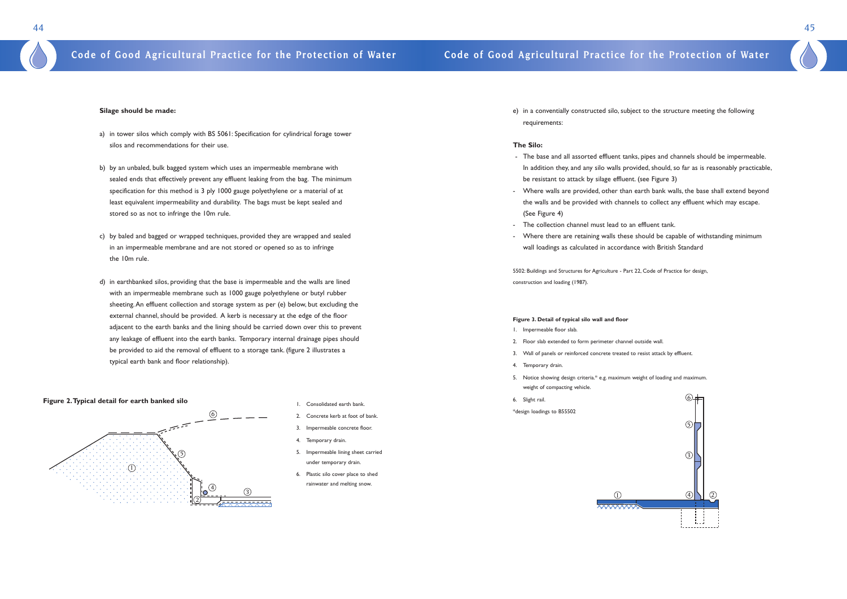

e) in a conventially constructed silo, subject to the structure meeting the following

- 
- 

requirements:

### **The Silo:**

- The base and all assorted effluent tanks, pipes and channels should be impermeable. In addition they, and any silo walls provided, should, so far as is reasonably practicable, be resistant to attack by silage effluent. (see Figure 3)
- Where walls are provided, other than earth bank walls, the base shall extend beyond the walls and be provided with channels to collect any effluent which may escape. (See Figure 4)
- The collection channel must lead to an effluent tank.
- Where there are retaining walls these should be capable of withstanding minimum wall loadings as calculated in accordance with British Standard

5502: Buildings and Structures for Agriculture - Part 22, Code of Practice for design, construction and loading (1987).

### **Figure 3. Detail of typical silo wall and floor**

- 1. Impermeable floor slab.
- 2. Floor slab extended to form perimeter channel outside wall.
- 3. Wall of panels or reinforced concrete treated to resist attack by effluent.
- 4. Temporary drain.
- 5. Notice showing design criteria.\* e.g. maximum weight of loading and maximum. weight of compacting vehicle.
- 6. Slight rail.

\*design loadings to B55502





### **Silage should be made:**

- a) in tower silos which comply with BS 5061: Specification for cylindrical forage tower silos and recommendations for their use.
- b) by an unbaled, bulk bagged system which uses an impermeable membrane with sealed ends that effectively prevent any effluent leaking from the bag. The minimum specification for this method is 3 ply 1000 gauge polyethylene or a material of at least equivalent impermeability and durability. The bags must be kept sealed and stored so as not to infringe the 10m rule.
- c) by baled and bagged or wrapped techniques, provided they are wrapped and sealed in an impermeable membrane and are not stored or opened so as to infringe the 10m rule.
- d) in earthbanked silos, providing that the base is impermeable and the walls are lined with an impermeable membrane such as 1000 gauge polyethylene or butyl rubber sheeting.An effluent collection and storage system as per (e) below, but excluding the external channel, should be provided. A kerb is necessary at the edge of the floor adjacent to the earth banks and the lining should be carried down over this to prevent any leakage of effluent into the earth banks. Temporary internal drainage pipes should be provided to aid the removal of effluent to a storage tank. (figure 2 illustrates a typical earth bank and floor relationship).

- 1. Consolidated earth bank.
- 2. Concrete kerb at foot of bank.
- 3. Impermeable concrete floor.
- 4. Temporary drain.
- 5. Impermeable lining sheet carried under temporary drain.
- 6. Plastic silo cover place to shed rainwater and melting snow.



### **Figure 2.Typical detail for earth banked silo**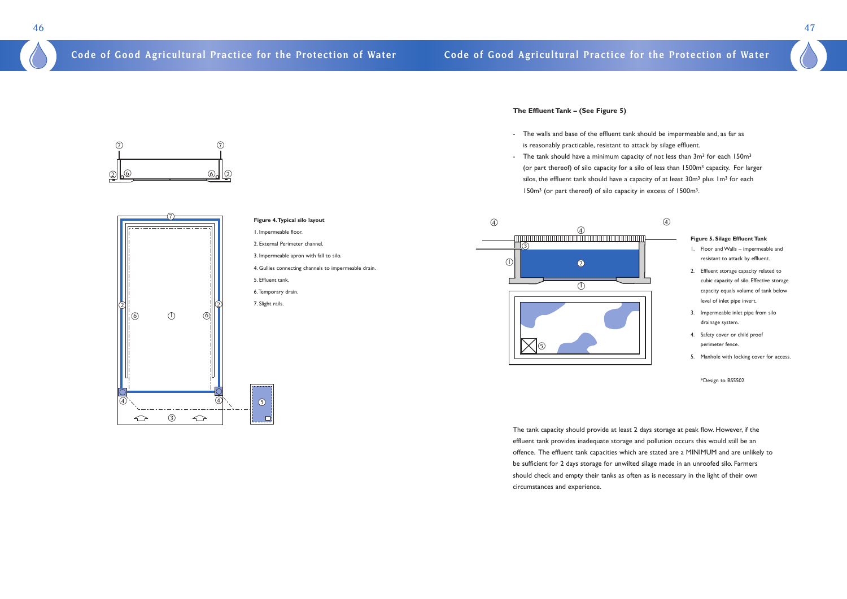

<u>also alla</u>

 $\circ$  6 6

 $\circled{7}$ 

### **The Effluent Tank – (See Figure 5)**

- The walls and base of the effluent tank should be impermeable and, as far as is reasonably practicable, resistant to attack by silage effluent.
- The tank should have a minimum capacity of not less than 3m<sup>3</sup> for each 150m<sup>3</sup> silos, the effluent tank should have a capacity of at least  $30m<sup>3</sup>$  plus  $1m<sup>3</sup>$  for each 150m3 (or part thereof) of silo capacity in excess of 1500m3.

(or part thereof) of silo capacity for a silo of less than 1500m3 capacity. For larger



The tank capacity should provide at least 2 days storage at peak flow. However, if the effluent tank provides inadequate storage and pollution occurs this would still be an offence. The effluent tank capacities which are stated are a MINIMUM and are unlikely to be sufficient for 2 days storage for unwilted silage made in an unroofed silo. Farmers should check and empty their tanks as often as is necessary in the light of their own circumstances and experience.

47

 $\circled7$ 

### **Figure 4.Typical silo layout**

- 1. Impermeable floor.
- 2. External Perimeter channel.
- 3. Impermeable apron with fall to silo.
- 4. Gullies connecting channels to impermeable drain.
- 5. Effluent tank.
- 6.Temporary drain.
- 7. Slight rails.

### **Figure 5. Silage Effluent Tank**

- 1. Floor and Walls impermeable and resistant to attack by effluent.
- 2. Effluent storage capacity related to cubic capacity of silo. Effective storage capacity equals volume of tank below level of inlet pipe invert.
- 3. Impermeable inlet pipe from silo drainage system.
- 4. Safety cover or child proof perimeter fence.
- 5. Manhole with locking cover for access.

\*Design to BS5502

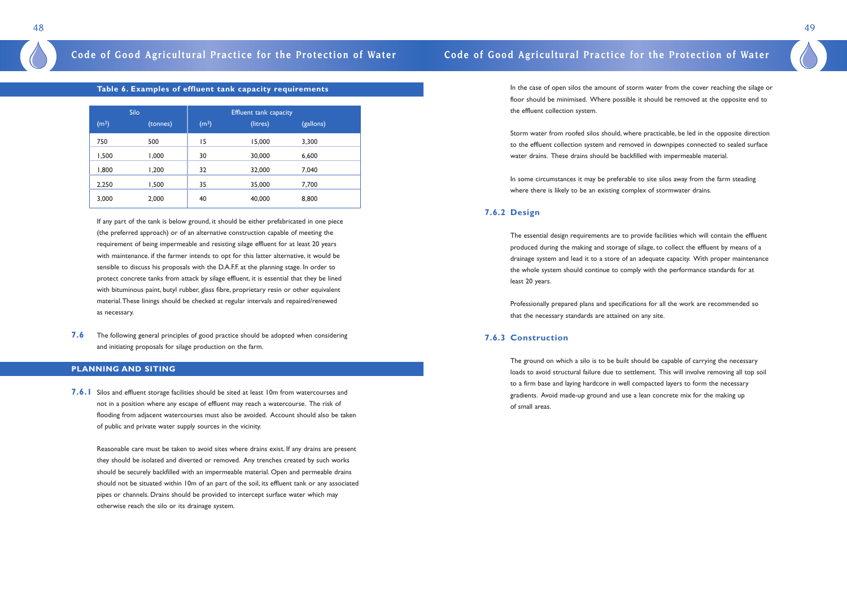In the case of open silos the amount of storm water from the cover reaching the silage or floor should be minimised. Where possible it should be removed at the opposite end to the effluent collection system.

Storm water from roofed silos should, where practicable, be led in the opposite direction to the effluent collection system and removed in downpipes connected to sealed surface water drains. These drains should be backfilled with impermeable material.

In some circumstances it may be preferable to site silos away from the farm steading where there is likely to be an existing complex of stormwater drains.

### **7.6.2 Design**

The essential design requirements are to provide facilities which will contain the effluent produced during the making and storage of silage, to collect the effluent by means of a drainage system and lead it to a store of an adequate capacity. With proper maintenance the whole system should continue to comply with the performance standards for at least 20 years.

Professionally prepared plans and specifications for all the work are recommended so that the necessary standards are attained on any site.

### **7.6.3 Construction**

The ground on which a silo is to be built should be capable of carrying the necessary loads to avoid structural failure due to settlement. This will involve removing all top soil to a firm base and laying hardcore in well compacted layers to form the necessary gradients. Avoid made-up ground and use a lean concrete mix for the making up of small areas.

49

### **Table 6. Examples of effluent tank capacity requirements**

|                   | Silo     |                   | <b>Effluent tank capacity</b> |           |  |
|-------------------|----------|-------------------|-------------------------------|-----------|--|
| (m <sup>3</sup> ) | (tonnes) | (m <sup>3</sup> ) | (litres)                      | (gallons) |  |
| 750               | 500      | 15                | 15,000                        | 3,300     |  |
| 1,500             | 1,000    | 30                | 30,000                        | 6,600     |  |
| 1,800             | 200, ا   | 32                | 32,000                        | 7,040     |  |
| 2,250             | 1,500    | 35                | 35,000                        | 7,700     |  |
| 3,000             | 2,000    | 40                | 40,000                        | 8,800     |  |

If any part of the tank is below ground, it should be either prefabricated in one piece (the preferred approach) or of an alternative construction capable of meeting the requirement of being impermeable and resisting silage effluent for at least 20 years with maintenance. if the farmer intends to opt for this latter alternative, it would be sensible to discuss his proposals with the D.A.F.F. at the planning stage. In order to protect concrete tanks from attack by silage effluent, it is essential that they be lined with bituminous paint, butyl rubber, glass fibre, proprietary resin or other equivalent material.These linings should be checked at regular intervals and repaired/renewed as necessary.

**7.6** The following general principles of good practice should be adopted when considering and initiating proposals for silage production on the farm.

### **PLANNING AND SITING**

**7.6.1** Silos and effluent storage facilities should be sited at least 10m from watercourses and not in a position where any escape of effluent may reach a watercourse. The risk of flooding from adjacent watercourses must also be avoided. Account should also be taken of public and private water supply sources in the vicinity.

Reasonable care must be taken to avoid sites where drains exist. If any drains are present they should be isolated and diverted or removed. Any trenches created by such works should be securely backfilled with an impermeable material. Open and permeable drains should not be situated within 10m of an part of the soil, its effluent tank or any associated pipes or channels. Drains should be provided to intercept surface water which may otherwise reach the silo or its drainage system.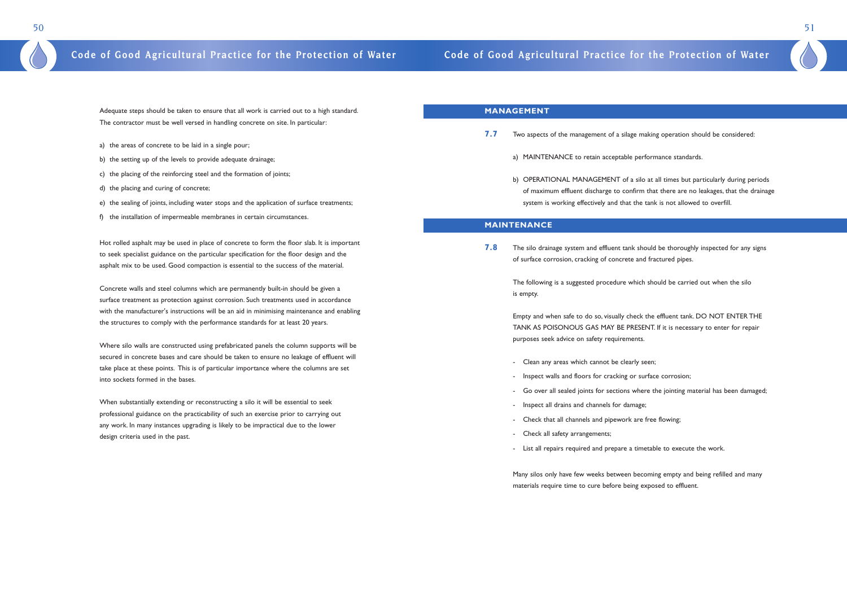### **MANAGEMENT**

b) OPERATIONAL MANAGEMENT of a silo at all times but particularly during periods of maximum effluent discharge to confirm that there are no leakages, that the drainage

Go over all sealed joints for sections where the jointing material has been damaged;

- **7.7** Two aspects of the management of a silage making operation should be considered:
	- a) MAINTENANCE to retain acceptable performance standards.
	- system is working effectively and that the tank is not allowed to overfill.

**7.8** The silo drainage system and effluent tank should be thoroughly inspected for any signs of surface corrosion, cracking of concrete and fractured pipes.

### **MAINTENANCE**

The following is a suggested procedure which should be carried out when the silo is empty.

Empty and when safe to do so, visually check the effluent tank. DO NOT ENTER THE TANK AS POISONOUS GAS MAY BE PRESENT. If it is necessary to enter for repair purposes seek advice on safety requirements.

- Clean any areas which cannot be clearly seen;
- Inspect walls and floors for cracking or surface corrosion;
- 
- Inspect all drains and channels for damage;
- Check that all channels and pipework are free flowing;
- Check all safety arrangements;
- List all repairs required and prepare a timetable to execute the work.

Many silos only have few weeks between becoming empty and being refilled and many materials require time to cure before being exposed to effluent.



Adequate steps should be taken to ensure that all work is carried out to a high standard. The contractor must be well versed in handling concrete on site. In particular:

- a) the areas of concrete to be laid in a single pour;
- b) the setting up of the levels to provide adequate drainage;
- c) the placing of the reinforcing steel and the formation of joints;
- d) the placing and curing of concrete;
- e) the sealing of joints, including water stops and the application of surface treatments;
- f) the installation of impermeable membranes in certain circumstances.

Hot rolled asphalt may be used in place of concrete to form the floor slab. It is important to seek specialist guidance on the particular specification for the floor design and the asphalt mix to be used. Good compaction is essential to the success of the material.

Concrete walls and steel columns which are permanently built-in should be given a surface treatment as protection against corrosion. Such treatments used in accordance with the manufacturer's instructions will be an aid in minimising maintenance and enabling the structures to comply with the performance standards for at least 20 years.

Where silo walls are constructed using prefabricated panels the column supports will be secured in concrete bases and care should be taken to ensure no leakage of effluent will take place at these points. This is of particular importance where the columns are set into sockets formed in the bases.

When substantially extending or reconstructing a silo it will be essential to seek professional guidance on the practicability of such an exercise prior to carrying out any work. In many instances upgrading is likely to be impractical due to the lower design criteria used in the past.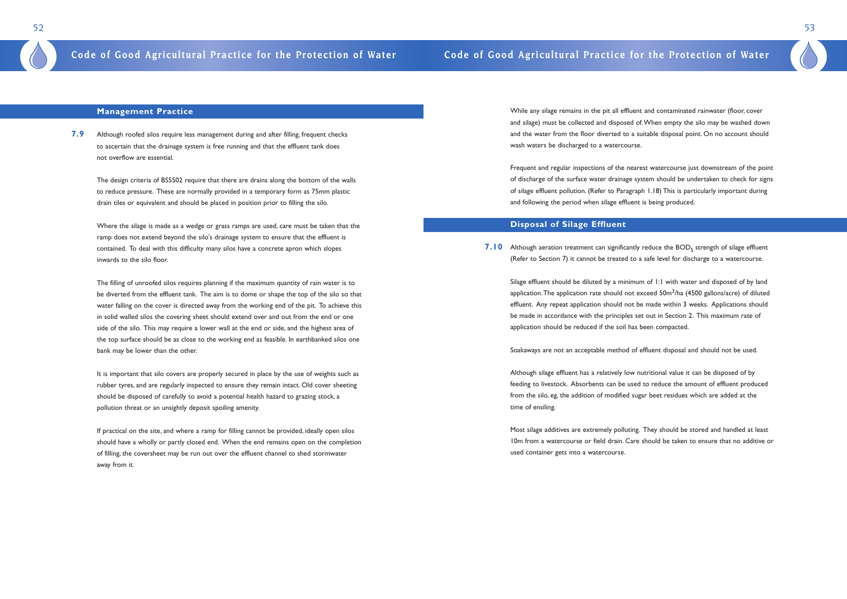While any silage remains in the pit all effluent and contaminated rainwater (floor, cover and silage) must be collected and disposed of.When empty the silo may be washed down and the water from the floor diverted to a suitable disposal point. On no account should wash waters be discharged to a watercourse.

**7.10** Although aeration treatment can significantly reduce the BOD<sub>5</sub> strength of silage effluent (Refer to Section 7) it cannot be treated to a safe level for discharge to a watercourse.

Frequent and regular inspections of the nearest watercourse just downstream of the point of discharge of the surface water drainage system should be undertaken to check for signs of silage effluent pollution. (Refer to Paragraph 1.18) This is particularly important during and following the period when silage effluent is being produced.

### **Disposal of Silage Effluent**

Silage effluent should be diluted by a minimum of 1:1 with water and disposed of by land application. The application rate should not exceed  $50m^3/ha$  (4500 gallons/acre) of diluted effluent. Any repeat application should not be made within 3 weeks. Applications should be made in accordance with the principles set out in Section 2. This maximum rate of application should be reduced if the soil has been compacted.

Soakaways are not an acceptable method of effluent disposal and should not be used.

Although silage effluent has a relatively low nutritional value it can be disposed of by feeding to livestock. Absorbents can be used to reduce the amount of effluent produced from the silo, eg, the addition of modified sugar beet residues which are added at the time of ensiling.

Most silage additives are extremely polluting. They should be stored and handled at least 10m from a watercourse or field drain. Care should be taken to ensure that no additive or used container gets into a watercourse.

53

### **Management Practice**

**7.9** Although roofed silos require less management during and after filling, frequent checks to ascertain that the drainage system is free running and that the effluent tank does not overflow are essential.

The design criteria of BS5502 require that there are drains along the bottom of the walls to reduce pressure. These are normally provided in a temporary form as 75mm plastic drain tiles or equivalent and should be placed in position prior to filling the silo.

Where the silage is made as a wedge or grass ramps are used, care must be taken that the ramp does not extend beyond the silo's drainage system to ensure that the effluent is contained. To deal with this difficulty many silos have a concrete apron which slopes inwards to the silo floor.

The filling of unroofed silos requires planning if the maximum quantity of rain water is to be diverted from the effluent tank. The aim is to dome or shape the top of the silo so that water falling on the cover is directed away from the working end of the pit. To achieve this in solid walled silos the covering sheet should extend over and out from the end or one side of the silo. This may require a lower wall at the end or side, and the highest area of the top surface should be as close to the working end as feasible. In earthbanked silos one bank may be lower than the other.

It is important that silo covers are properly secured in place by the use of weights such as rubber tyres, and are regularly inspected to ensure they remain intact. Old cover sheeting should be disposed of carefully to avoid a potential health hazard to grazing stock, a pollution threat or an unsightly deposit spoiling amenity.

If practical on the site, and where a ramp for filling cannot be provided, ideally open silos should have a wholly or partly closed end. When the end remains open on the completion of filling, the coversheet may be run out over the effluent channel to shed stormwater away from it.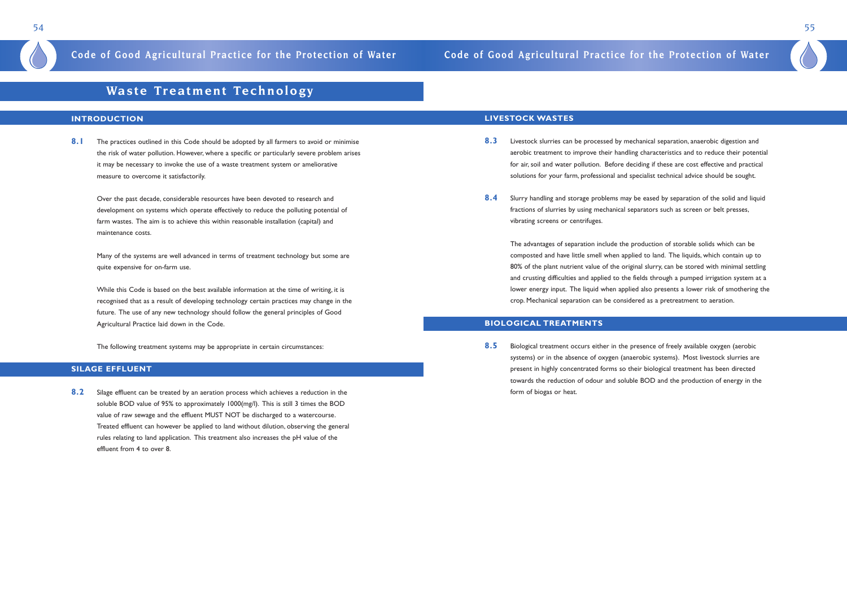## **Waste Treatment Technology**

### **INTRODUCTION**

**8.1** The practices outlined in this Code should be adopted by all farmers to avoid or minimise the risk of water pollution. However, where a specific or particularly severe problem arises it may be necessary to invoke the use of a waste treatment system or ameliorative measure to overcome it satisfactorily.

Over the past decade, considerable resources have been devoted to research and development on systems which operate effectively to reduce the polluting potential of farm wastes. The aim is to achieve this within reasonable installation (capital) and maintenance costs.

Many of the systems are well advanced in terms of treatment technology but some are quite expensive for on-farm use.

While this Code is based on the best available information at the time of writing, it is recognised that as a result of developing technology certain practices may change in the future. The use of any new technology should follow the general principles of Good Agricultural Practice laid down in the Code.

The following treatment systems may be appropriate in certain circumstances:

### **SILAGE EFFLUENT**

**8.2** Silage effluent can be treated by an aeration process which achieves a reduction in the soluble BOD value of 95% to approximately 1000(mg/l). This is still 3 times the BOD value of raw sewage and the effluent MUST NOT be discharged to a watercourse. Treated effluent can however be applied to land without dilution, observing the general rules relating to land application. This treatment also increases the pH value of the effluent from 4 to over 8.

### **LIVESTOCK WASTES**

- **8.3** Livestock slurries can be processed by mechanical separation, anaerobic digestion and aerobic treatment to improve their handling characteristics and to reduce their potential for air, soil and water pollution. Before deciding if these are cost effective and practical solutions for your farm, professional and specialist technical advice should be sought.
- **8.4** Slurry handling and storage problems may be eased by separation of the solid and liquid fractions of slurries by using mechanical separators such as screen or belt presses, vibrating screens or centrifuges.

The advantages of separation include the production of storable solids which can be composted and have little smell when applied to land. The liquids, which contain up to 80% of the plant nutrient value of the original slurry, can be stored with minimal settling and crusting difficulties and applied to the fields through a pumped irrigation system at a lower energy input. The liquid when applied also presents a lower risk of smothering the crop. Mechanical separation can be considered as a pretreatment to aeration.

### **BIOLOGICAL TREATMENTS**

**8.5** Biological treatment occurs either in the presence of freely available oxygen (aerobic systems) or in the absence of oxygen (anaerobic systems). Most livestock slurries are present in highly concentrated forms so their biological treatment has been directed towards the reduction of odour and soluble BOD and the production of energy in the form of biogas or heat.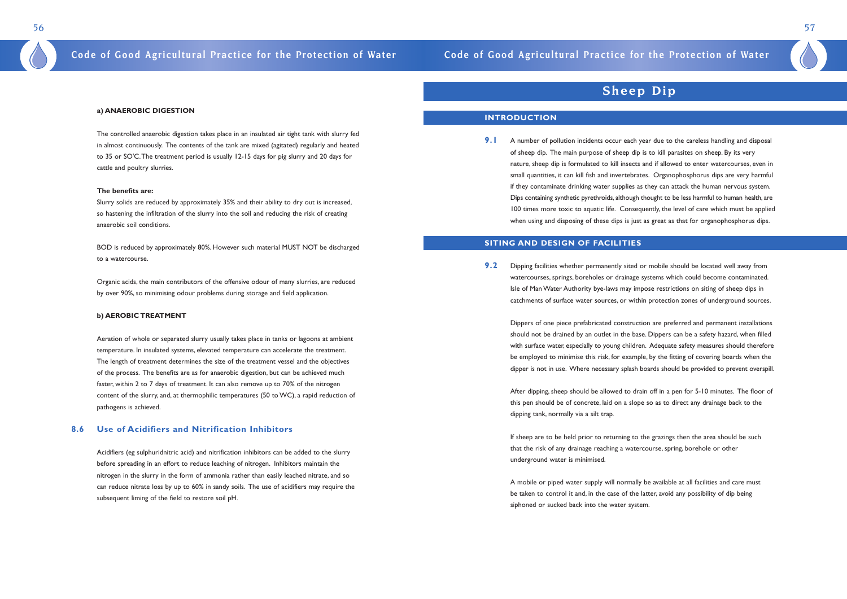### **a) ANAEROBIC DIGESTION**

The controlled anaerobic digestion takes place in an insulated air tight tank with slurry fed in almost continuously. The contents of the tank are mixed (agitated) regularly and heated to 35 or SO'C.The treatment period is usually 12-15 days for pig slurry and 20 days for cattle and poultry slurries.

### **The benefits are:**

Slurry solids are reduced by approximately 35% and their ability to dry out is increased, so hastening the infiltration of the slurry into the soil and reducing the risk of creating anaerobic soil conditions.

BOD is reduced by approximately 80%. However such material MUST NOT be discharged to a watercourse.

Organic acids, the main contributors of the offensive odour of many slurries, are reduced by over 90%, so minimising odour problems during storage and field application.

### **b) AEROBIC TREATMENT**

Aeration of whole or separated slurry usually takes place in tanks or lagoons at ambient temperature. In insulated systems, elevated temperature can accelerate the treatment. The length of treatment determines the size of the treatment vessel and the objectives of the process. The benefits are as for anaerobic digestion, but can be achieved much faster, within 2 to 7 days of treatment. It can also remove up to 70% of the nitrogen content of the slurry, and, at thermophilic temperatures (50 to WC), a rapid reduction of pathogens is achieved.

**9.1** A number of pollution incidents occur each year due to the careless handling and disposal of sheep dip. The main purpose of sheep dip is to kill parasites on sheep. By its very when using and disposing of these dips is just as great as that for organophosphorus dips.

### **8.6 Use of Acidifiers and Nitrification Inhibitors**

**9.2** Dipping facilities whether permanently sited or mobile should be located well away from Isle of Man Water Authority bye-laws may impose restrictions on siting of sheep dips in

Acidifiers (eg sulphuridnitric acid) and nitrification inhibitors can be added to the slurry before spreading in an effort to reduce leaching of nitrogen. Inhibitors maintain the nitrogen in the slurry in the form of ammonia rather than easily leached nitrate, and so can reduce nitrate loss by up to 60% in sandy soils. The use of acidifiers may require the subsequent liming of the field to restore soil pH.

## **Sheep Dip**

### **INTRODUCTION**

nature, sheep dip is formulated to kill insects and if allowed to enter watercourses, even in small quantities, it can kill fish and invertebrates. Organophosphorus dips are very harmful if they contaminate drinking water supplies as they can attack the human nervous system. Dips containing synthetic pyrethroids, although thought to be less harmful to human health, are 100 times more toxic to aquatic life. Consequently, the level of care which must be applied

### **SITING AND DESIGN OF FACILITIES**

watercourses, springs, boreholes or drainage systems which could become contaminated. catchments of surface water sources, or within protection zones of underground sources.

Dippers of one piece prefabricated construction are preferred and permanent installations should not be drained by an outlet in the base. Dippers can be a safety hazard, when filled with surface water, especially to young children. Adequate safety measures should therefore be employed to minimise this risk, for example, by the fitting of covering boards when the dipper is not in use. Where necessary splash boards should be provided to prevent overspill.

After dipping, sheep should be allowed to drain off in a pen for 5-10 minutes. The floor of this pen should be of concrete, laid on a slope so as to direct any drainage back to the dipping tank, normally via a silt trap.

If sheep are to be held prior to returning to the grazings then the area should be such that the risk of any drainage reaching a watercourse, spring, borehole or other underground water is minimised.

A mobile or piped water supply will normally be available at all facilities and care must be taken to control it and, in the case of the latter, avoid any possibility of dip being siphoned or sucked back into the water system.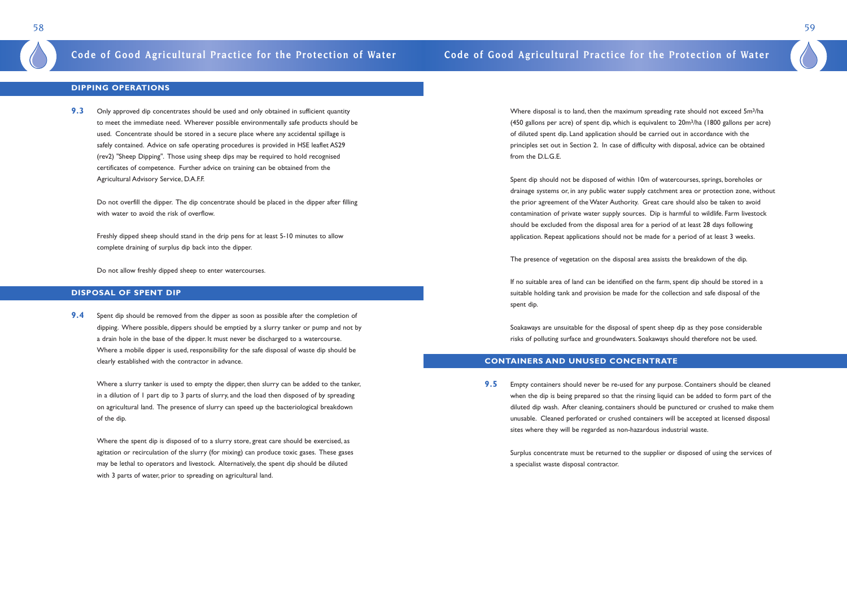Where disposal is to land, then the maximum spreading rate should not exceed 5m3/ha (450 gallons per acre) of spent dip, which is equivalent to  $20m^3/ha$  (1800 gallons per acre) of diluted spent dip. Land application should be carried out in accordance with the principles set out in Section 2. In case of difficulty with disposal, advice can be obtained from the D.L.G.E.

Spent dip should not be disposed of within 10m of watercourses, springs, boreholes or drainage systems or, in any public water supply catchment area or protection zone, without the prior agreement of the Water Authority. Great care should also be taken to avoid contamination of private water supply sources. Dip is harmful to wildlife. Farm livestock should be excluded from the disposal area for a period of at least 28 days following application. Repeat applications should not be made for a period of at least 3 weeks.

The presence of vegetation on the disposal area assists the breakdown of the dip.

If no suitable area of land can be identified on the farm, spent dip should be stored in a suitable holding tank and provision be made for the collection and safe disposal of the spent dip.

**9.3** Only approved dip concentrates should be used and only obtained in sufficient quantity to meet the immediate need. Wherever possible environmentally safe products should be used. Concentrate should be stored in a secure place where any accidental spillage is safely contained. Advice on safe operating procedures is provided in HSE leaflet AS29 (rev2) "Sheep Dipping". Those using sheep dips may be required to hold recognised certificates of competence. Further advice on training can be obtained from the Agricultural Advisory Service, D.A.F.F.

> Soakaways are unsuitable for the disposal of spent sheep dip as they pose considerable risks of polluting surface and groundwaters. Soakaways should therefore not be used.

### **CONTAINERS AND UNUSED CONCENTRATE**

**9.5** Empty containers should never be re-used for any purpose. Containers should be cleaned sites where they will be regarded as non-hazardous industrial waste.

when the dip is being prepared so that the rinsing liquid can be added to form part of the diluted dip wash. After cleaning, containers should be punctured or crushed to make them unusable. Cleaned perforated or crushed containers will be accepted at licensed disposal

Surplus concentrate must be returned to the supplier or disposed of using the services of a specialist waste disposal contractor.

59

### **DIPPING OPERATIONS**

Do not overfill the dipper. The dip concentrate should be placed in the dipper after filling with water to avoid the risk of overflow.

Freshly dipped sheep should stand in the drip pens for at least 5-10 minutes to allow complete draining of surplus dip back into the dipper.

Do not allow freshly dipped sheep to enter watercourses.

### **DISPOSAL OF SPENT DIP**

**9.4** Spent dip should be removed from the dipper as soon as possible after the completion of dipping. Where possible, dippers should be emptied by a slurry tanker or pump and not by a drain hole in the base of the dipper. It must never be discharged to a watercourse. Where a mobile dipper is used, responsibility for the safe disposal of waste dip should be clearly established with the contractor in advance.

Where a slurry tanker is used to empty the dipper, then slurry can be added to the tanker, in a dilution of 1 part dip to 3 parts of slurry, and the load then disposed of by spreading on agricultural land. The presence of slurry can speed up the bacteriological breakdown of the dip.

Where the spent dip is disposed of to a slurry store, great care should be exercised, as agitation or recirculation of the slurry (for mixing) can produce toxic gases. These gases may be lethal to operators and livestock. Alternatively, the spent dip should be diluted with 3 parts of water, prior to spreading on agricultural land.

## **Code of Good Agricultural Practice for the Protection of Water Code of Good Agricultural Practice for the Protection of Water**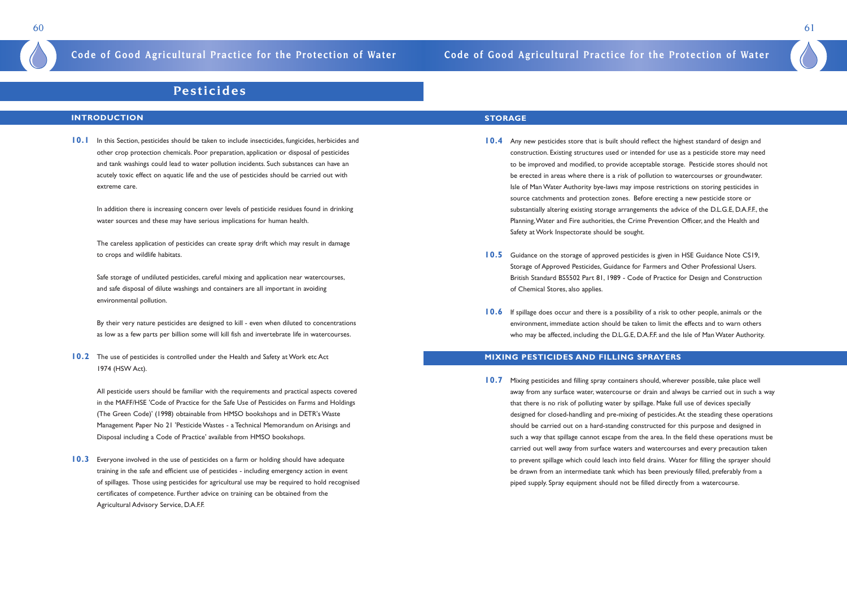60 61

## **Pesticides**

### **INTRODUCTION**

**10.1** In this Section, pesticides should be taken to include insecticides, fungicides, herbicides and other crop protection chemicals. Poor preparation, application or disposal of pesticides and tank washings could lead to water pollution incidents. Such substances can have an acutely toxic effect on aquatic life and the use of pesticides should be carried out with extreme care.

In addition there is increasing concern over levels of pesticide residues found in drinking water sources and these may have serious implications for human health.

**10.2** The use of pesticides is controlled under the Health and Safety at Work etc Act 1974 (HSW Act).

The careless application of pesticides can create spray drift which may result in damage to crops and wildlife habitats.

Safe storage of undiluted pesticides, careful mixing and application near watercourses, and safe disposal of dilute washings and containers are all important in avoiding environmental pollution.

**10.3** Everyone involved in the use of pesticides on a farm or holding should have adequate training in the safe and efficient use of pesticides - including emergency action in event of spillages. Those using pesticides for agricultural use may be required to hold recognised certificates of competence. Further advice on training can be obtained from the Agricultural Advisory Service, D.A.F.F.

By their very nature pesticides are designed to kill - even when diluted to concentrations as low as a few parts per billion some will kill fish and invertebrate life in watercourses.

All pesticide users should be familiar with the requirements and practical aspects covered in the MAFF/HSE 'Code of Practice for the Safe Use of Pesticides on Farms and Holdings (The Green Code)' (1998) obtainable from HMSO bookshops and in DETR's Waste Management Paper No 21 'Pesticide Wastes - a Technical Memorandum on Arisings and Disposal including a Code of Practice' available from HMSO bookshops.

- **10.4** Any new pesticides store that is built should reflect the highest standard of design and construction. Existing structures used or intended for use as a pesticide store may need to be improved and modified, to provide acceptable storage. Pesticide stores should not be erected in areas where there is a risk of pollution to watercourses or groundwater. Isle of Man Water Authority bye-laws may impose restrictions on storing pesticides in source catchments and protection zones. Before erecting a new pesticide store or substantially altering existing storage arrangements the advice of the D.L.G.E, D.A.F.F., the Planning,Water and Fire authorities, the Crime Prevention Officer, and the Health and Safety at Work Inspectorate should be sought.
- **10.5** Guidance on the storage of approved pesticides is given in HSE Guidance Note CS19, Storage of Approved Pesticides, Guidance for Farmers and Other Professional Users. British Standard BS5502 Part 81, 1989 - Code of Practice for Design and Construction of Chemical Stores, also applies.
- **10.6** If spillage does occur and there is a possibility of a risk to other people, animals or the environment, immediate action should be taken to limit the effects and to warn others who may be affected, including the D.L.G.E, D.A.F.F. and the Isle of Man Water Authority.

### **STORAGE**

**10.7** Mixing pesticides and filling spray containers should, wherever possible, take place well that there is no risk of polluting water by spillage. Make full use of devices specially should be carried out on a hard-standing constructed for this purpose and designed in carried out well away from surface waters and watercourses and every precaution taken be drawn from an intermediate tank which has been previously filled, preferably from a piped supply. Spray equipment should not be filled directly from a watercourse.

### **MIXING PESTICIDES AND FILLING SPRAYERS**

away from any surface water, watercourse or drain and always be carried out in such a way designed for closed-handling and pre-mixing of pesticides.At the steading these operations such a way that spillage cannot escape from the area. In the field these operations must be to prevent spillage which could leach into field drains. Water for filling the sprayer should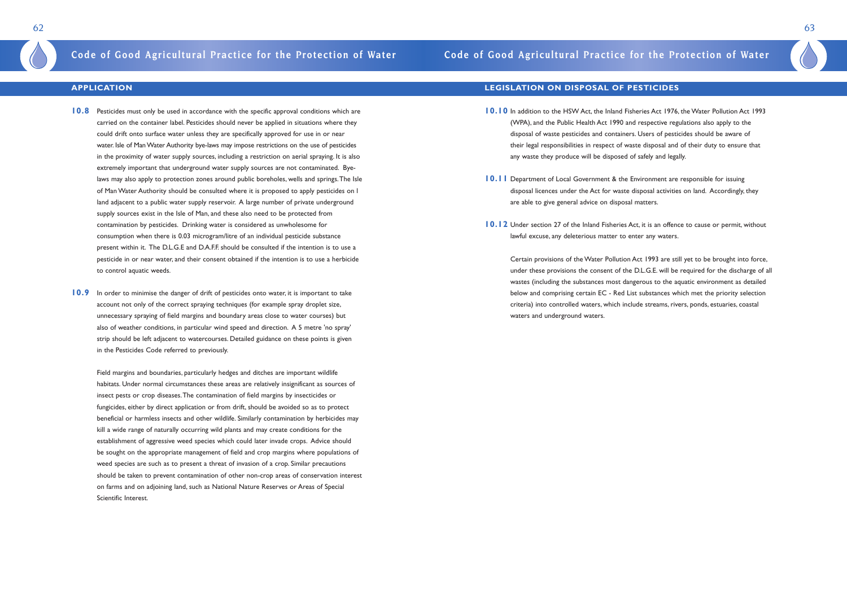## **Code of Good Agricultural Practice for the Protection of Water Code of Good Agricultural Practice for the Protection of Water**

### **APPLICATION**

- **10.8** Pesticides must only be used in accordance with the specific approval conditions which are carried on the container label. Pesticides should never be applied in situations where they could drift onto surface water unless they are specifically approved for use in or near water. Isle of Man Water Authority bye-laws may impose restrictions on the use of pesticides in the proximity of water supply sources, including a restriction on aerial spraying. It is also extremely important that underground water supply sources are not contaminated. Byelaws may also apply to protection zones around public boreholes, wells and springs.The Isle of Man Water Authority should be consulted where it is proposed to apply pesticides on l land adjacent to a public water supply reservoir. A large number of private underground supply sources exist in the Isle of Man, and these also need to be protected from contamination by pesticides. Drinking water is considered as unwholesome for consumption when there is 0.03 microgram/litre of an individual pesticide substance present within it. The D.L.G.E and D.A.F.F. should be consulted if the intention is to use a pesticide in or near water, and their consent obtained if the intention is to use a herbicide to control aquatic weeds.
- **10.9** In order to minimise the danger of drift of pesticides onto water, it is important to take account not only of the correct spraying techniques (for example spray droplet size, unnecessary spraying of field margins and boundary areas close to water courses) but also of weather conditions, in particular wind speed and direction. A 5 metre 'no spray' strip should be left adjacent to watercourses. Detailed guidance on these points is given in the Pesticides Code referred to previously.

Field margins and boundaries, particularly hedges and ditches are important wildlife habitats. Under normal circumstances these areas are relatively insignificant as sources of insect pests or crop diseases.The contamination of field margins by insecticides or fungicides, either by direct application or from drift, should be avoided so as to protect beneficial or harmless insects and other wildlife. Similarly contamination by herbicides may kill a wide range of naturally occurring wild plants and may create conditions for the establishment of aggressive weed species which could later invade crops. Advice should be sought on the appropriate management of field and crop margins where populations of weed species are such as to present a threat of invasion of a crop. Similar precautions should be taken to prevent contamination of other non-crop areas of conservation interest on farms and on adjoining land, such as National Nature Reserves or Areas of Special Scientific Interest.

### **LEGISLATION ON DISPOSAL OF PESTICIDES**

- **10.10** In addition to the HSW Act, the Inland Fisheries Act 1976, the Water Pollution Act 1993 (WPA), and the Public Health Act 1990 and respective regulations also apply to the disposal of waste pesticides and containers. Users of pesticides should be aware of their legal responsibilities in respect of waste disposal and of their duty to ensure that any waste they produce will be disposed of safely and legally.
- **10.11** Department of Local Government & the Environment are responsible for issuing disposal licences under the Act for waste disposal activities on land. Accordingly, they are able to give general advice on disposal matters.
- **10.12** Under section 27 of the Inland Fisheries Act, it is an offence to cause or permit, without lawful excuse, any deleterious matter to enter any waters.

Certain provisions of the Water Pollution Act 1993 are still yet to be brought into force, under these provisions the consent of the D.L.G.E. will be required for the discharge of all wastes (including the substances most dangerous to the aquatic environment as detailed below and comprising certain EC - Red List substances which met the priority selection criteria) into controlled waters, which include streams, rivers, ponds, estuaries, coastal waters and underground waters.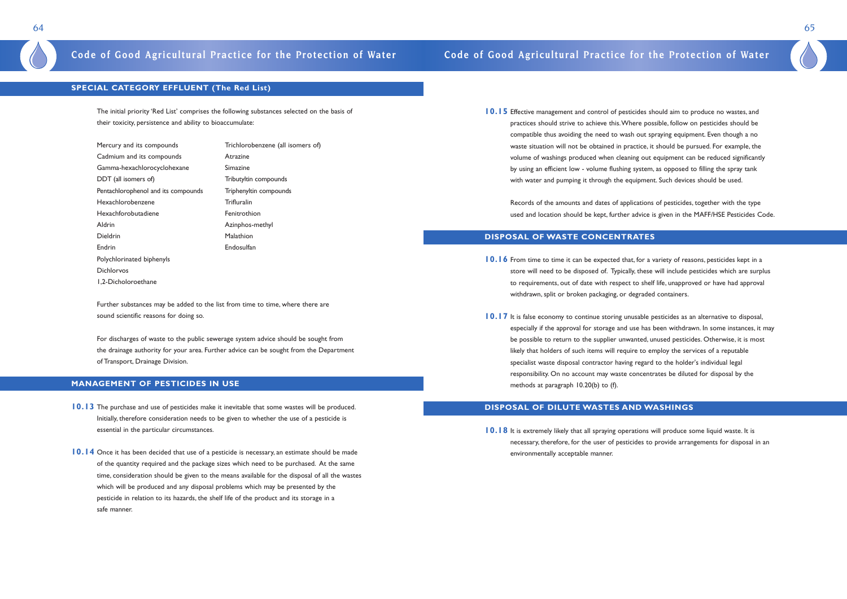## **Code of Good Agricultural Practice for the Protection of Water Code of Good Agricultural Practice for the Protection of Water**

### **SPECIAL CATEGORY EFFLUENT (The Red List)**

The initial priority 'Red List' comprises the following substances selected on the basis of their toxicity, persistence and ability to bioaccumulate:

Mercury and its compounds Trichlorobenzene (all isomers of) Cadmium and its compounds Atrazine Gamma-hexachlorocyclohexane Simazine DDT (all isomers of) Tributyltin compounds Pentachlorophenol and its compounds Triphenyltin compounds Hexachlorobenzene Trifluralin Hexachforobutadiene Fenitrothion Aldrin Azinphos-methyl Dieldrin Malathion Endrin Endosulfan Polychlorinated biphenyls Dichlorvos 1,2-Dicholoroethane

Further substances may be added to the list from time to time, where there are sound scientific reasons for doing so.

For discharges of waste to the public sewerage system advice should be sought from the drainage authority for your area. Further advice can be sought from the Department of Transport, Drainage Division.

### **MANAGEMENT OF PESTICIDES IN USE**

**10.15** Effective management and control of pesticides should aim to produce no wastes, and practices should strive to achieve this.Where possible, follow on pesticides should be compatible thus avoiding the need to wash out spraying equipment. Even though a no waste situation will not be obtained in practice, it should be pursued. For example, the volume of washings produced when cleaning out equipment can be reduced significantly by using an efficient low - volume flushing system, as opposed to filling the spray tank with water and pumping it through the equipment. Such devices should be used.

- **10.13** The purchase and use of pesticides make it inevitable that some wastes will be produced. Initially, therefore consideration needs to be given to whether the use of a pesticide is essential in the particular circumstances.
- **10.14** Once it has been decided that use of a pesticide is necessary, an estimate should be made of the quantity required and the package sizes which need to be purchased. At the same time, consideration should be given to the means available for the disposal of all the wastes which will be produced and any disposal problems which may be presented by the pesticide in relation to its hazards, the shelf life of the product and its storage in a safe manner.

**10.18** It is extremely likely that all spraying operations will produce some liquid waste. It is necessary, therefore, for the user of pesticides to provide arrangements for disposal in an environmentally acceptable manner.

Records of the amounts and dates of applications of pesticides, together with the type used and location should be kept, further advice is given in the MAFF/HSE Pesticides Code.

### **DISPOSAL OF WASTE CONCENTRATES**

store will need to be disposed of. Typically, these will include pesticides which are surplus

- **10.16** From time to time it can be expected that, for a variety of reasons, pesticides kept in a to requirements, out of date with respect to shelf life, unapproved or have had approval withdrawn, split or broken packaging, or degraded containers.
- **10.17** It is false economy to continue storing unusable pesticides as an alternative to disposal, be possible to return to the supplier unwanted, unused pesticides. Otherwise, it is most likely that holders of such items will require to employ the services of a reputable specialist waste disposal contractor having regard to the holder's individual legal responsibility. On no account may waste concentrates be diluted for disposal by the methods at paragraph 10.20(b) to (f).

especially if the approval for storage and use has been withdrawn. In some instances, it may

### **DISPOSAL OF DILUTE WASTES AND WASHINGS**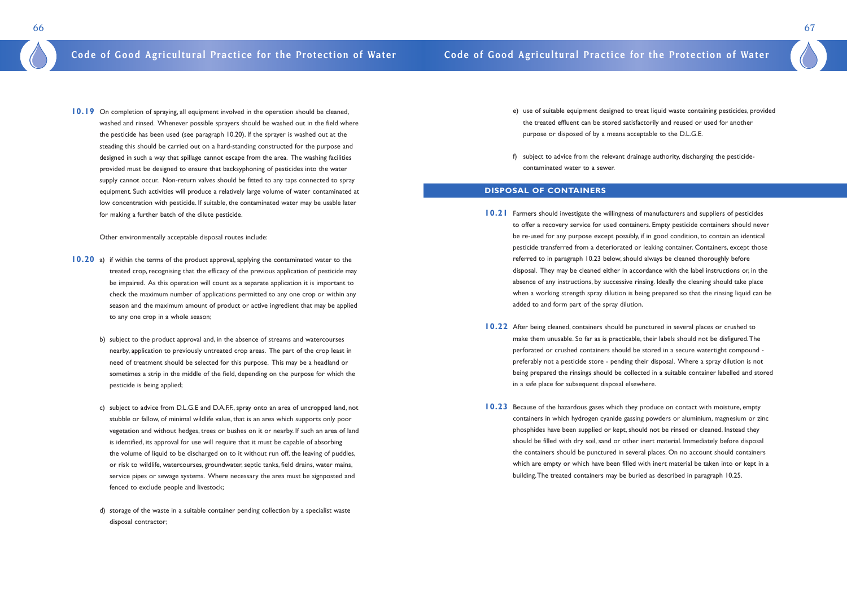**10.19** On completion of spraying, all equipment involved in the operation should be cleaned, washed and rinsed. Whenever possible sprayers should be washed out in the field where the pesticide has been used (see paragraph 10.20). If the sprayer is washed out at the steading this should be carried out on a hard-standing constructed for the purpose and designed in such a way that spillage cannot escape from the area. The washing facilities provided must be designed to ensure that backsyphoning of pesticides into the water supply cannot occur. Non-return valves should be fitted to any taps connected to spray equipment. Such activities will produce a relatively large volume of water contaminated at low concentration with pesticide. If suitable, the contaminated water may be usable later for making a further batch of the dilute pesticide.

Other environmentally acceptable disposal routes include:

- **10.20** a) if within the terms of the product approval, applying the contaminated water to the treated crop, recognising that the efficacy of the previous application of pesticide may be impaired. As this operation will count as a separate application it is important to check the maximum number of applications permitted to any one crop or within any season and the maximum amount of product or active ingredient that may be applied to any one crop in a whole season;
	- b) subject to the product approval and, in the absence of streams and watercourses nearby, application to previously untreated crop areas. The part of the crop least in need of treatment should be selected for this purpose. This may be a headland or sometimes a strip in the middle of the field, depending on the purpose for which the pesticide is being applied;
	- c) subject to advice from D.L.G.E and D.A.F.F., spray onto an area of uncropped land, not stubble or fallow, of minimal wildlife value, that is an area which supports only poor vegetation and without hedges, trees or bushes on it or nearby. If such an area of land is identified, its approval for use will require that it must be capable of absorbing the volume of liquid to be discharged on to it without run off, the leaving of puddles, or risk to wildlife, watercourses, groundwater, septic tanks, field drains, water mains, service pipes or sewage systems. Where necessary the area must be signposted and fenced to exclude people and livestock;
	- d) storage of the waste in a suitable container pending collection by a specialist waste disposal contractor;

e) use of suitable equipment designed to treat liquid waste containing pesticides, provided

- the treated effluent can be stored satisfactorily and reused or used for another purpose or disposed of by a means acceptable to the D.L.G.E.
- f) subject to advice from the relevant drainage authority, discharging the pesticidecontaminated water to a sewer.

### **DISPOSAL OF CONTAINERS**

to offer a recovery service for used containers. Empty pesticide containers should never pesticide transferred from a deteriorated or leaking container. Containers, except those disposal. They may be cleaned either in accordance with the label instructions or, in the when a working strength spray dilution is being prepared so that the rinsing liquid can be

- **10.21** Farmers should investigate the willingness of manufacturers and suppliers of pesticides be re-used for any purpose except possibly, if in good condition, to contain an identical referred to in paragraph 10.23 below, should always be cleaned thoroughly before absence of any instructions, by successive rinsing. Ideally the cleaning should take place added to and form part of the spray dilution.
- **10.22** After being cleaned, containers should be punctured in several places or crushed to make them unusable. So far as is practicable, their labels should not be disfigured.The perforated or crushed containers should be stored in a secure watertight compound preferably not a pesticide store - pending their disposal. Where a spray dilution is not in a safe place for subsequent disposal elsewhere.
- **10.23** Because of the hazardous gases which they produce on contact with moisture, empty phosphides have been supplied or kept, should not be rinsed or cleaned. Instead they should be filled with dry soil, sand or other inert material. Immediately before disposal building.The treated containers may be buried as described in paragraph 10.25.

being prepared the rinsings should be collected in a suitable container labelled and stored

containers in which hydrogen cyanide gassing powders or aluminium, magnesium or zinc the containers should be punctured in several places. On no account should containers which are empty or which have been filled with inert material be taken into or kept in a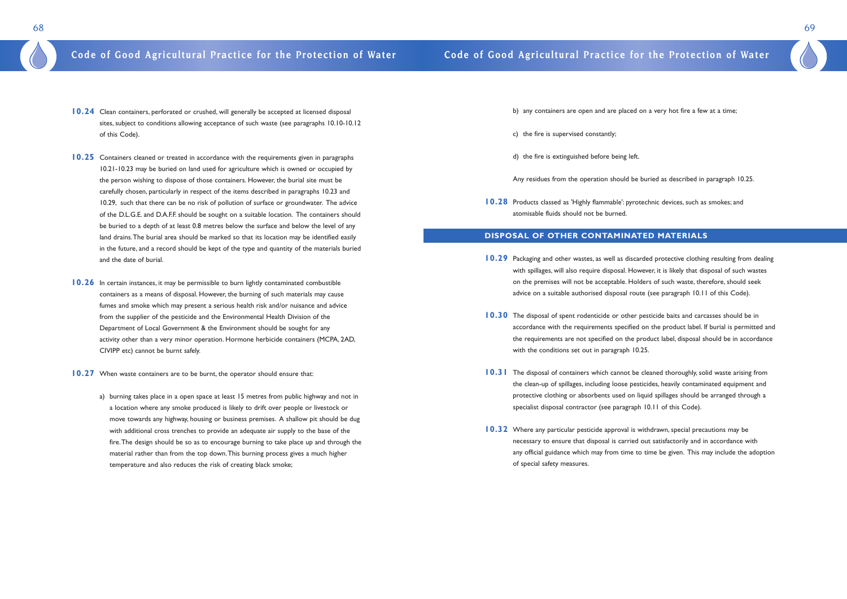

- **10.24** Clean containers, perforated or crushed, will generally be accepted at licensed disposal sites, subject to conditions allowing acceptance of such waste (see paragraphs 10.10-10.12 of this Code).
- **10.25** Containers cleaned or treated in accordance with the requirements given in paragraphs 10.21-10.23 may be buried on land used for agriculture which is owned or occupied by the person wishing to dispose of those containers. However, the burial site must be carefully chosen, particularly in respect of the items described in paragraphs 10.23 and 10.29, such that there can be no risk of pollution of surface or groundwater. The advice of the D.L.G.E. and D.A.F.F. should be sought on a suitable location. The containers should be buried to a depth of at least 0.8 metres below the surface and below the level of any land drains.The burial area should be marked so that its location may be identified easily in the future, and a record should be kept of the type and quantity of the materials buried and the date of burial.
- **10.26** In certain instances, it may be permissible to burn lightly contaminated combustible containers as a means of disposal. However, the burning of such materials may cause fumes and smoke which may present a serious health risk and/or nuisance and advice from the supplier of the pesticide and the Environmental Health Division of the Department of Local Government & the Environment should be sought for any activity other than a very minor operation. Hormone herbicide containers (MCPA, 2AD, CIVIPP etc) cannot be burnt safely.
- **10.27** When waste containers are to be burnt, the operator should ensure that:
	- a) burning takes place in a open space at least 15 metres from public highway and not in a location where any smoke produced is likely to drift over people or livestock or move towards any highway, housing or business premises. A shallow pit should be dug with additional cross trenches to provide an adequate air supply to the base of the fire.The design should be so as to encourage burning to take place up and through the material rather than from the top down.This burning process gives a much higher temperature and also reduces the risk of creating black smoke;
- **10.29** Packaging and other wastes, as well as discarded protective clothing resulting from dealing with spillages, will also require disposal. However, it is likely that disposal of such wastes on the premises will not be acceptable. Holders of such waste, therefore, should seek advice on a suitable authorised disposal route (see paragraph 10.11 of this Code).
- **10.30** The disposal of spent rodenticide or other pesticide baits and carcasses should be in with the conditions set out in paragraph 10.25.
- **10.31** The disposal of containers which cannot be cleaned thoroughly, solid waste arising from protective clothing or absorbents used on liquid spillages should be arranged through a specialist disposal contractor (see paragraph 10.11 of this Code).
- **10.32** Where any particular pesticide approval is withdrawn, special precautions may be necessary to ensure that disposal is carried out satisfactorily and in accordance with of special safety measures.

- b) any containers are open and are placed on a very hot fire a few at a time;
- c) the fire is supervised constantly;
- d) the fire is extinguished before being left.
- Any residues from the operation should be buried as described in paragraph 10.25.
- **10.28** Products classed as 'Highly flammable': pyrotechnic devices, such as smokes; and atomisable fluids should not be burned.

### **DISPOSAL OF OTHER CONTAMINATED MATERIALS**

accordance with the requirements specified on the product label. If burial is permitted and the requirements are not specified on the product label, disposal should be in accordance

the clean-up of spillages, including loose pesticides, heavily contaminated equipment and

any official guidance which may from time to time be given. This may include the adoption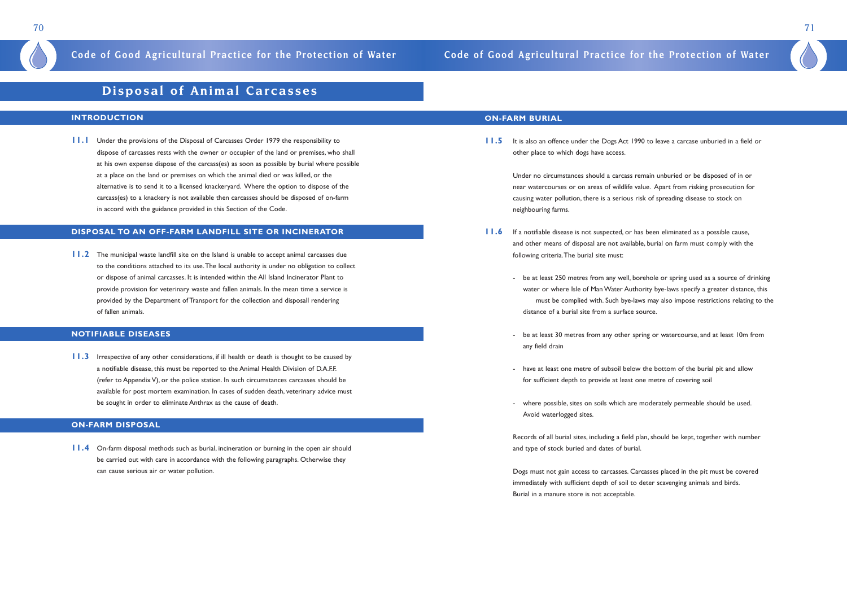

## **Disposal of Animal Carcasses**

### **INTRODUCTION**

**11.1** Under the provisions of the Disposal of Carcasses Order 1979 the responsibility to dispose of carcasses rests with the owner or occupier of the land or premises, who shall at his own expense dispose of the carcass(es) as soon as possible by burial where possible at a place on the land or premises on which the animal died or was killed, or the alternative is to send it to a licensed knackeryard. Where the option to dispose of the carcass(es) to a knackery is not available then carcasses should be disposed of on-farm in accord with the guidance provided in this Section of the Code.

**11.2** The municipal waste landfill site on the Island is unable to accept animal carcasses due to the conditions attached to its use.The local authority is under no obligation to collect or dispose of animal carcasses. It is intended within the All Island Incinerator Plant to provide provision for veterinary waste and fallen animals. In the mean time a service is provided by the Department of Transport for the collection and disposall rendering of fallen animals.

### **DISPOSAL TO AN OFF-FARM LANDFILL SITE OR INCINERATOR**

**11.3** Irrespective of any other considerations, if ill health or death is thought to be caused by a notifiable disease, this must be reported to the Animal Health Division of D.A.F.F. (refer to Appendix V), or the police station. In such circumstances carcasses should be available for post mortem examination. In cases of sudden death, veterinary advice must be sought in order to eliminate Anthrax as the cause of death.

**11.5** It is also an offence under the Dogs Act 1990 to leave a carcase unburied in a field or other place to which dogs have access.

### **NOTIFIABLE DISEASES**

- **11.6** If a notifiable disease is not suspected, or has been eliminated as a possible cause, and other means of disposal are not available, burial on farm must comply with the following criteria.The burial site must:
	- distance of a burial site from a surface source.
	- any field drain
	- for sufficient depth to provide at least one metre of covering soil
	- Avoid waterlogged sites.

### **ON-FARM DISPOSAL**

**11.4** On-farm disposal methods such as burial, incineration or burning in the open air should be carried out with care in accordance with the following paragraphs. Otherwise they can cause serious air or water pollution.

### **ON-FARM BURIAL**

Under no circumstances should a carcass remain unburied or be disposed of in or near watercourses or on areas of wildlife value. Apart from risking prosecution for causing water pollution, there is a serious risk of spreading disease to stock on neighbouring farms.

- be at least 250 metres from any well, borehole or spring used as a source of drinking water or where Isle of Man Water Authority bye-laws specify a greater distance, this must be complied with. Such bye-laws may also impose restrictions relating to the

- be at least 30 metres from any other spring or watercourse, and at least 10m from

- have at least one metre of subsoil below the bottom of the burial pit and allow

- where possible, sites on soils which are moderately permeable should be used.

Records of all burial sites, including a field plan, should be kept, together with number and type of stock buried and dates of burial.

Dogs must not gain access to carcasses. Carcasses placed in the pit must be covered immediately with sufficient depth of soil to deter scavenging animals and birds. Burial in a manure store is not acceptable.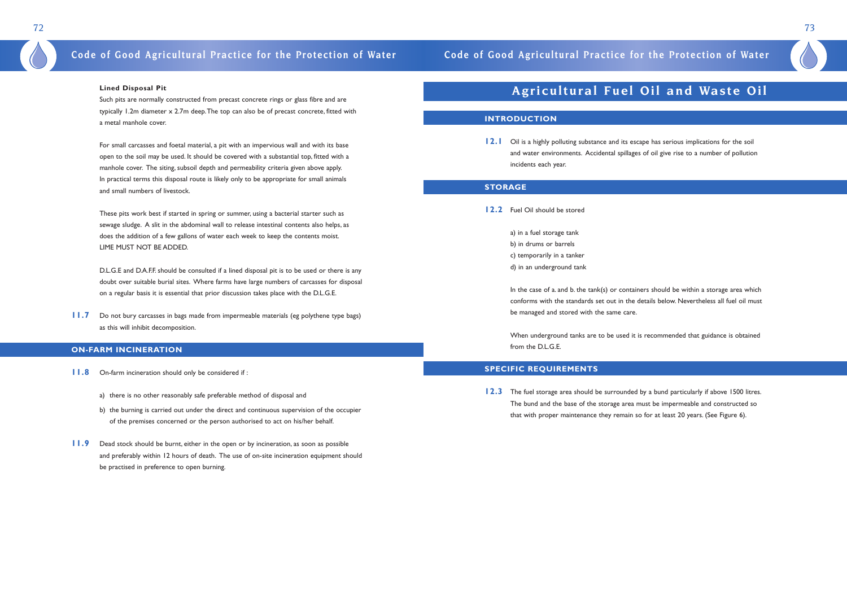

## **Code of Good Agricultural Practice for the Protection of Water Code of Good Agricultural Practice for the Protection of Water**

### **Lined Disposal Pit**

Such pits are normally constructed from precast concrete rings or glass fibre and are typically 1.2m diameter x 2.7m deep.The top can also be of precast concrete, fitted with a metal manhole cover.

For small carcasses and foetal material, a pit with an impervious wall and with its base open to the soil may be used. It should be covered with a substantial top, fitted with a manhole cover. The siting, subsoil depth and permeability criteria given above apply. In practical terms this disposal route is likely only to be appropriate for small animals and small numbers of livestock.

D.L.G.E and D.A.F.F. should be consulted if a lined disposal pit is to be used or there is any doubt over suitable burial sites. Where farms have large numbers of carcasses for disposal on a regular basis it is essential that prior discussion takes place with the D.L.G.E.

**11.7** Do not bury carcasses in bags made from impermeable materials (eg polythene type bags) as this will inhibit decomposition.

These pits work best if started in spring or summer, using a bacterial starter such as sewage sludge. A slit in the abdominal wall to release intestinal contents also helps, as does the addition of a few gallons of water each week to keep the contents moist. LIME MUST NOT BE ADDED.

**12.1** Oil is a highly polluting substance and its escape has serious implications for the soil and water environments. Accidental spillages of oil give rise to a number of pollution incidents each year.

In the case of a. and b. the tank(s) or containers should be within a storage area which conforms with the standards set out in the details below. Nevertheless all fuel oil must be managed and stored with the same care.

### **ON-FARM INCINERATION**

**12.3** The fuel storage area should be surrounded by a bund particularly if above 1500 litres. The bund and the base of the storage area must be impermeable and constructed so that with proper maintenance they remain so for at least 20 years. (See Figure 6).

- **11.8** On-farm incineration should only be considered if :
	- a) there is no other reasonably safe preferable method of disposal and
	- b) the burning is carried out under the direct and continuous supervision of the occupier of the premises concerned or the person authorised to act on his/her behalf.
- **11.9** Dead stock should be burnt, either in the open or by incineration, as soon as possible and preferably within 12 hours of death. The use of on-site incineration equipment should be practised in preference to open burning.

## **Agricultural Fuel Oil and Waste Oil**

### **INTRODUCTION**

### **STORAGE**

**12.2** Fuel Oil should be stored

a) in a fuel storage tank b) in drums or barrels c) temporarily in a tanker

d) in an underground tank

When underground tanks are to be used it is recommended that guidance is obtained from the D.L.G.E.

### **SPECIFIC REQUIREMENTS**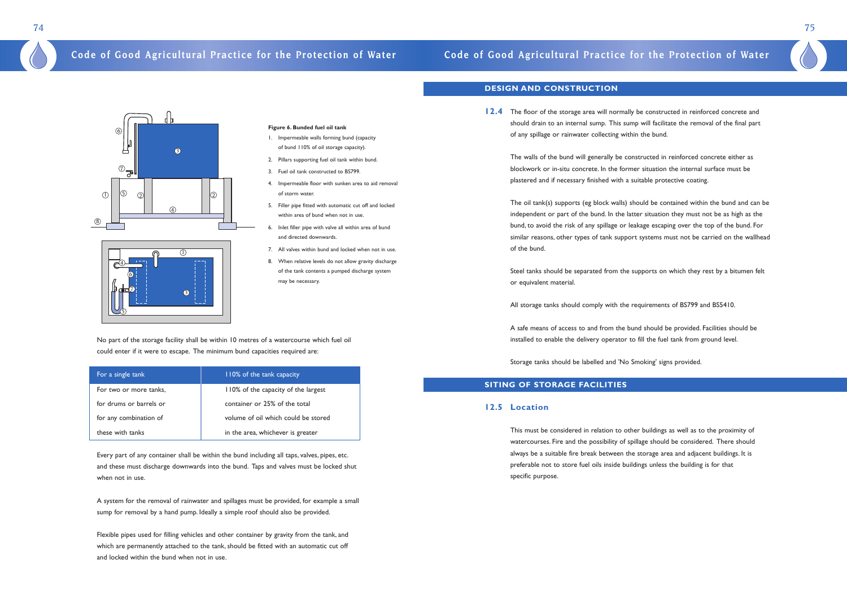No part of the storage facility shall be within 10 metres of a watercourse which fuel oil could enter if it were to escape. The minimum bund capacities required are:

| For a single tank       | 110% of the tank capacity           |
|-------------------------|-------------------------------------|
| For two or more tanks,  | 110% of the capacity of the largest |
| for drums or barrels or | container or 25% of the total       |
| for any combination of  | volume of oil which could be stored |
| these with tanks        | in the area, whichever is greater   |

Every part of any container shall be within the bund including all taps, valves, pipes, etc. and these must discharge downwards into the bund. Taps and valves must be locked shut when not in use.

A system for the removal of rainwater and spillages must be provided, for example a small sump for removal by a hand pump. Ideally a simple roof should also be provided.

Flexible pipes used for filling vehicles and other container by gravity from the tank, and which are permanently attached to the tank, should be fitted with an automatic cut off and locked within the bund when not in use.

## **Code of Good Agricultural Practice for the Protection of Water Code of Good Agricultural Practice for the Protection of Water**

### **Figure 6. Bunded fuel oil tank**

- 1. Impermeable walls forming bund (capacity of bund 110% of oil storage capacity).
- 2. Pillars supporting fuel oil tank within bund.
- 3. Fuel oil tank constructed to BS799.
- 4. Impermeable floor with sunken area to aid removal of storm water.
- 5. Filler pipe fitted with automatic cut off and locked within area of bund when not in use.
- 6. Inlet filler pipe with valve all within area of bund and directed downwards.
- 7. All valves within bund and locked when not in use.
- 8. When relative levels do not allow gravity discharge of the tank contents a pumped discharge system may be necessary.

### **DESIGN AND CONSTRUCTION**

**12.4** The floor of the storage area will normally be constructed in reinforced concrete and should drain to an internal sump. This sump will facilitate the removal of the final part of any spillage or rainwater collecting within the bund.

The walls of the bund will generally be constructed in reinforced concrete either as blockwork or in-situ concrete. In the former situation the internal surface must be plastered and if necessary finished with a suitable protective coating.

The oil tank(s) supports (eg block walls) should be contained within the bund and can be independent or part of the bund. In the latter situation they must not be as high as the bund, to avoid the risk of any spillage or leakage escaping over the top of the bund. For similar reasons, other types of tank support systems must not be carried on the wallhead of the bund.

Steel tanks should be separated from the supports on which they rest by a bitumen felt or equivalent material.

All storage tanks should comply with the requirements of BS799 and BS5410.

A safe means of access to and from the bund should be provided. Facilities should be installed to enable the delivery operator to fill the fuel tank from ground level.

Storage tanks should be labelled and 'No Smoking' signs provided.

### **SITING OF STORAGE FACILITIES**

### **12.5 Location**

This must be considered in relation to other buildings as well as to the proximity of watercourses. Fire and the possibility of spillage should be considered. There should always be a suitable fire break between the storage area and adjacent buildings. It is preferable not to store fuel oils inside buildings unless the building is for that specific purpose.



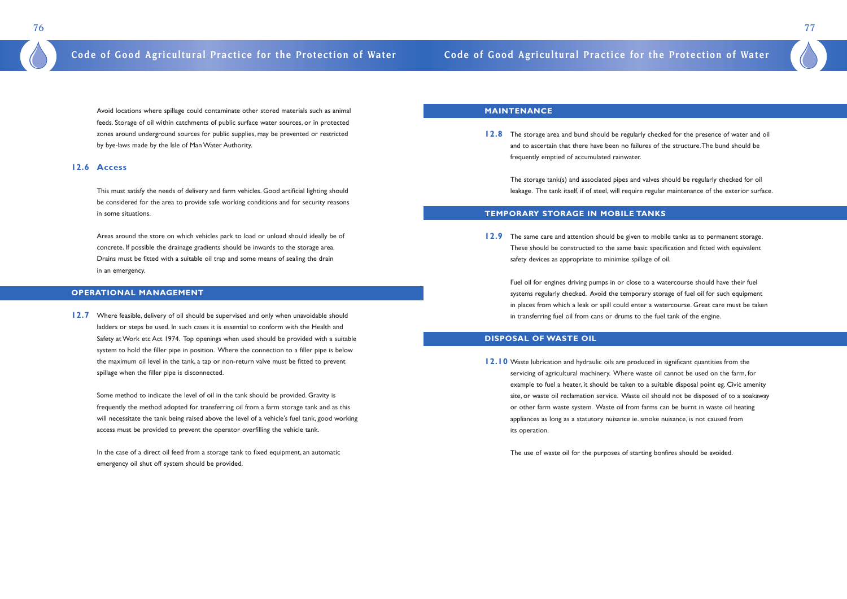Avoid locations where spillage could contaminate other stored materials such as animal feeds. Storage of oil within catchments of public surface water sources, or in protected zones around underground sources for public supplies, may be prevented or restricted by bye-laws made by the Isle of Man Water Authority.

### **12.6 Access**

This must satisfy the needs of delivery and farm vehicles. Good artificial lighting should be considered for the area to provide safe working conditions and for security reasons in some situations.

**12.7** Where feasible, delivery of oil should be supervised and only when unavoidable should ladders or steps be used. In such cases it is essential to conform with the Health and Safety at Work etc Act 1974. Top openings when used should be provided with a suitable system to hold the filler pipe in position. Where the connection to a filler pipe is below the maximum oil level in the tank, a tap or non-return valve must be fitted to prevent spillage when the filler pipe is disconnected.

Areas around the store on which vehicles park to load or unload should ideally be of concrete. If possible the drainage gradients should be inwards to the storage area. Drains must be fitted with a suitable oil trap and some means of sealing the drain in an emergency.

### **OPERATIONAL MANAGEMENT**

**12.8** The storage area and bund should be regularly checked for the presence of water and oil and to ascertain that there have been no failures of the structure.The bund should be frequently emptied of accumulated rainwater.

Some method to indicate the level of oil in the tank should be provided. Gravity is frequently the method adopted for transferring oil from a farm storage tank and as this will necessitate the tank being raised above the level of a vehicle's fuel tank, good working access must be provided to prevent the operator overfilling the vehicle tank.

**12.10** Waste lubrication and hydraulic oils are produced in significant quantities from the servicing of agricultural machinery. Where waste oil cannot be used on the farm, for example to fuel a heater, it should be taken to a suitable disposal point eg. Civic amenity or other farm waste system. Waste oil from farms can be burnt in waste oil heating appliances as long as a statutory nuisance ie. smoke nuisance, is not caused from its operation.

In the case of a direct oil feed from a storage tank to fixed equipment, an automatic emergency oil shut off system should be provided.

### **MAINTENANCE**

The storage tank(s) and associated pipes and valves should be regularly checked for oil leakage. The tank itself, if of steel, will require regular maintenance of the exterior surface.

### **TEMPORARY STORAGE IN MOBILE TANKS**

**12.9** The same care and attention should be given to mobile tanks as to permanent storage. These should be constructed to the same basic specification and fitted with equivalent safety devices as appropriate to minimise spillage of oil.

Fuel oil for engines driving pumps in or close to a watercourse should have their fuel systems regularly checked. Avoid the temporary storage of fuel oil for such equipment in places from which a leak or spill could enter a watercourse. Great care must be taken in transferring fuel oil from cans or drums to the fuel tank of the engine.

### **DISPOSAL OF WASTE OIL**

site, or waste oil reclamation service. Waste oil should not be disposed of to a soakaway

The use of waste oil for the purposes of starting bonfires should be avoided.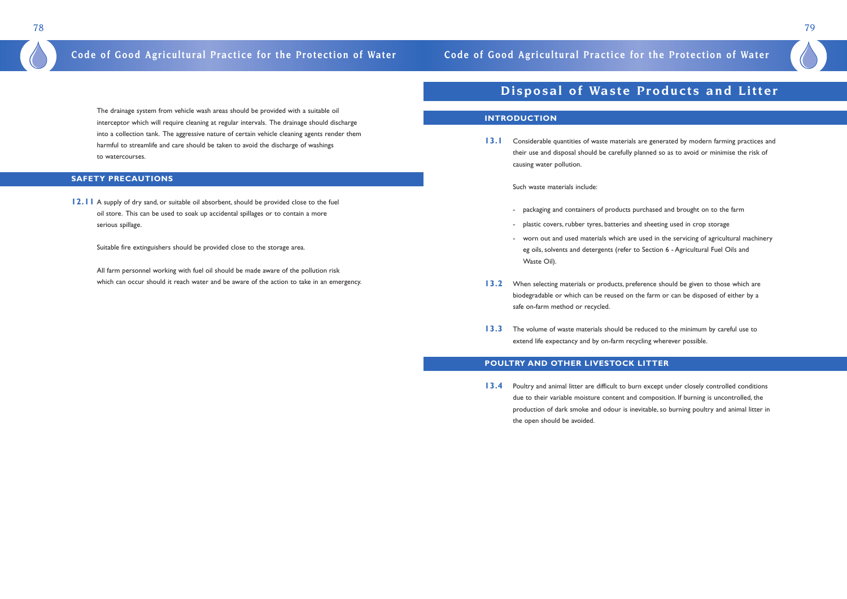## 78 79

The drainage system from vehicle wash areas should be provided with a suitable oil interceptor which will require cleaning at regular intervals. The drainage should discharge into a collection tank. The aggressive nature of certain vehicle cleaning agents render them harmful to streamlife and care should be taken to avoid the discharge of washings to watercourses.

**12.11** A supply of dry sand, or suitable oil absorbent, should be provided close to the fuel oil store. This can be used to soak up accidental spillages or to contain a more serious spillage.

### **SAFETY PRECAUTIONS**

13.1 Considerable quantities of waste materials are generated by modern farming practices and their use and disposal should be carefully planned so as to avoid or minimise the risk of causing water pollution.

Suitable fire extinguishers should be provided close to the storage area.

All farm personnel working with fuel oil should be made aware of the pollution risk which can occur should it reach water and be aware of the action to take in an emergency.

## **Disposal of Waste Products and Litter**

### **INTRODUCTION**

**13.4** Poultry and animal litter are difficult to burn except under closely controlled conditions due to their variable moisture content and composition. If burning is uncontrolled, the production of dark smoke and odour is inevitable, so burning poultry and animal litter in the open should be avoided.

Such waste materials include:

- packaging and containers of products purchased and brought on to the farm - plastic covers, rubber tyres, batteries and sheeting used in crop storage worn out and used materials which are used in the servicing of agricultural machinery eg oils, solvents and detergents (refer to Section 6 - Agricultural Fuel Oils and
- 
- Waste Oil).
- 13.2 When selecting materials or products, preference should be given to those which are biodegradable or which can be reused on the farm or can be disposed of either by a safe on-farm method or recycled.
- **13.3** The volume of waste materials should be reduced to the minimum by careful use to extend life expectancy and by on-farm recycling wherever possible.

### **POULTRY AND OTHER LIVESTOCK LITTER**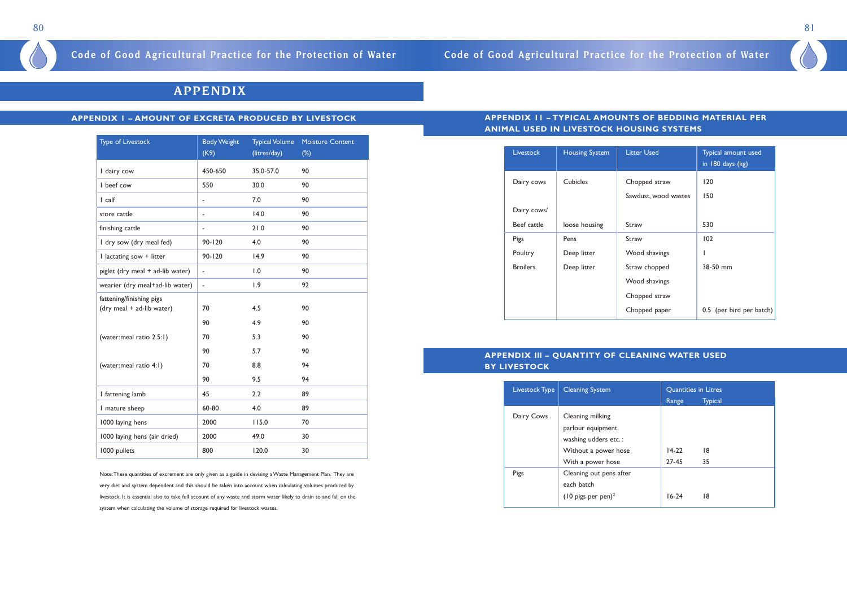

## **APPENDIX**

### **APPENDIX 1 – AMOUNT OF EXCRETA PRODUCED BY LIVESTOCK**

| <b>Type of Livestock</b>                              | <b>Body Weight</b><br>(K9) | <b>Typical Volume</b><br>(litres/day) | <b>Moisture Content</b><br>$(\%)$ |
|-------------------------------------------------------|----------------------------|---------------------------------------|-----------------------------------|
| I dairy cow                                           | 450-650                    | 35.0-57.0                             | 90                                |
| I beef cow                                            | 550                        | 30.0                                  | 90                                |
| I calf                                                |                            | 7.0                                   | 90                                |
| store cattle                                          | $\overline{\phantom{a}}$   | 14.0                                  | 90                                |
| finishing cattle                                      | $\overline{a}$             | 21.0                                  | 90                                |
| I dry sow (dry meal fed)                              | $90 - 120$                 | 4.0                                   | 90                                |
| I lactating sow + litter                              | $90 - 120$                 | 14.9                                  | 90                                |
| piglet (dry meal + ad-lib water)                      | $\blacksquare$             | 1.0                                   | 90                                |
| wearier (dry meal+ad-lib water)                       | $\overline{\phantom{a}}$   | 1.9                                   | 92                                |
| fattening/finishing pigs<br>(dry meal + ad-lib water) | 70                         | 4.5                                   | 90                                |
|                                                       | 90                         | 4.9                                   | 90                                |
| (water:meal ratio 2.5:1)                              | 70                         | 5.3                                   | 90                                |
|                                                       | 90                         | 5.7                                   | 90                                |
| (water:meal ratio 4:1)                                | 70                         | 8.8                                   | 94                                |
|                                                       | 90                         | 9.5                                   | 94                                |
| I fattening lamb                                      | 45                         | 2.2                                   | 89                                |
| I mature sheep                                        | 60-80                      | 4.0                                   | 89                                |
| 1000 laying hens                                      | 2000                       | 115.0                                 | 70                                |
| 1000 laying hens (air dried)                          | 2000                       | 49.0                                  | 30                                |
| 1000 pullets                                          | 800                        | 120.0                                 | 30                                |

Note:These quantities of excrement are only given as a guide in devising a Waste Management Plan. They are very diet and system dependent and this should be taken into account when calculating volumes produced by livestock. It is essential also to take full account of any waste and storm water likely to drain to and fall on the system when calculating the volume of storage required for livestock wastes.

## **APPENDIX 11 – TYPICAL AMOUNTS OF BEDDING MATERIAL PER ANIMAL USED IN LIVESTOCK HOUSING SYSTEMS**

| <b>Livestock</b> | <b>Housing System</b> | <b>Litter Used</b>   | Typical amount used<br>in 180 days (kg) |
|------------------|-----------------------|----------------------|-----------------------------------------|
| Dairy cows       | <b>Cubicles</b>       | Chopped straw        | 120                                     |
| Dairy cows/      |                       | Sawdust, wood wastes | 150                                     |
| Beef cattle      | loose housing         | Straw                | 530                                     |
| Pigs             | Pens                  | Straw                | 102                                     |
| Poultry          | Deep litter           | Wood shavings        |                                         |
| <b>Broilers</b>  | Deep litter           | Straw chopped        | 38-50 mm                                |
|                  |                       | Wood shavings        |                                         |
|                  |                       | Chopped straw        |                                         |
|                  |                       | Chopped paper        | 0.5 (per bird per batch)                |

### **APPENDIX Ill – QUANTITY OF CLEANING WATER USED BY LIVESTOCK**

| Livestock Type | <b>Cleaning System</b>                                                                                      | Quantities in Litres |                |
|----------------|-------------------------------------------------------------------------------------------------------------|----------------------|----------------|
|                |                                                                                                             | Range                | <b>Typical</b> |
| Dairy Cows     | Cleaning milking<br>parlour equipment,<br>washing udders etc.:<br>Without a power hose<br>With a power hose | $14-22$<br>27-45     | 18<br>35       |
| Pigs           | Cleaning out pens after<br>each batch<br>$(10 \text{ pigs per pen})^2$                                      | $16-24$              | 18             |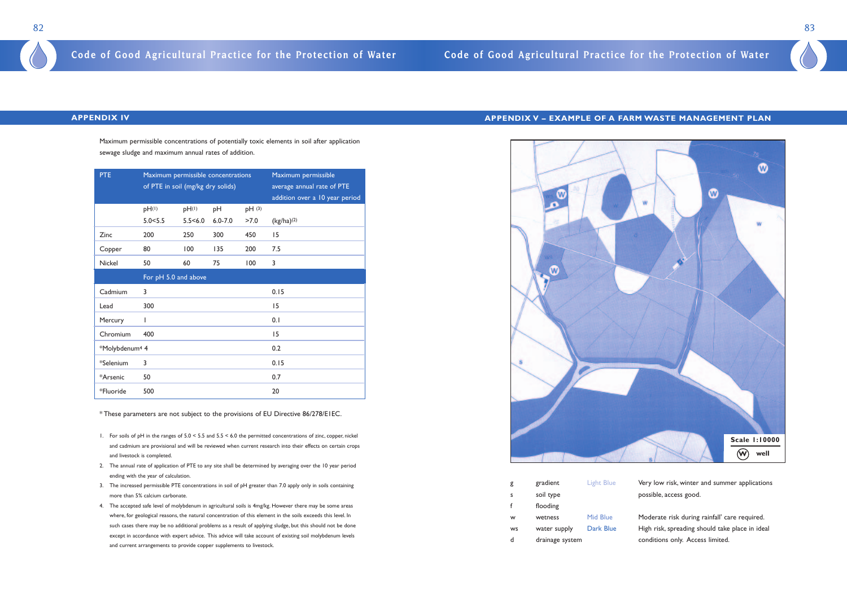

Very low risk, winter and summer applications possible, access good.

Moderate risk during rainfall' care required. High risk, spreading should take place in ideal conditions only. Access limited.

### **APPENDIX IV**

Maximum permissible concentrations of potentially toxic elements in soil after application sewage sludge and maximum annual rates of addition.

| <b>PTE</b>                 | Maximum permissible concentrations<br>of PTE in soil (mg/kg dry solids) |            |                   | Maximum permissible<br>average annual rate of PTE<br>addition over a 10 year period |                          |  |  |
|----------------------------|-------------------------------------------------------------------------|------------|-------------------|-------------------------------------------------------------------------------------|--------------------------|--|--|
|                            | pH(1)                                                                   | $pH^{(1)}$ | pH                | pH(3)                                                                               |                          |  |  |
|                            | 5.0 < 5.5                                                               | 5.5 < 6.0  | $6.0 - 7.0$       | >7.0                                                                                | $(kg/ha)$ <sup>(2)</sup> |  |  |
| Zinc                       | 200                                                                     | 250        | 300               | 450                                                                                 | 15                       |  |  |
| Copper                     | 80                                                                      | 100        | 135               | 200                                                                                 | 7.5                      |  |  |
| Nickel                     | 50<br>60<br>75<br>100                                                   |            | 3                 |                                                                                     |                          |  |  |
| For pH 5.0 and above       |                                                                         |            |                   |                                                                                     |                          |  |  |
| Cadmium                    | 3                                                                       |            |                   |                                                                                     | 0.15                     |  |  |
| Lead                       | 300                                                                     |            |                   | 15                                                                                  |                          |  |  |
| Mercury                    | I                                                                       |            | 0.1               |                                                                                     |                          |  |  |
| Chromium                   | 400                                                                     |            |                   |                                                                                     | 15                       |  |  |
| *Molybdenum <sup>4</sup> 4 |                                                                         |            |                   |                                                                                     | 0.2                      |  |  |
| *Selenium                  | 3                                                                       |            | 0.15<br>0.7<br>20 |                                                                                     |                          |  |  |
| *Arsenic                   | 50<br>500                                                               |            |                   |                                                                                     |                          |  |  |
| *Fluoride                  |                                                                         |            |                   |                                                                                     |                          |  |  |

\* These parameters are not subject to the provisions of EU Directive 86/278/E1EC.

- 1. For soils of pH in the ranges of 5.0 < 5.5 and 5.5 < 6.0 the permitted concentrations of zinc, copper, nickel and cadmium are provisional and will be reviewed when current research into their effects on certain crops and livestock is completed.
- 2. The annual rate of application of PTE to any site shall be determined by averaging over the 10 year period ending with the year of calculation.
- 3. The increased permissible PTE concentrations in soil of pH greater than 7.0 apply only in soils containing more than 5% calcium carbonate.
- 4. The accepted safe level of molybdenum in agricultural soils is 4mg/kg. However there may be some areas where, for geological reasons, the natural concentration of this element in the soils exceeds this level. In such cases there may be no additional problems as a result of applying sludge, but this should not be done except in accordance with expert advice. This advice will take account of existing soil molybdenum levels and current arrangements to provide copper supplements to livestock.

### **APPENDIX V – EXAMPLE OF A FARM WASTE MANAGEMENT PLAN**

| gradient        | <b>Light Blue</b> |
|-----------------|-------------------|
| soil type       |                   |
| flooding        |                   |
| wetness         | Mid Blue          |
| water supply    | Dark Blue         |
| drainage system |                   |
|                 |                   |

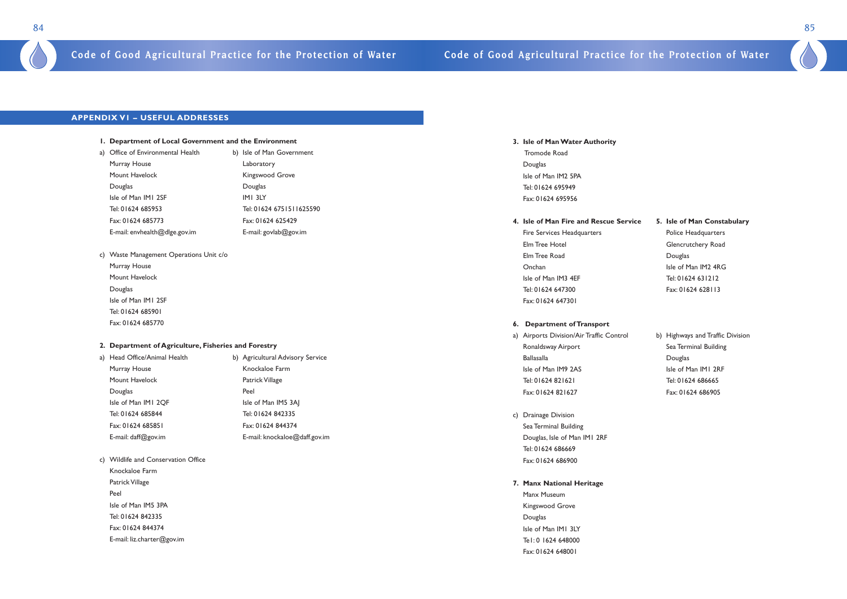### **3. Isle of Man Water Authority**

Tromode Road Douglas Isle of Man IM2 5PA Tel: 01624 695949 Fax: 01624 695956

### **4. Isle of Man Fire and Rescue Service 5. Isle of Man Constabulary**

Fire Services Headquarters **Police Headquarters** Elm Tree Hotel **Glencrutchery Road** Elm Tree Road and Douglas Onchan ISIe of Man IM2 4RG Isle of Man IM3 4EF Tel: 01624 631212 Tel: 01624 647300 Fax: 01624 628113 Fax: 01624 647301

- a) Airports Division/Air Traffic Control b) Highways and Traffic Division Ronaldsway Airport Sea Terminal Building Ballasalla Douglas Isle of Man IM9 2AS Isle of Man IM1 2RF Tel: 01624 821621 Tel: 01624 686665 Fax: 01624 821627 Fax: 01624 686905
- c) Drainage Division Sea Terminal Building Douglas, Isle of Man IM1 2RF Tel: 01624 686669 Fax: 01624 686900

### **6. Department of Transport**

- a) Office of Environmental Health b) Isle of Man Government Murray House **Laboratory** Mount Havelock **Kingswood Grove** Douglas Douglas Isle of Man IM1 2SF IM1 3LY Tel: 01624 685953 Tel: 01624 6751511625590 Fax: 01624 685773 Fax: 01624 625429 E-mail: envhealth@dlge.gov.im E-mail: govlab@gov.im
- c) Waste Management Operations Unit c/o
	- Murray House Mount Havelock Douglas Isle of Man IM1 2SF Tel: 01624 685901 Fax: 01624 685770

### **7. Manx National Heritage**

Manx Museum Kingswood Grove Douglas Isle of Man IM1 3LY Te1: 0 1624 648000 Fax: 01624 648001



### **APPENDIX V1 – USEFUL ADDRESSES**

### **1. Department of Local Government and the Environment**

### **2. Department of Agriculture, Fisheries and Forestry**

| a) Head Office/Animal Health | b) Agricultural Advisory Service |  |
|------------------------------|----------------------------------|--|
| Murray House                 | Knockaloe Farm                   |  |
| Mount Havelock               | Patrick Village                  |  |
| Douglas                      | Peel                             |  |
| Isle of Man IMI 2QF          | Isle of Man IM5 3AJ              |  |
| Tel: 01624 685844            | Tel: 01624 842335                |  |
| Fax: 01624 685851            | Fax: 01624 844374                |  |
| E-mail: daff@gov.im          | E-mail: knockaloe@daff.gov.im    |  |

- c) Wildlife and Conservation Office
- Knockaloe Farm Patrick Village Peel Isle of Man IM5 3PA Tel: 01624 842335 Fax: 01624 844374 E-mail: liz.charter@gov.im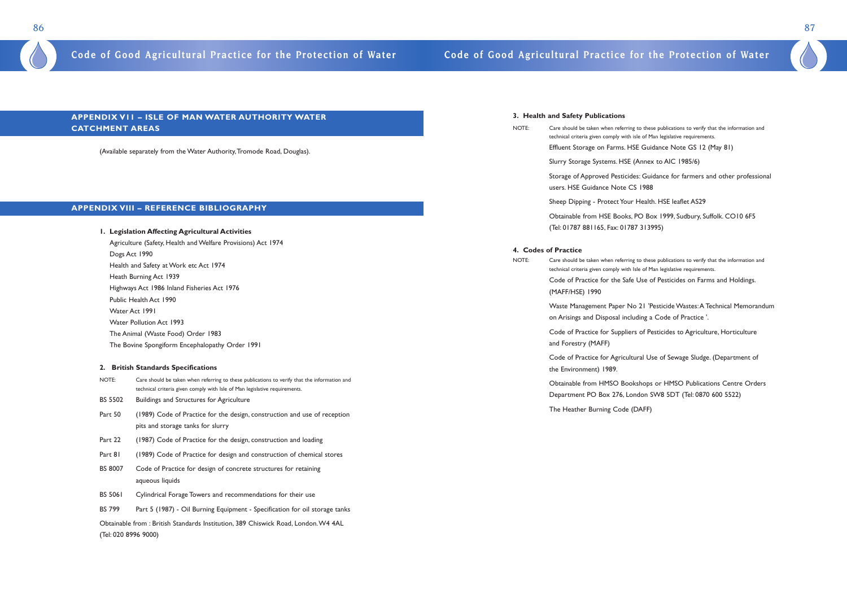### **APPENDIX V11 – ISLE OF MAN WATER AUTHORITY WATER CATCHMENT AREAS**

(Available separately from the Water Authority,Tromode Road, Douglas).

### **APPENDIX VIII – REFERENCE BIBLIOGRAPHY**

- BS 5502 Buildings and Structures for Agriculture
- Part 50 (1989) Code of Practice for the design, construction and use of reception pits and storage tanks for slurry
- Part 22 (1987) Code of Practice for the design, construction and loading
- Part 81 (1989) Code of Practice for design and construction of chemical stores
- BS 8007 Code of Practice for design of concrete structures for retaining aqueous liquids
- BS 5061 Cylindrical Forage Towers and recommendations for their use
- BS 799 Part 5 (1987) Oil Burning Equipment Specification for oil storage tanks

**1. Legislation Affecting Agricultural Activities**  Agriculture (Safety, Health and Welfare Provisions) Act 1974 Dogs Act 1990 Health and Safety at Work etc Act 1974 Heath Burning Act 1939 Highways Act 1986 Inland Fisheries Act 1976 Public Health Act 1990 Water Act 1991 Water Pollution Act 1993 The Animal (Waste Food) Order 1983 The Bovine Spongiform Encephalopathy Order 1991 **2. British Standards Specifications**  NOTE: Care should be taken when referring to these publications to verify that the information and

## technical criteria given comply with Isle of Man legislative requirements.

Obtainable from : British Standards Institution, 389 Chiswick Road, London.W4 4AL (Tel: 020 8996 9000)

### **3. Health and Safety Publications**

- NOTE: Care should be taken when referring to these publications to verify that the information and technical criteria given comply with isle of Man legislative requirements.
	- Effluent Storage on Farms. HSE Guidance Note GS 12 (May 81)
	- Slurry Storage Systems. HSE (Annex to AIC 1985/6)
	- Storage of Approved Pesticides: Guidance for farmers and other professional users. HSE Guidance Note CS 1988
	-
	- Sheep Dipping Protect Your Health. HSE leaflet AS29
	- Obtainable from HSE Books, PO Box 1999, Sudbury, Suffolk. CO10 6F5 (Tel: 01787 881165, Fax: 01787 313995)
	-

### **4. Codes of Practice**

- NOTE: Care should be taken when referring to these publications to verify that the information and technical criteria given comply with Isle of Man legislative requirements. Code of Practice for the Safe Use of Pesticides on Farms and Holdings. (MAFF/HSE) 1990
	- Waste Management Paper No 21 'Pesticide Wastes:A Technical Memorandum on Arisings and Disposal including a Code of Practice '.
	- Code of Practice for Suppliers of Pesticides to Agriculture, Horticulture and Forestry (MAFF)
	- Code of Practice for Agricultural Use of Sewage Sludge. (Department of the Environment) 1989.
	- Obtainable from HMSO Bookshops or HMSO Publications Centre Orders Department PO Box 276, London SW8 5DT (Tel: 0870 600 5522)
	- The Heather Burning Code (DAFF)

### 86 87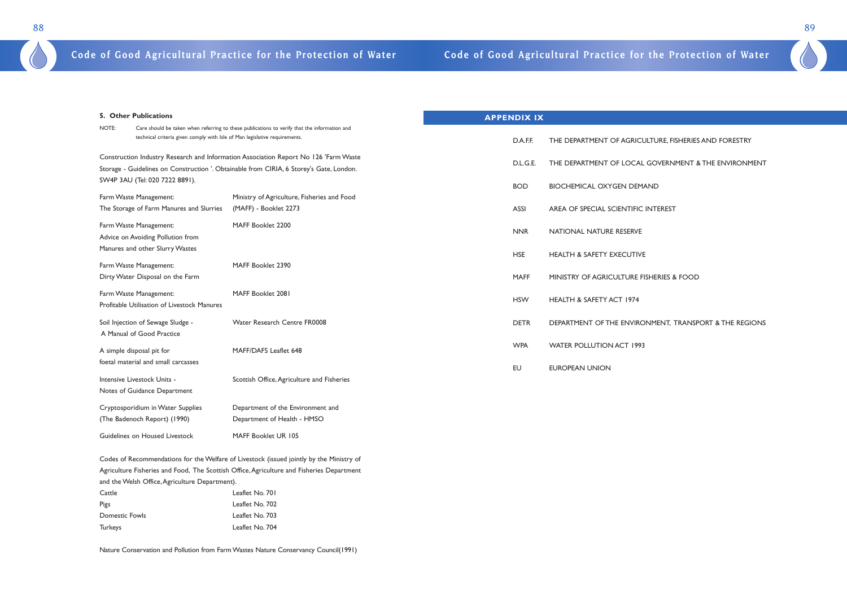

### CULTURE, FISHERIES AND FORESTRY

L GOVERNMENT & THE ENVIRONMENT

**BIOCHEMIC** 

INTEREST

**FISHERIES & FOOD** 

ONMENT, TRANSPORT & THE REGIONS

| 5. Other Publications                                                 |                                                                                                                                                                                 | <b>APPENDIX IX</b> |                                      |
|-----------------------------------------------------------------------|---------------------------------------------------------------------------------------------------------------------------------------------------------------------------------|--------------------|--------------------------------------|
| NOTE:                                                                 | Care should be taken when referring to these publications to verify that the information and<br>technical criteria given comply with Isle of Man legislative requirements.      | D.A.F.F.           | THE DEPARTMENT OF AGRICU             |
|                                                                       | Construction Industry Research and Information Association Report No 126 'Farm Waste<br>Storage - Guidelines on Construction '. Obtainable from CIRIA, 6 Storey's Gate, London. | D.L.G.E.           | THE DEPARTMENT OF LOCAL              |
| SW4P 3AU (Tel: 020 7222 8891).<br>Farm Waste Management:              | Ministry of Agriculture, Fisheries and Food                                                                                                                                     | <b>BOD</b>         | <b>BIOCHEMICAL OXYGEN DEMA</b>       |
| The Storage of Farm Manures and Slurries                              | (MAFF) - Booklet 2273                                                                                                                                                           | <b>ASSI</b>        | AREA OF SPECIAL SCIENTIFIC I         |
| Farm Waste Management:<br>Advice on Avoiding Pollution from           | MAFF Booklet 2200                                                                                                                                                               | <b>NNR</b>         | NATIONAL NATURE RESERVE              |
| Manures and other Slurry Wastes                                       | MAFF Booklet 2390                                                                                                                                                               | <b>HSE</b>         | <b>HEALTH &amp; SAFETY EXECUTIVE</b> |
| Farm Waste Management:<br>Dirty Water Disposal on the Farm            |                                                                                                                                                                                 | <b>MAFF</b>        | MINISTRY OF AGRICULTURE FIS          |
| Farm Waste Management:<br>Profitable Utilisation of Livestock Manures | MAFF Booklet 2081                                                                                                                                                               | <b>HSW</b>         | HEALTH & SAFETY ACT 1974             |
| Soil Injection of Sewage Sludge -<br>A Manual of Good Practice        | Water Research Centre FR0008                                                                                                                                                    | <b>DETR</b>        | DEPARTMENT OF THE ENVIROI            |
| A simple disposal pit for                                             | MAFF/DAFS Leaflet 648                                                                                                                                                           | <b>WPA</b>         | <b>WATER POLLUTION ACT 1993</b>      |
| foetal material and small carcasses                                   |                                                                                                                                                                                 | <b>EU</b>          | <b>EUROPEAN UNION</b>                |
| Intensive Livestock Units -<br>Notes of Guidance Department           | Scottish Office, Agriculture and Fisheries                                                                                                                                      |                    |                                      |
| Cryptosporidium in Water Supplies<br>(The Badenoch Report) (1990)     | Department of the Environment and<br>Department of Health - HMSO                                                                                                                |                    |                                      |
| Guidelines on Housed Livestock                                        | MAFF Booklet UR 105                                                                                                                                                             |                    |                                      |

Codes of Recommendations for the Welfare of Livestock (issued jointly by the Ministry of Agriculture Fisheries and Food, The Scottish Office,Agriculture and Fisheries Department and the Welsh Office,Agriculture Department). Cattle Leaflet No. 701

| <b>Calle</b>   | LCANCL IN U. IVI |
|----------------|------------------|
| Pigs           | Leaflet No. 702  |
| Domestic Fowls | Leaflet No. 703  |
| <b>Turkeys</b> | Leaflet No. 704  |

Nature Conservation and Pollution from Farm Wastes Nature Conservancy Council(1991)